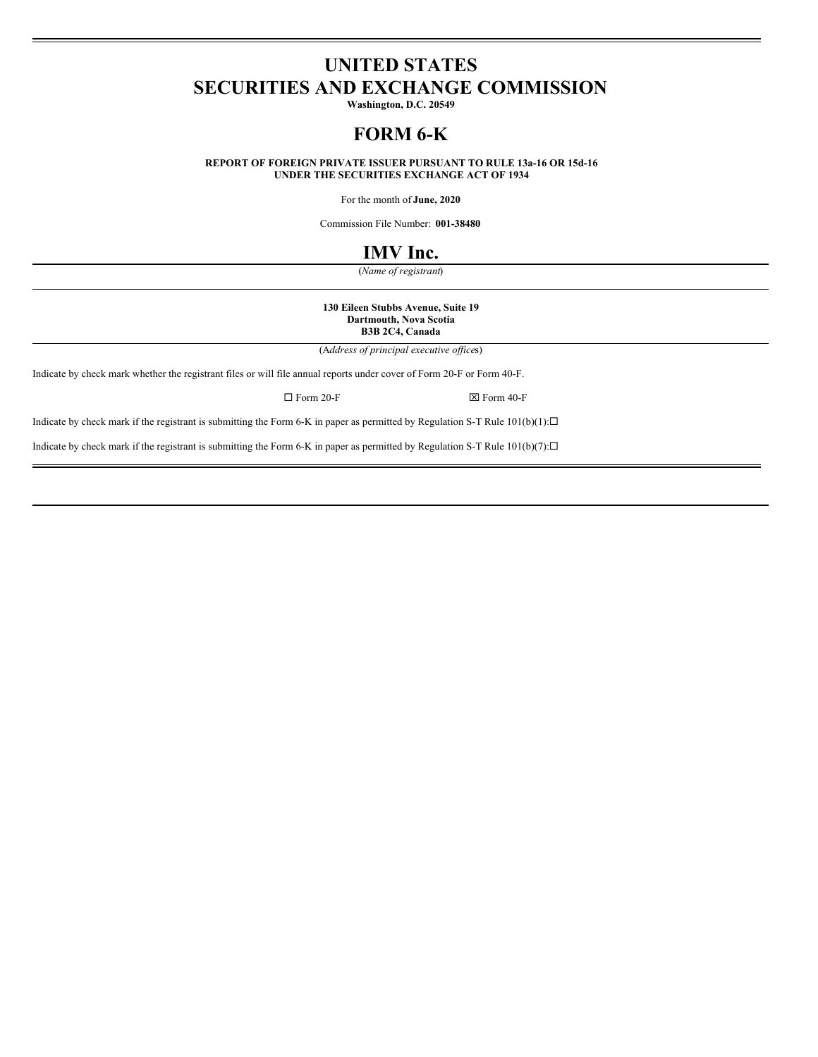# **UNITED STATES SECURITIES AND EXCHANGE COMMISSION**

**Washington, D.C. 20549**

# **FORM 6-K**

**REPORT OF FOREIGN PRIVATE ISSUER PURSUANT TO RULE 13a-16 OR 15d-16 UNDER THE SECURITIES EXCHANGE ACT OF 1934**

For the month of **June, 2020**

Commission File Number: **001-38480**

# **IMV Inc.**

(*Name of registrant*)

**130 Eileen Stubbs Avenue, Suite 19 Dartmouth, Nova Scotia B3B 2C4, Canada**

(A*ddress of principal executive of ice*s)

Indicate by check mark whether the registrant files or will file annual reports under cover of Form 20-F or Form 40-F.

 $\square$  Form 20-F  $\square$ 

Indicate by check mark if the registrant is submitting the Form 6-K in paper as permitted by Regulation S-T Rule  $101(b)(1): \Box$ 

Indicate by check mark if the registrant is submitting the Form 6-K in paper as permitted by Regulation S-T Rule  $101(b)(7): \Box$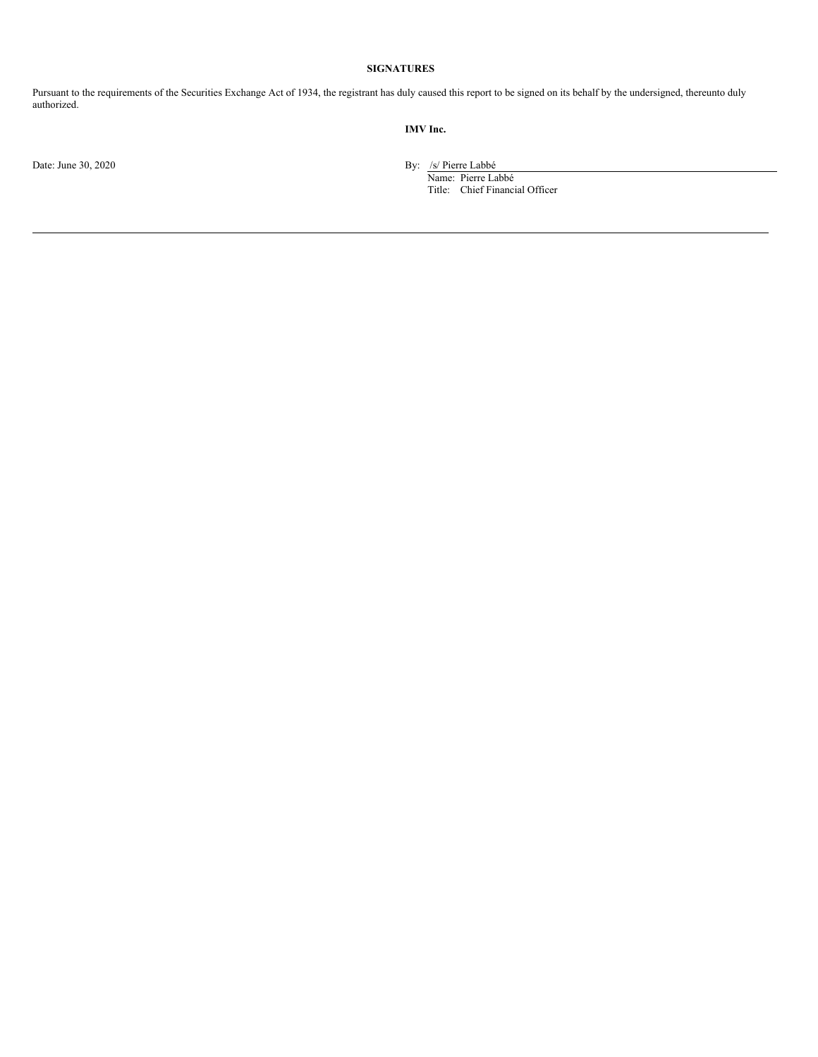# **SIGNATURES**

Pursuant to the requirements of the Securities Exchange Act of 1934, the registrant has duly caused this report to be signed on its behalf by the undersigned, thereunto duly authorized.

# **IMV Inc.**

Date: June 30, 2020 By: /s/ Pierre Labbé

Name: Pierre Labbé Title: Chief Financial Officer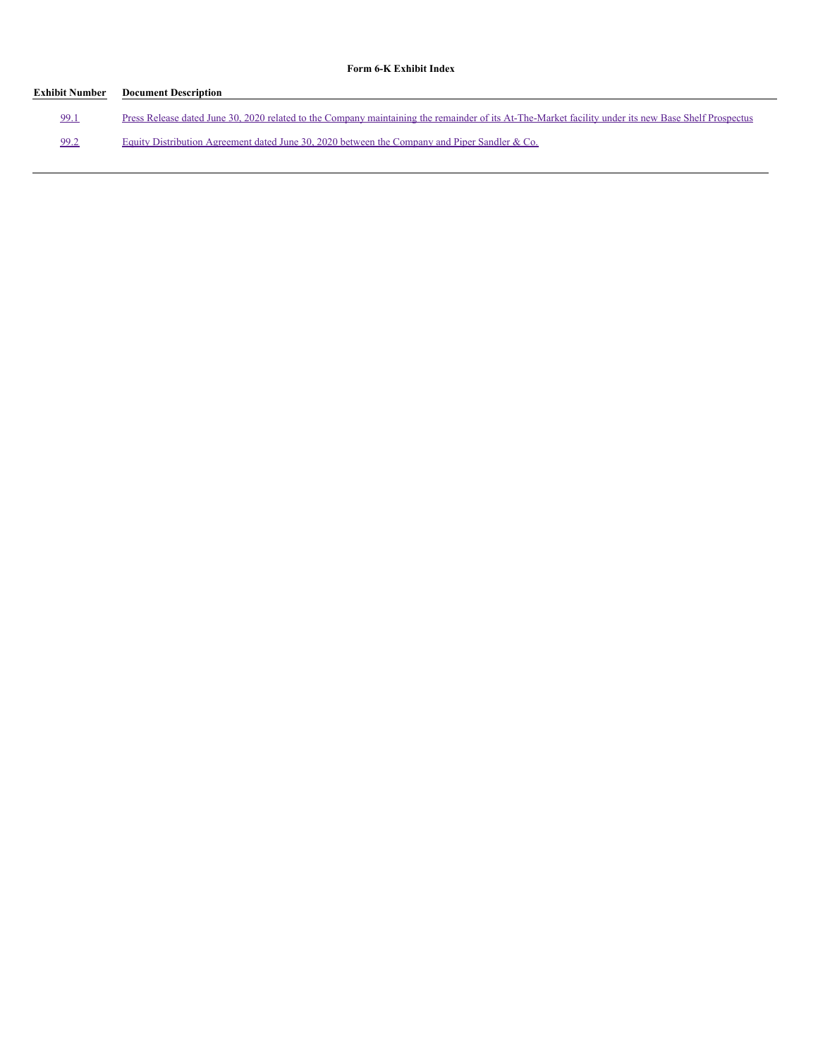# **Form 6-K Exhibit Index**

| Exhibit Number | <b>Document Description</b>                                                                                                                          |
|----------------|------------------------------------------------------------------------------------------------------------------------------------------------------|
| 99.1           | Press Release dated June 30, 2020 related to the Company maintaining the remainder of its At-The-Market facility under its new Base Shelf Prospectus |
| 99.2           | Equity Distribution Agreement dated June 30, 2020 between the Company and Piper Sandler & Co.                                                        |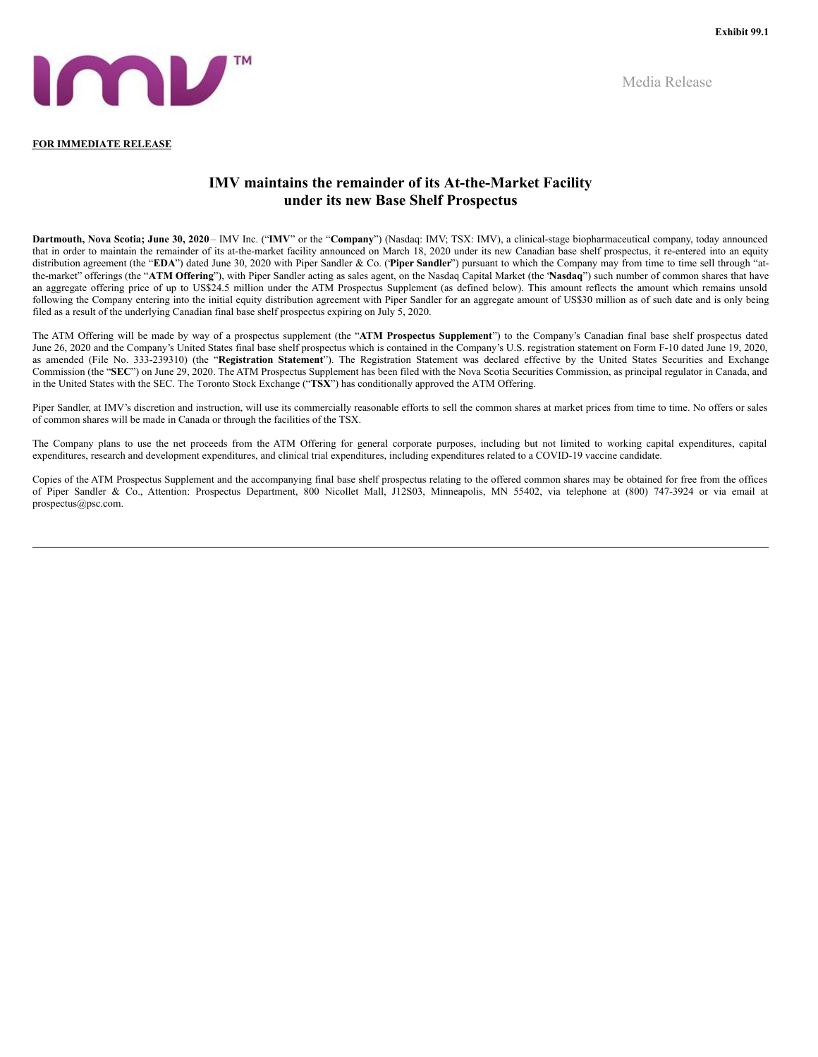Media Release



#### **FOR IMMEDIATE RELEASE**

# **IMV maintains the remainder of its At-the-Market Facility under its new Base Shelf Prospectus**

**Dartmouth, Nova Scotia; June 30, 2020** – IMV Inc. ("**IMV**" or the "**Company**") (Nasdaq: IMV; TSX: IMV), a clinical-stage biopharmaceutical company, today announced that in order to maintain the remainder of its at-the-market facility announced on March 18, 2020 under its new Canadian base shelf prospectus, it re-entered into an equity distribution agreement (the "**EDA**") dated June 30, 2020 with Piper Sandler & Co. ("**Piper Sandler**") pursuant to which the Company may from time to time sell through "atthe-market" offerings (the "**ATM Offering**"), with Piper Sandler acting as sales agent, on the Nasdaq Capital Market (the "**Nasdaq**") such number of common shares that have an aggregate offering price of up to US\$24.5 million under the ATM Prospectus Supplement (as defined below). This amount reflects the amount which remains unsold following the Company entering into the initial equity distribution agreement with Piper Sandler for an aggregate amount of US\$30 million as of such date and is only being filed as a result of the underlying Canadian final base shelf prospectus expiring on July 5, 2020.

The ATM Offering will be made by way of a prospectus supplement (the "**ATM Prospectus Supplement**") to the Company's Canadian final base shelf prospectus dated June 26, 2020 and the Company's United States final base shelf prospectus which is contained in the Company's U.S. registration statement on Form F-10 dated June 19, 2020, as amended (File No. 333-239310) (the "**Registration Statement**"). The Registration Statement was declared effective by the United States Securities and Exchange Commission (the "**SEC**") on June 29, 2020. The ATM Prospectus Supplement has been filed with the Nova Scotia Securities Commission, as principal regulator in Canada, and in the United States with the SEC. The Toronto Stock Exchange ("**TSX**") has conditionally approved the ATM Offering.

Piper Sandler, at IMV's discretion and instruction, will use its commercially reasonable efforts to sell the common shares at market prices from time to time. No offers or sales of common shares will be made in Canada or through the facilities of the TSX.

The Company plans to use the net proceeds from the ATM Offering for general corporate purposes, including but not limited to working capital expenditures, capital expenditures, research and development expenditures, and clinical trial expenditures, including expenditures related to a COVID-19 vaccine candidate.

Copies of the ATM Prospectus Supplement and the accompanying final base shelf prospectus relating to the offered common shares may be obtained for free from the offices of Piper Sandler & Co., Attention: Prospectus Department, 800 Nicollet Mall, J12S03, Minneapolis, MN 55402, via telephone at (800) 747-3924 or via email at prospectus@psc.com.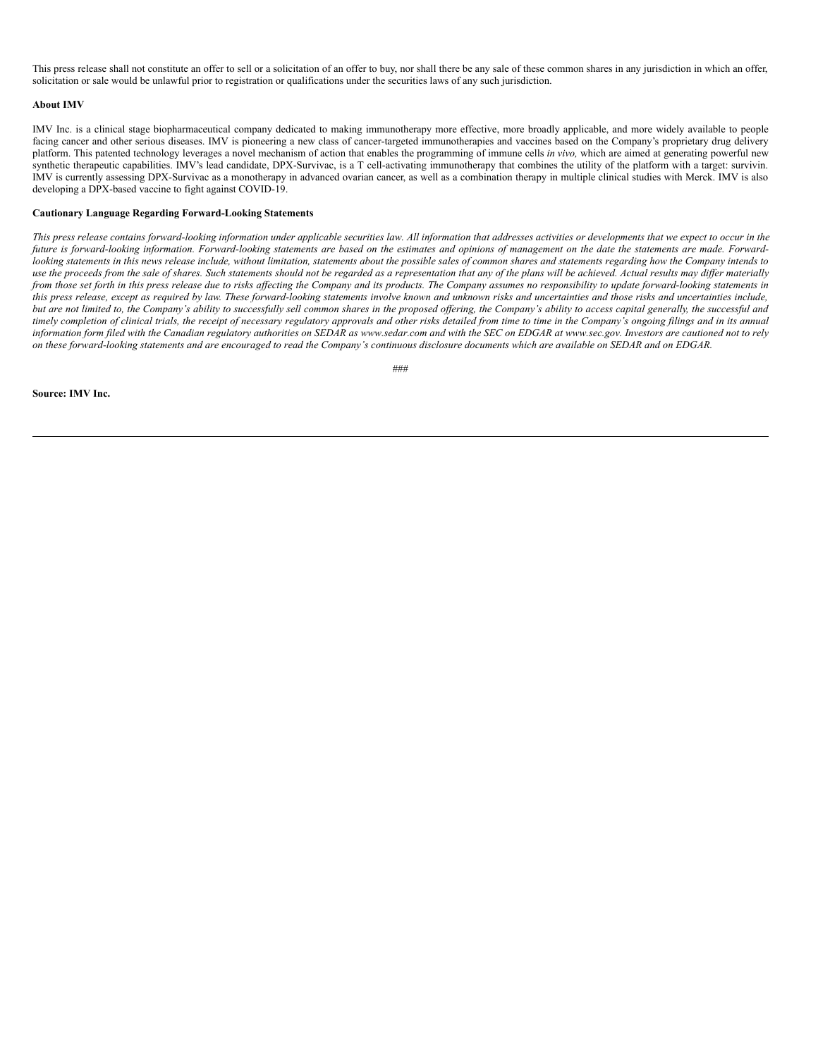<span id="page-4-0"></span>This press release shall not constitute an offer to sell or a solicitation of an offer to buy, nor shall there be any sale of these common shares in any jurisdiction in which an offer, solicitation or sale would be unlawful prior to registration or qualifications under the securities laws of any such jurisdiction.

#### **About IMV**

IMV Inc. is a clinical stage biopharmaceutical company dedicated to making immunotherapy more effective, more broadly applicable, and more widely available to people facing cancer and other serious diseases. IMV is pioneering a new class of cancer-targeted immunotherapies and vaccines based on the Company's proprietary drug delivery platform. This patented technology leverages a novel mechanism of action that enables the programming of immune cells *in vivo,* which are aimed at generating powerful new synthetic therapeutic capabilities. IMV's lead candidate, DPX-Survivac, is a T cell-activating immunotherapy that combines the utility of the platform with a target: survivin. IMV is currently assessing DPX-Survivac as a monotherapy in advanced ovarian cancer, as well as a combination therapy in multiple clinical studies with Merck. IMV is also developing a DPX-based vaccine to fight against COVID-19.

#### **Cautionary Language Regarding Forward-Looking Statements**

This press release contains forward-looking information under applicable securities law. All information that addresses activities or developments that we expect to occur in the future is forward-looking information. Forward-looking statements are based on the estimates and opinions of management on the date the statements are made. Forwardlooking statements in this news release include, without limitation, statements about the possible sales of common shares and statements regarding how the Company intends to use the proceeds from the sale of shares. Such statements should not be regarded as a representation that any of the plans will be achieved. Actual results may differ materially from those set forth in this press release due to risks affecting the Company and its products. The Company assumes no responsibility to update forward-looking statements in this press release, except as required by law. These forward-looking statements involve known and unknown risks and uncertainties and those risks and uncertainties include, but are not limited to, the Company's ability to successfully sell common shares in the proposed offering, the Company's ability to access capital generally, the successful and timely completion of clinical trials, the receipt of necessary regulatory approvals and other risks detailed from time to time in the Company's ongoing filings and in its annual information form filed with the Canadian regulatory authorities on SEDAR as www.sedar.com and with the SEC on EDGAR at www.sec.gov. Investors are cautioned not to rely on these forward-looking statements and are encouraged to read the Company's continuous disclosure documents which are available on SEDAR and on EDGAR.

 $#HH$ 

#### **Source: IMV Inc.**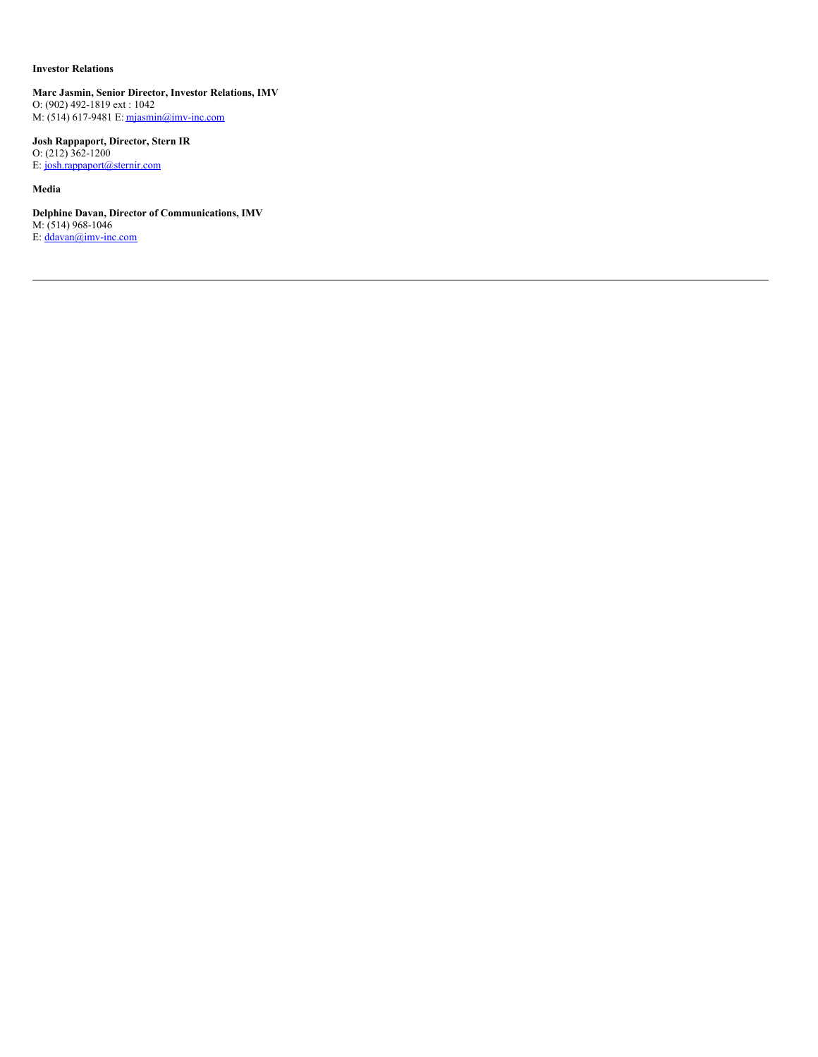# **Investor Relations**

**Marc Jasmin, Senior Director, Investor Relations, IMV** O: (902) 492-1819 ext : 1042 M: (514) 617-9481 E: mjasmin@imv-inc.com

**Josh Rappaport, Director, Stern IR** O: (212) 362-1200 E: josh.rappaport@sternir.com

**Media**

**Delphine Davan, Director of Communications, IMV** M: (514) 968-1046 E:  $\frac{d^2}{dx^2}$  E:  $\frac{d^2}{dx^2}$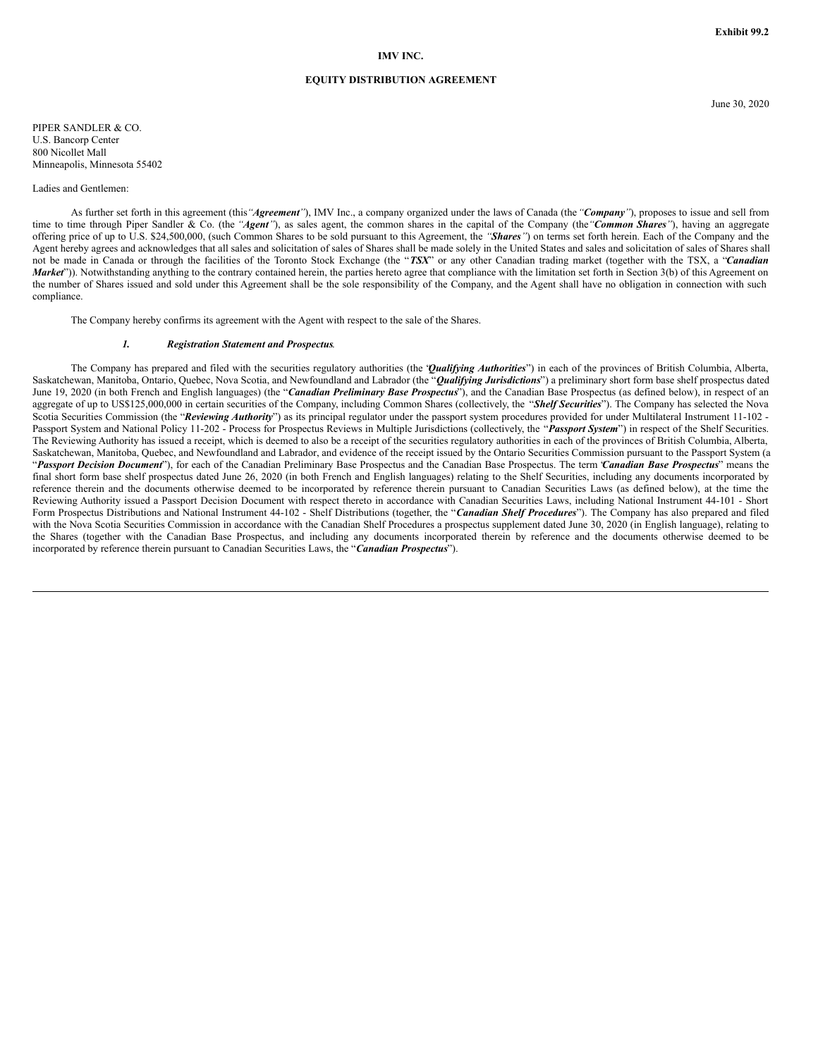### **IMV INC.**

#### **EQUITY DISTRIBUTION AGREEMENT**

PIPER SANDLER & CO. U.S. Bancorp Center 800 Nicollet Mall Minneapolis, Minnesota 55402

#### Ladies and Gentlemen:

As further set forth in this agreement (this*"Agreement"*), IMV Inc., a company organized under the laws of Canada (the*"Company"*), proposes to issue and sell from time to time through Piper Sandler & Co. (the *"Agent"*), as sales agent, the common shares in the capital of the Company (the*"Common Shares"*), having an aggregate offering price of up to U.S. \$24,500,000, (such Common Shares to be sold pursuant to this Agreement, the *"Shares"*) on terms set forth herein. Each of the Company and the Agent hereby agrees and acknowledges that all sales and solicitation of sales of Shares shall be made solely in the United States and sales and solicitation of sales of Shares shall not be made in Canada or through the facilities of the Toronto Stock Exchange (the "*TSX*" or any other Canadian trading market (together with the TSX, a "*Canadian Market*")). Notwithstanding anything to the contrary contained herein, the parties hereto agree that compliance with the limitation set forth in Section 3(b) of this Agreement on the number of Shares issued and sold under this Agreement shall be the sole responsibility of the Company, and the Agent shall have no obligation in connection with such compliance.

The Company hereby confirms its agreement with the Agent with respect to the sale of the Shares.

#### *1. Registration Statement and Prospectus*.

The Company has prepared and filed with the securities regulatory authorities (the "*Qualifying Authorities*") in each of the provinces of British Columbia, Alberta, Saskatchewan, Manitoba, Ontario, Quebec, Nova Scotia, and Newfoundland and Labrador (the "*Qualifying Jurisdictions*") a preliminary short form base shelf prospectus dated June 19, 2020 (in both French and English languages) (the "*Canadian Preliminary Base Prospectus*"), and the Canadian Base Prospectus (as defined below), in respect of an aggregate of up to US\$125,000,000 in certain securities of the Company, including Common Shares (collectively, the "*Shelf Securities*"). The Company has selected the Nova Scotia Securities Commission (the "Reviewing Authority") as its principal regulator under the passport system procedures provided for under Multilateral Instrument 11-102 -Passport System and National Policy 11-202 - Process for Prospectus Reviews in Multiple Jurisdictions (collectively, the "*Passport System*") in respect of the Shelf Securities. The Reviewing Authority has issued a receipt, which is deemed to also be a receipt of the securities regulatory authorities in each of the provinces of British Columbia, Alberta, Saskatchewan, Manitoba, Quebec, and Newfoundland and Labrador, and evidence of the receipt issued by the Ontario Securities Commission pursuant to the Passport System (a "*Passport Decision Document*"), for each of the Canadian Preliminary Base Prospectus and the Canadian Base Prospectus. The term "*Canadian Base Prospectus*" means the final short form base shelf prospectus dated June 26, 2020 (in both French and English languages) relating to the Shelf Securities, including any documents incorporated by reference therein and the documents otherwise deemed to be incorporated by reference therein pursuant to Canadian Securities Laws (as defined below), at the time the Reviewing Authority issued a Passport Decision Document with respect thereto in accordance with Canadian Securities Laws, including National Instrument 44-101 - Short Form Prospectus Distributions and National Instrument 44-102 - Shelf Distributions (together, the "*Canadian Shelf Procedures*"). The Company has also prepared and filed with the Nova Scotia Securities Commission in accordance with the Canadian Shelf Procedures a prospectus supplement dated June 30, 2020 (in English language), relating to the Shares (together with the Canadian Base Prospectus, and including any documents incorporated therein by reference and the documents otherwise deemed to be incorporated by reference therein pursuant to Canadian Securities Laws, the "*Canadian Prospectus*").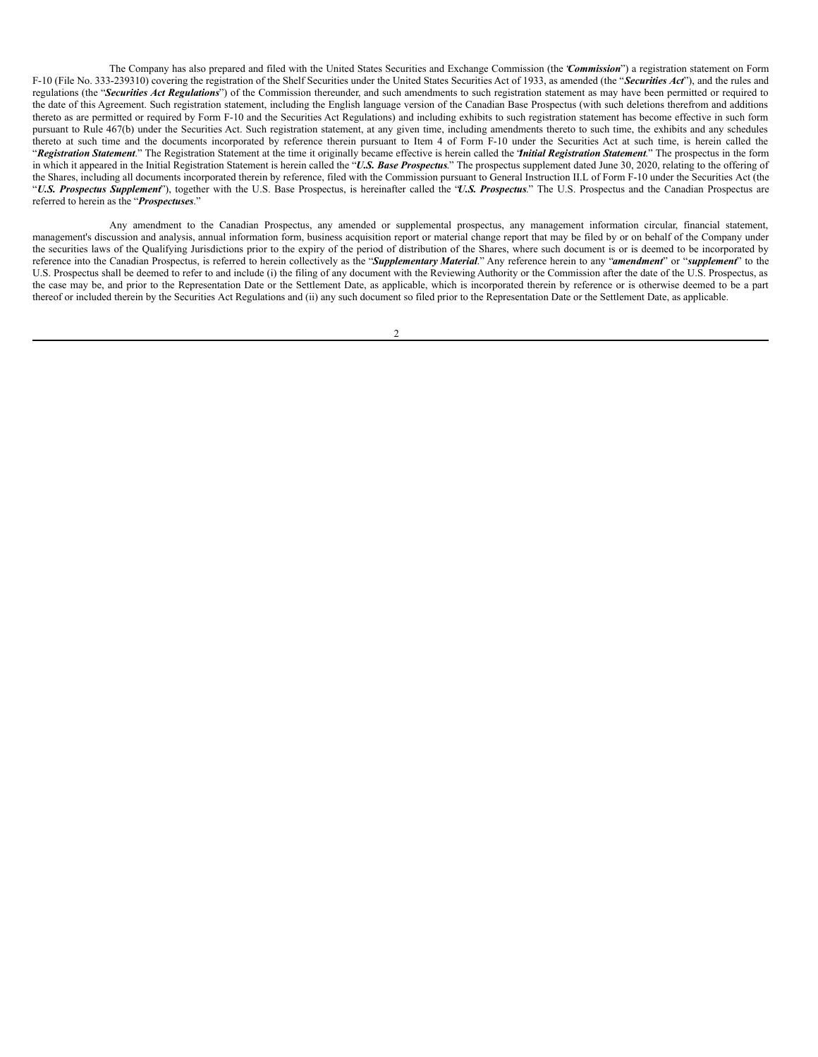The Company has also prepared and filed with the United States Securities and Exchange Commission (the "*Commission*") a registration statement on Form F-10 (File No. 333-239310) covering the registration of the Shelf Securities under the United States Securities Act of 1933, as amended (the "*Securities Act*"), and the rules and regulations (the "*Securities Act Regulations*") of the Commission thereunder, and such amendments to such registration statement as may have been permitted or required to the date of this Agreement. Such registration statement, including the English language version of the Canadian Base Prospectus (with such deletions therefrom and additions thereto as are permitted or required by Form F-10 and the Securities Act Regulations) and including exhibits to such registration statement has become effective in such form pursuant to Rule 467(b) under the Securities Act. Such registration statement, at any given time, including amendments thereto to such time, the exhibits and any schedules thereto at such time and the documents incorporated by reference therein pursuant to Item 4 of Form F-10 under the Securities Act at such time, is herein called the "*Registration Statement*." The Registration Statement at the time it originally became effective is herein called the "*Initial Registration Statement*." The prospectus in the form in which it appeared in the Initial Registration Statement is herein called the "*U.S. Base Prospectus*." The prospectus supplement dated June 30, 2020, relating to the offering of the Shares, including all documents incorporated therein by reference, filed with the Commission pursuant to General Instruction II.L of Form F-10 under the Securities Act (the "*U.S. Prospectus Supplement*"), together with the U.S. Base Prospectus, is hereinafter called the "*U.S. Prospectus*." The U.S. Prospectus and the Canadian Prospectus are referred to herein as the "*Prospectuses*."

Any amendment to the Canadian Prospectus, any amended or supplemental prospectus, any management information circular, financial statement, management's discussion and analysis, annual information form, business acquisition report or material change report that may be filed by or on behalf of the Company under the securities laws of the Qualifying Jurisdictions prior to the expiry of the period of distribution of the Shares, where such document is or is deemed to be incorporated by reference into the Canadian Prospectus, is referred to herein collectively as the "*Supplementary Material*." Any reference herein to any "*amendment*" or "*supplement*" to the U.S. Prospectus shall be deemed to refer to and include (i) the filing of any document with the Reviewing Authority or the Commission after the date of the U.S. Prospectus, as the case may be, and prior to the Representation Date or the Settlement Date, as applicable, which is incorporated therein by reference or is otherwise deemed to be a part thereof or included therein by the Securities Act Regulations and (ii) any such document so filed prior to the Representation Date or the Settlement Date, as applicable.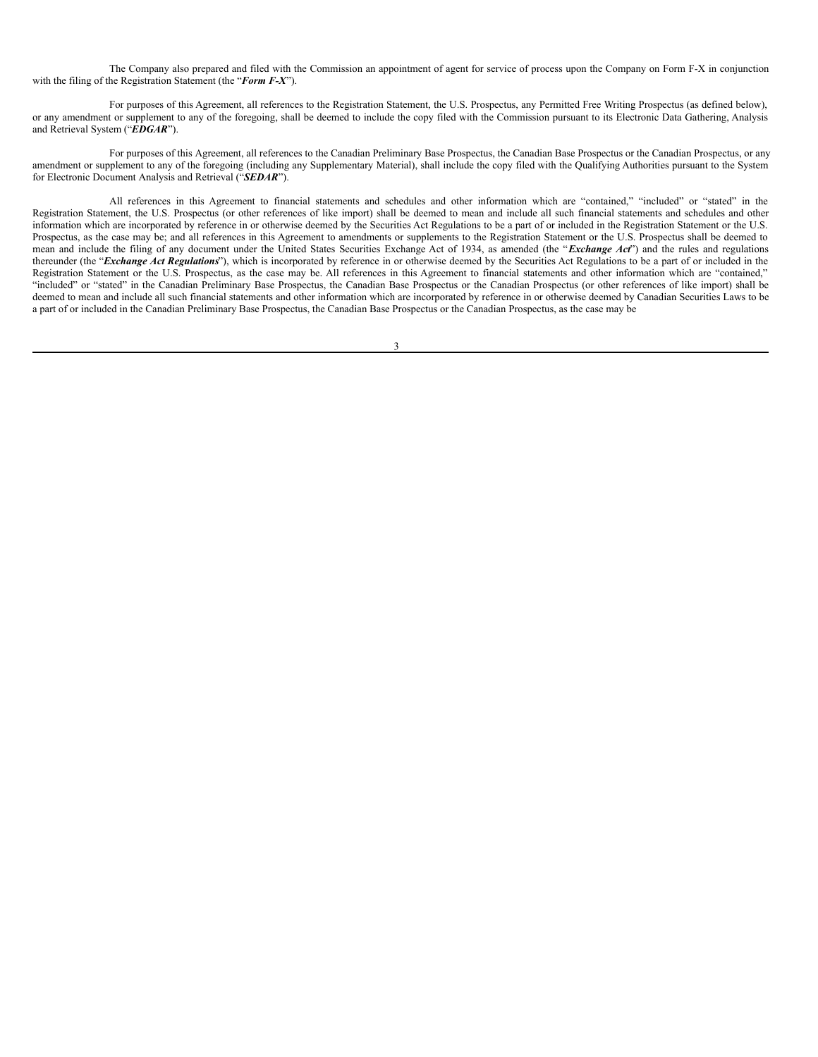The Company also prepared and filed with the Commission an appointment of agent for service of process upon the Company on Form F-X in conjunction with the filing of the Registration Statement (the "*Form F-X*").

For purposes of this Agreement, all references to the Registration Statement, the U.S. Prospectus, any Permitted Free Writing Prospectus (as defined below), or any amendment or supplement to any of the foregoing, shall be deemed to include the copy filed with the Commission pursuant to its Electronic Data Gathering, Analysis and Retrieval System ("*EDGAR*").

For purposes of this Agreement, all references to the Canadian Preliminary Base Prospectus, the Canadian Base Prospectus or the Canadian Prospectus, or any amendment or supplement to any of the foregoing (including any Supplementary Material), shall include the copy filed with the Qualifying Authorities pursuant to the System for Electronic Document Analysis and Retrieval ("*SEDAR*").

All references in this Agreement to financial statements and schedules and other information which are "contained," "included" or "stated" in the Registration Statement, the U.S. Prospectus (or other references of like import) shall be deemed to mean and include all such financial statements and schedules and other information which are incorporated by reference in or otherwise deemed by the Securities Act Regulations to be a part of or included in the Registration Statement or the U.S. Prospectus, as the case may be; and all references in this Agreement to amendments or supplements to the Registration Statement or the U.S. Prospectus shall be deemed to mean and include the filing of any document under the United States Securities Exchange Act of 1934, as amended (the "*Exchange Act*") and the rules and regulations thereunder (the "*Exchange Act Regulations*"), which is incorporated by reference in or otherwise deemed by the Securities Act Regulations to be a part of or included in the Registration Statement or the U.S. Prospectus, as the case may be. All references in this Agreement to financial statements and other information which are "contained," "included" or "stated" in the Canadian Preliminary Base Prospectus, the Canadian Base Prospectus or the Canadian Prospectus (or other references of like import) shall be deemed to mean and include all such financial statements and other information which are incorporated by reference in or otherwise deemed by Canadian Securities Laws to be a part of or included in the Canadian Preliminary Base Prospectus, the Canadian Base Prospectus or the Canadian Prospectus, as the case may be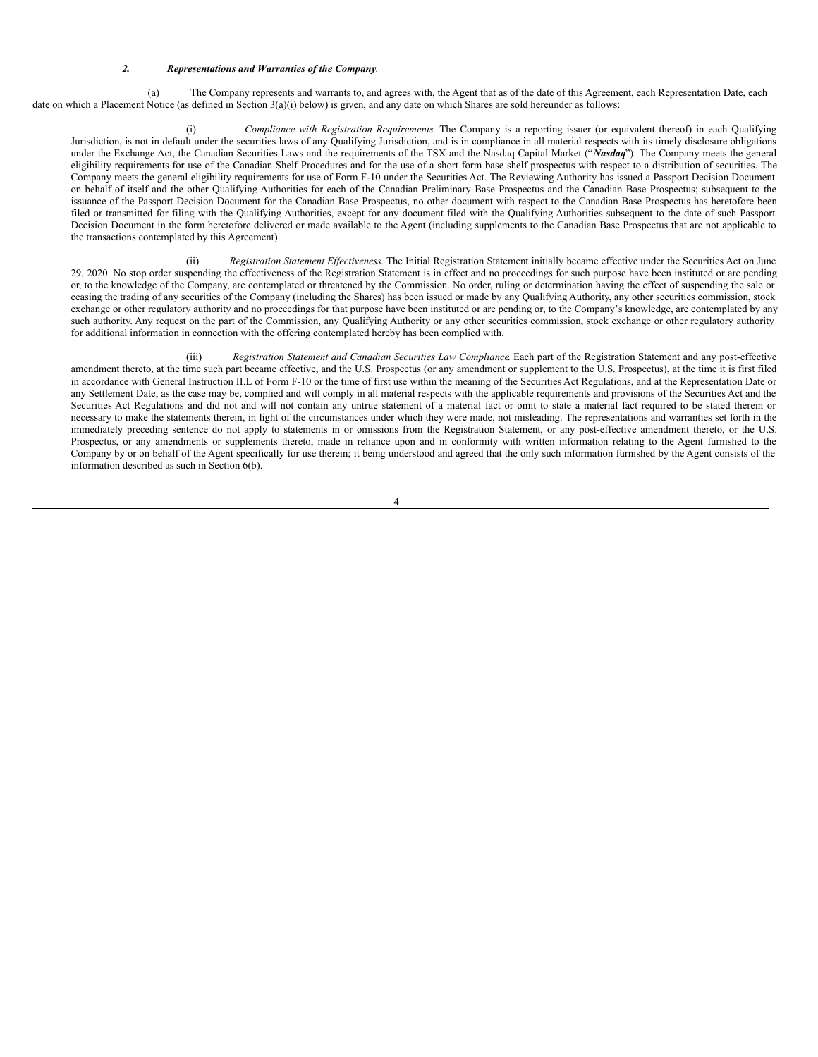#### *2. Representations and Warranties of the Company*.

(a) The Company represents and warrants to, and agrees with, the Agent that as of the date of this Agreement, each Representation Date, each date on which a Placement Notice (as defined in Section 3(a)(i) below) is given, and any date on which Shares are sold hereunder as follows:

(i) *Compliance with Registration Requirements.* The Company is a reporting issuer (or equivalent thereof) in each Qualifying Jurisdiction, is not in default under the securities laws of any Qualifying Jurisdiction, and is in compliance in all material respects with its timely disclosure obligations under the Exchange Act, the Canadian Securities Laws and the requirements of the TSX and the Nasdaq Capital Market ("*Nasdaq*"). The Company meets the general eligibility requirements for use of the Canadian Shelf Procedures and for the use of a short form base shelf prospectus with respect to a distribution of securities. The Company meets the general eligibility requirements for use of Form F-10 under the Securities Act. The Reviewing Authority has issued a Passport Decision Document on behalf of itself and the other Qualifying Authorities for each of the Canadian Preliminary Base Prospectus and the Canadian Base Prospectus; subsequent to the issuance of the Passport Decision Document for the Canadian Base Prospectus, no other document with respect to the Canadian Base Prospectus has heretofore been filed or transmitted for filing with the Qualifying Authorities, except for any document filed with the Qualifying Authorities subsequent to the date of such Passport Decision Document in the form heretofore delivered or made available to the Agent (including supplements to the Canadian Base Prospectus that are not applicable to the transactions contemplated by this Agreement).

(ii) *Registration Statement Effectiveness*. The Initial Registration Statement initially became effective under the Securities Act on June 29, 2020. No stop order suspending the effectiveness of the Registration Statement is in effect and no proceedings for such purpose have been instituted or are pending or, to the knowledge of the Company, are contemplated or threatened by the Commission. No order, ruling or determination having the effect of suspending the sale or ceasing the trading of any securities of the Company (including the Shares) has been issued or made by any Qualifying Authority, any other securities commission, stock exchange or other regulatory authority and no proceedings for that purpose have been instituted or are pending or, to the Company's knowledge, are contemplated by any such authority. Any request on the part of the Commission, any Qualifying Authority or any other securities commission, stock exchange or other regulatory authority for additional information in connection with the offering contemplated hereby has been complied with.

(iii) *Registration Statement and Canadian Securities Law Compliance*. Each part of the Registration Statement and any post-effective amendment thereto, at the time such part became effective, and the U.S. Prospectus (or any amendment or supplement to the U.S. Prospectus), at the time it is first filed in accordance with General Instruction II.L of Form F-10 or the time of first use within the meaning of the Securities Act Regulations, and at the Representation Date or any Settlement Date, as the case may be, complied and will comply in all material respects with the applicable requirements and provisions of the Securities Act and the Securities Act Regulations and did not and will not contain any untrue statement of a material fact or omit to state a material fact required to be stated therein or necessary to make the statements therein, in light of the circumstances under which they were made, not misleading. The representations and warranties set forth in the immediately preceding sentence do not apply to statements in or omissions from the Registration Statement, or any post-effective amendment thereto, or the U.S. Prospectus, or any amendments or supplements thereto, made in reliance upon and in conformity with written information relating to the Agent furnished to the Company by or on behalf of the Agent specifically for use therein; it being understood and agreed that the only such information furnished by the Agent consists of the information described as such in Section 6(b).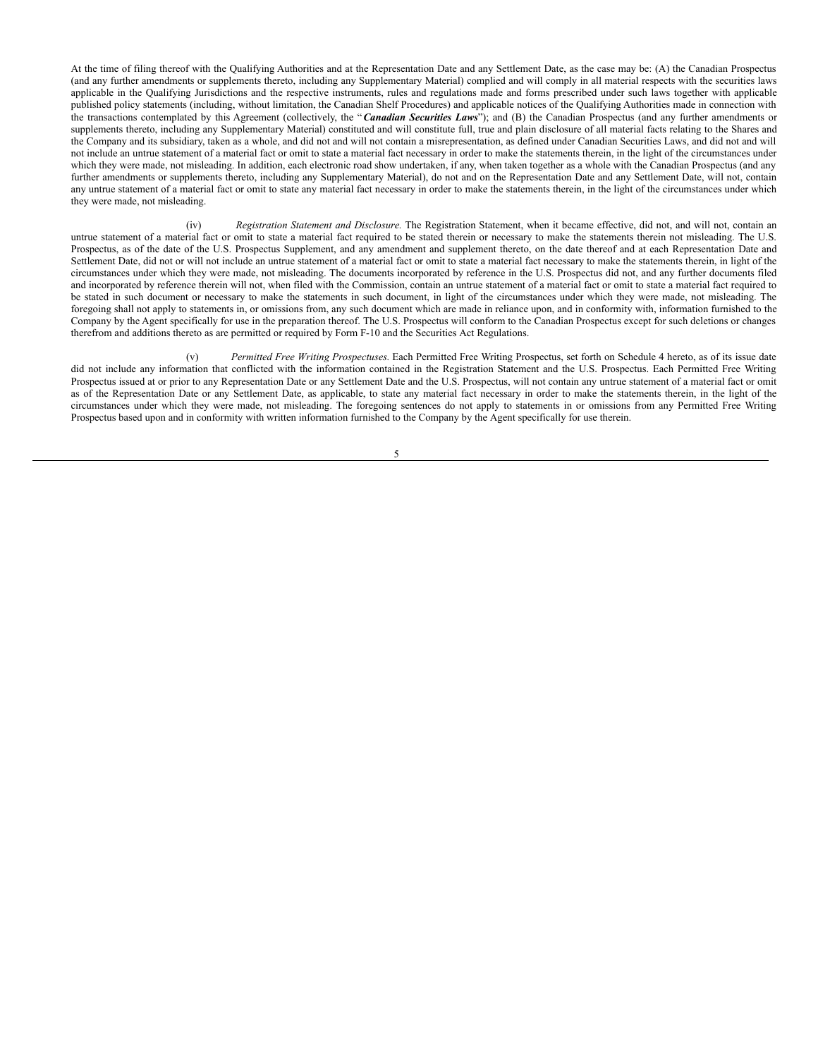At the time of filing thereof with the Qualifying Authorities and at the Representation Date and any Settlement Date, as the case may be: (A) the Canadian Prospectus (and any further amendments or supplements thereto, including any Supplementary Material) complied and will comply in all material respects with the securities laws applicable in the Qualifying Jurisdictions and the respective instruments, rules and regulations made and forms prescribed under such laws together with applicable published policy statements (including, without limitation, the Canadian Shelf Procedures) and applicable notices of the Qualifying Authorities made in connection with the transactions contemplated by this Agreement (collectively, the "*Canadian Securities Laws*"); and (B) the Canadian Prospectus (and any further amendments or supplements thereto, including any Supplementary Material) constituted and will constitute full, true and plain disclosure of all material facts relating to the Shares and the Company and its subsidiary, taken as a whole, and did not and will not contain a misrepresentation, as defined under Canadian Securities Laws, and did not and will not include an untrue statement of a material fact or omit to state a material fact necessary in order to make the statements therein, in the light of the circumstances under which they were made, not misleading. In addition, each electronic road show undertaken, if any, when taken together as a whole with the Canadian Prospectus (and any further amendments or supplements thereto, including any Supplementary Material), do not and on the Representation Date and any Settlement Date, will not, contain any untrue statement of a material fact or omit to state any material fact necessary in order to make the statements therein, in the light of the circumstances under which they were made, not misleading.

(iv) *Registration Statement and Disclosure.* The Registration Statement, when it became effective, did not, and will not, contain an untrue statement of a material fact or omit to state a material fact required to be stated therein or necessary to make the statements therein not misleading. The U.S. Prospectus, as of the date of the U.S. Prospectus Supplement, and any amendment and supplement thereto, on the date thereof and at each Representation Date and Settlement Date, did not or will not include an untrue statement of a material fact or omit to state a material fact necessary to make the statements therein, in light of the circumstances under which they were made, not misleading. The documents incorporated by reference in the U.S. Prospectus did not, and any further documents filed and incorporated by reference therein will not, when filed with the Commission, contain an untrue statement of a material fact or omit to state a material fact required to be stated in such document or necessary to make the statements in such document, in light of the circumstances under which they were made, not misleading. The foregoing shall not apply to statements in, or omissions from, any such document which are made in reliance upon, and in conformity with, information furnished to the Company by the Agent specifically for use in the preparation thereof. The U.S. Prospectus will conform to the Canadian Prospectus except for such deletions or changes therefrom and additions thereto as are permitted or required by Form F-10 and the Securities Act Regulations.

(v) *Permitted Free Writing Prospectuses.* Each Permitted Free Writing Prospectus, set forth on Schedule 4 hereto, as of its issue date did not include any information that conflicted with the information contained in the Registration Statement and the U.S. Prospectus. Each Permitted Free Writing Prospectus issued at or prior to any Representation Date or any Settlement Date and the U.S. Prospectus, will not contain any untrue statement of a material fact or omit as of the Representation Date or any Settlement Date, as applicable, to state any material fact necessary in order to make the statements therein, in the light of the circumstances under which they were made, not misleading. The foregoing sentences do not apply to statements in or omissions from any Permitted Free Writing Prospectus based upon and in conformity with written information furnished to the Company by the Agent specifically for use therein.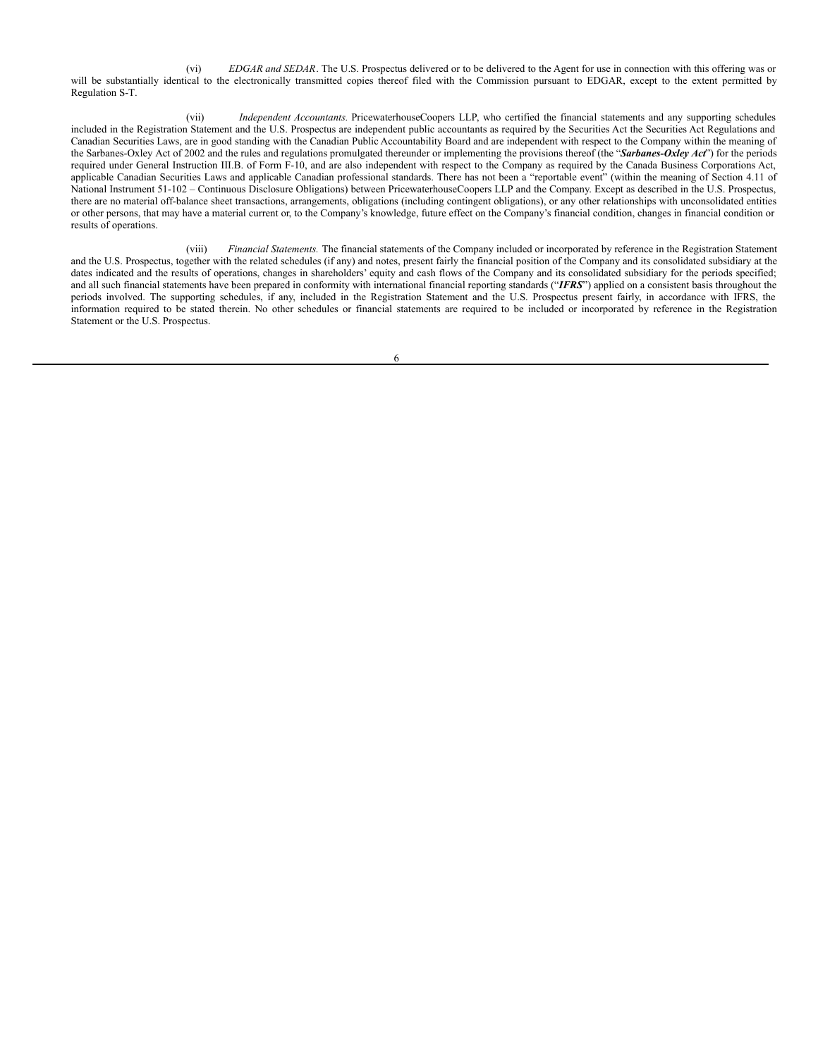(vi) *EDGAR and SEDAR*. The U.S. Prospectus delivered or to be delivered to the Agent for use in connection with this offering was or will be substantially identical to the electronically transmitted copies thereof filed with the Commission pursuant to EDGAR, except to the extent permitted by Regulation S-T.

(vii) *Independent Accountants.* PricewaterhouseCoopers LLP, who certified the financial statements and any supporting schedules included in the Registration Statement and the U.S. Prospectus are independent public accountants as required by the Securities Act the Securities Act Regulations and Canadian Securities Laws, are in good standing with the Canadian Public Accountability Board and are independent with respect to the Company within the meaning of the Sarbanes-Oxley Act of 2002 and the rules and regulations promulgated thereunder or implementing the provisions thereof (the "*Sarbanes-Oxley Act*") for the periods required under General Instruction III.B. of Form F-10, and are also independent with respect to the Company as required by the Canada Business Corporations Act, applicable Canadian Securities Laws and applicable Canadian professional standards. There has not been a "reportable event" (within the meaning of Section 4.11 of National Instrument 51-102 – Continuous Disclosure Obligations) between PricewaterhouseCoopers LLP and the Company. Except as described in the U.S. Prospectus, there are no material off-balance sheet transactions, arrangements, obligations (including contingent obligations), or any other relationships with unconsolidated entities or other persons, that may have a material current or, to the Company's knowledge, future effect on the Company's financial condition, changes in financial condition or results of operations.

(viii) *Financial Statements.* The financial statements of the Company included or incorporated by reference in the Registration Statement and the U.S. Prospectus, together with the related schedules (if any) and notes, present fairly the financial position of the Company and its consolidated subsidiary at the dates indicated and the results of operations, changes in shareholders' equity and cash flows of the Company and its consolidated subsidiary for the periods specified; and all such financial statements have been prepared in conformity with international financial reporting standards ("*IFRS*") applied on a consistent basis throughout the periods involved. The supporting schedules, if any, included in the Registration Statement and the U.S. Prospectus present fairly, in accordance with IFRS, the information required to be stated therein. No other schedules or financial statements are required to be included or incorporated by reference in the Registration Statement or the U.S. Prospectus.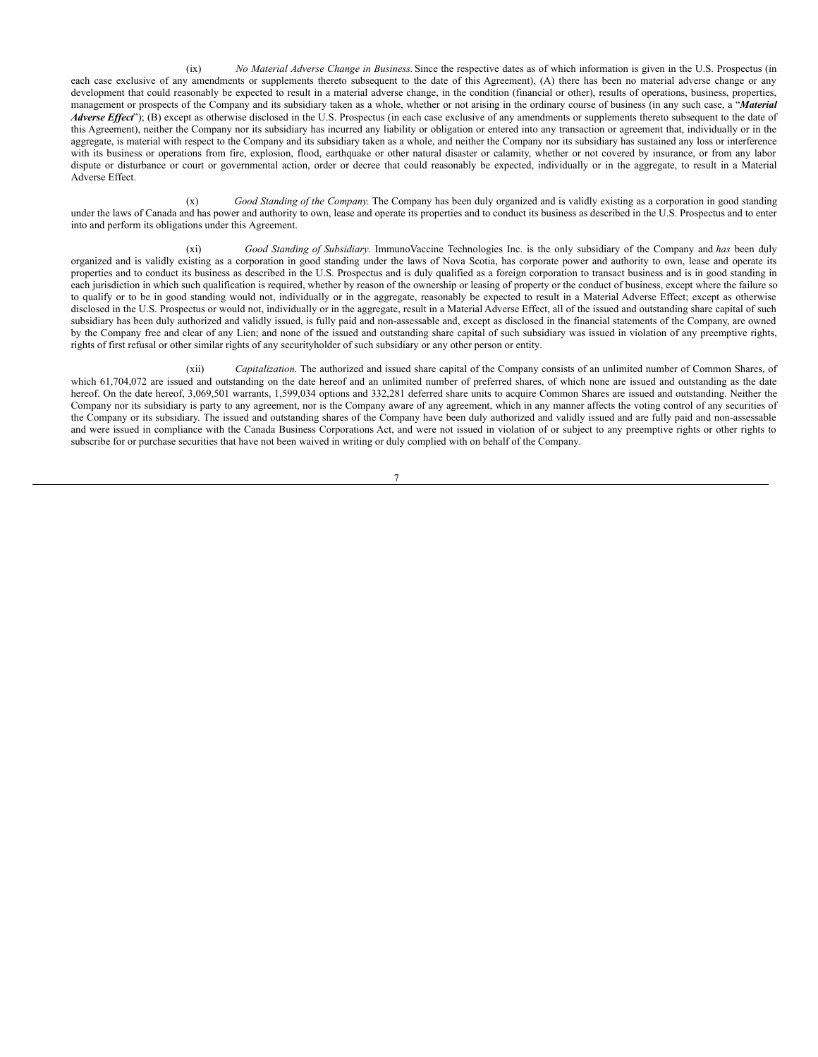(ix) *No Material Adverse Change in Business.* Since the respective dates as of which information is given in the U.S. Prospectus (in each case exclusive of any amendments or supplements thereto subsequent to the date of this Agreement), (A) there has been no material adverse change or any development that could reasonably be expected to result in a material adverse change, in the condition (financial or other), results of operations, business, properties, management or prospects of the Company and its subsidiary taken as a whole, whether or not arising in the ordinary course of business (in any such case, a "*Material Adverse Effect*"); (B) except as otherwise disclosed in the U.S. Prospectus (in each case exclusive of any amendments or supplements thereto subsequent to the date of this Agreement), neither the Company nor its subsidiary has incurred any liability or obligation or entered into any transaction or agreement that, individually or in the aggregate, is material with respect to the Company and its subsidiary taken as a whole, and neither the Company nor its subsidiary has sustained any loss or interference with its business or operations from fire, explosion, flood, earthquake or other natural disaster or calamity, whether or not covered by insurance, or from any labor dispute or disturbance or court or governmental action, order or decree that could reasonably be expected, individually or in the aggregate, to result in a Material Adverse Effect.

(x) *Good Standing of the Company*. The Company has been duly organized and is validly existing as a corporation in good standing under the laws of Canada and has power and authority to own, lease and operate its properties and to conduct its business as described in the U.S. Prospectus and to enter into and perform its obligations under this Agreement.

(xi) *Good Standing of Subsidiary*. ImmunoVaccine Technologies Inc. is the only subsidiary of the Company and *has* been duly organized and is validly existing as a corporation in good standing under the laws of Nova Scotia, has corporate power and authority to own, lease and operate its properties and to conduct its business as described in the U.S. Prospectus and is duly qualified as a foreign corporation to transact business and is in good standing in each jurisdiction in which such qualification is required, whether by reason of the ownership or leasing of property or the conduct of business, except where the failure so to qualify or to be in good standing would not, individually or in the aggregate, reasonably be expected to result in a Material Adverse Effect; except as otherwise disclosed in the U.S. Prospectus or would not, individually or in the aggregate, result in a Material Adverse Effect, all of the issued and outstanding share capital of such subsidiary has been duly authorized and validly issued, is fully paid and non-assessable and, except as disclosed in the financial statements of the Company, are owned by the Company free and clear of any Lien; and none of the issued and outstanding share capital of such subsidiary was issued in violation of any preemptive rights, rights of first refusal or other similar rights of any securityholder of such subsidiary or any other person or entity.

(xii) *Capitalization*. The authorized and issued share capital of the Company consists of an unlimited number of Common Shares, of which 61,704,072 are issued and outstanding on the date hereof and an unlimited number of preferred shares, of which none are issued and outstanding as the date hereof. On the date hereof, 3,069,501 warrants, 1,599,034 options and 332,281 deferred share units to acquire Common Shares are issued and outstanding. Neither the Company nor its subsidiary is party to any agreement, nor is the Company aware of any agreement, which in any manner affects the voting control of any securities of the Company or its subsidiary. The issued and outstanding shares of the Company have been duly authorized and validly issued and are fully paid and non-assessable and were issued in compliance with the Canada Business Corporations Act, and were not issued in violation of or subject to any preemptive rights or other rights to subscribe for or purchase securities that have not been waived in writing or duly complied with on behalf of the Company.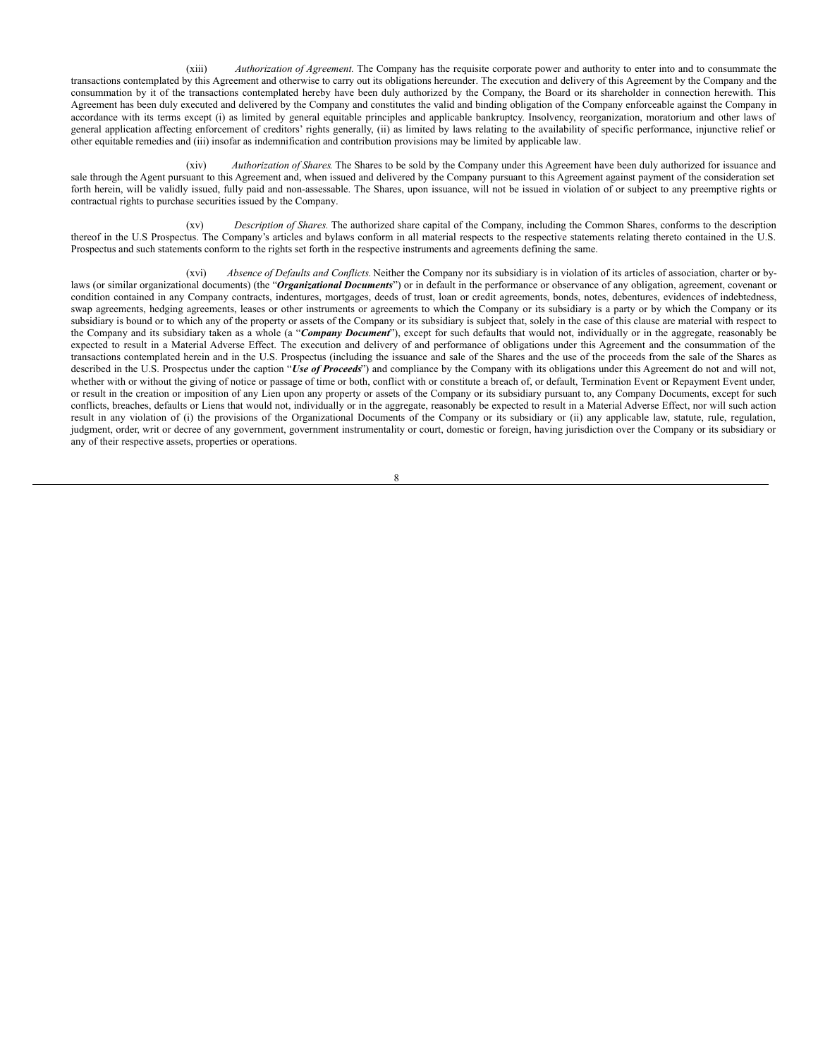(xiii) *Authorization of Agreement.* The Company has the requisite corporate power and authority to enter into and to consummate the transactions contemplated by this Agreement and otherwise to carry out its obligations hereunder. The execution and delivery of this Agreement by the Company and the consummation by it of the transactions contemplated hereby have been duly authorized by the Company, the Board or its shareholder in connection herewith. This Agreement has been duly executed and delivered by the Company and constitutes the valid and binding obligation of the Company enforceable against the Company in accordance with its terms except (i) as limited by general equitable principles and applicable bankruptcy. Insolvency, reorganization, moratorium and other laws of general application affecting enforcement of creditors' rights generally, (ii) as limited by laws relating to the availability of specific performance, injunctive relief or other equitable remedies and (iii) insofar as indemnification and contribution provisions may be limited by applicable law.

(xiv) *Authorization of Shares*. The Shares to be sold by the Company under this Agreement have been duly authorized for issuance and sale through the Agent pursuant to this Agreement and, when issued and delivered by the Company pursuant to this Agreement against payment of the consideration set forth herein, will be validly issued, fully paid and non-assessable. The Shares, upon issuance, will not be issued in violation of or subject to any preemptive rights or contractual rights to purchase securities issued by the Company.

(xv) *Description of Shares.* The authorized share capital of the Company, including the Common Shares, conforms to the description thereof in the U.S Prospectus. The Company's articles and bylaws conform in all material respects to the respective statements relating thereto contained in the U.S. Prospectus and such statements conform to the rights set forth in the respective instruments and agreements defining the same.

(xvi) *Absence of Defaults and Conflicts.* Neither the Company nor its subsidiary is in violation of its articles of association, charter or bylaws (or similar organizational documents) (the "*Organizational Documents*") or in default in the performance or observance of any obligation, agreement, covenant or condition contained in any Company contracts, indentures, mortgages, deeds of trust, loan or credit agreements, bonds, notes, debentures, evidences of indebtedness, swap agreements, hedging agreements, leases or other instruments or agreements to which the Company or its subsidiary is a party or by which the Company or its subsidiary is bound or to which any of the property or assets of the Company or its subsidiary is subject that, solely in the case of this clause are material with respect to the Company and its subsidiary taken as a whole (a "*Company Document*"), except for such defaults that would not, individually or in the aggregate, reasonably be expected to result in a Material Adverse Effect. The execution and delivery of and performance of obligations under this Agreement and the consummation of the transactions contemplated herein and in the U.S. Prospectus (including the issuance and sale of the Shares and the use of the proceeds from the sale of the Shares as described in the U.S. Prospectus under the caption "*Use of Proceeds*") and compliance by the Company with its obligations under this Agreement do not and will not, whether with or without the giving of notice or passage of time or both, conflict with or constitute a breach of, or default, Termination Event or Repayment Event under, or result in the creation or imposition of any Lien upon any property or assets of the Company or its subsidiary pursuant to, any Company Documents, except for such conflicts, breaches, defaults or Liens that would not, individually or in the aggregate, reasonably be expected to result in a Material Adverse Effect, nor will such action result in any violation of (i) the provisions of the Organizational Documents of the Company or its subsidiary or (ii) any applicable law, statute, rule, regulation, judgment, order, writ or decree of any government, government instrumentality or court, domestic or foreign, having jurisdiction over the Company or its subsidiary or any of their respective assets, properties or operations.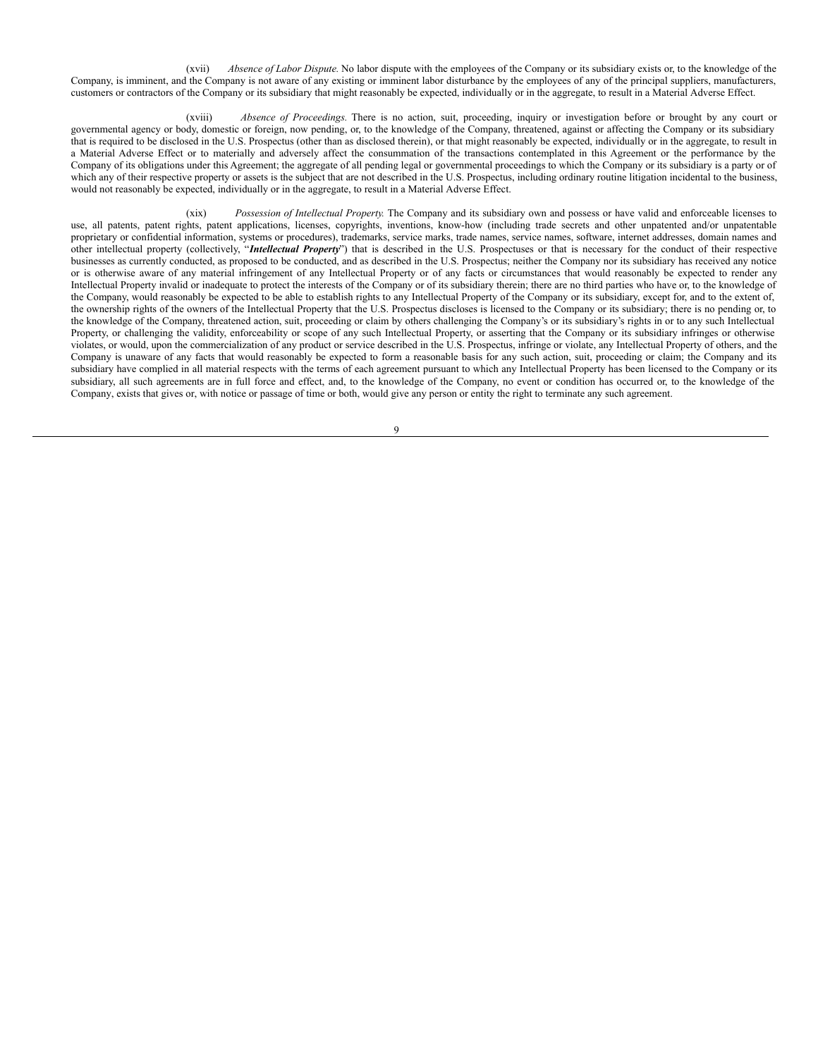(xvii) *Absence of Labor Dispute.* No labor dispute with the employees of the Company or its subsidiary exists or, to the knowledge of the Company, is imminent, and the Company is not aware of any existing or imminent labor disturbance by the employees of any of the principal suppliers, manufacturers, customers or contractors of the Company or its subsidiary that might reasonably be expected, individually or in the aggregate, to result in a Material Adverse Effect.

(xviii) *Absence of Proceedings.* There is no action, suit, proceeding, inquiry or investigation before or brought by any court or governmental agency or body, domestic or foreign, now pending, or, to the knowledge of the Company, threatened, against or affecting the Company or its subsidiary that is required to be disclosed in the U.S. Prospectus (other than as disclosed therein), or that might reasonably be expected, individually or in the aggregate, to result in a Material Adverse Effect or to materially and adversely affect the consummation of the transactions contemplated in this Agreement or the performance by the Company of its obligations under this Agreement; the aggregate of all pending legal or governmental proceedings to which the Company or its subsidiary is a party or of which any of their respective property or assets is the subject that are not described in the U.S. Prospectus, including ordinary routine litigation incidental to the business, would not reasonably be expected, individually or in the aggregate, to result in a Material Adverse Effect.

(xix) *Possession of Intellectual Property.* The Company and its subsidiary own and possess or have valid and enforceable licenses to use, all patents, patent rights, patent applications, licenses, copyrights, inventions, know-how (including trade secrets and other unpatented and/or unpatentable proprietary or confidential information, systems or procedures), trademarks, service marks, trade names, service names, software, internet addresses, domain names and other intellectual property (collectively, "*Intellectual Property*") that is described in the U.S. Prospectuses or that is necessary for the conduct of their respective businesses as currently conducted, as proposed to be conducted, and as described in the U.S. Prospectus; neither the Company nor its subsidiary has received any notice or is otherwise aware of any material infringement of any Intellectual Property or of any facts or circumstances that would reasonably be expected to render any Intellectual Property invalid or inadequate to protect the interests of the Company or of its subsidiary therein; there are no third parties who have or, to the knowledge of the Company, would reasonably be expected to be able to establish rights to any Intellectual Property of the Company or its subsidiary, except for, and to the extent of, the ownership rights of the owners of the Intellectual Property that the U.S. Prospectus discloses is licensed to the Company or its subsidiary; there is no pending or, to the knowledge of the Company, threatened action, suit, proceeding or claim by others challenging the Company's or its subsidiary's rights in or to any such Intellectual Property, or challenging the validity, enforceability or scope of any such Intellectual Property, or asserting that the Company or its subsidiary infringes or otherwise violates, or would, upon the commercialization of any product or service described in the U.S. Prospectus, infringe or violate, any Intellectual Property of others, and the Company is unaware of any facts that would reasonably be expected to form a reasonable basis for any such action, suit, proceeding or claim; the Company and its subsidiary have complied in all material respects with the terms of each agreement pursuant to which any Intellectual Property has been licensed to the Company or its subsidiary, all such agreements are in full force and effect, and, to the knowledge of the Company, no event or condition has occurred or, to the knowledge of the Company, exists that gives or, with notice or passage of time or both, would give any person or entity the right to terminate any such agreement.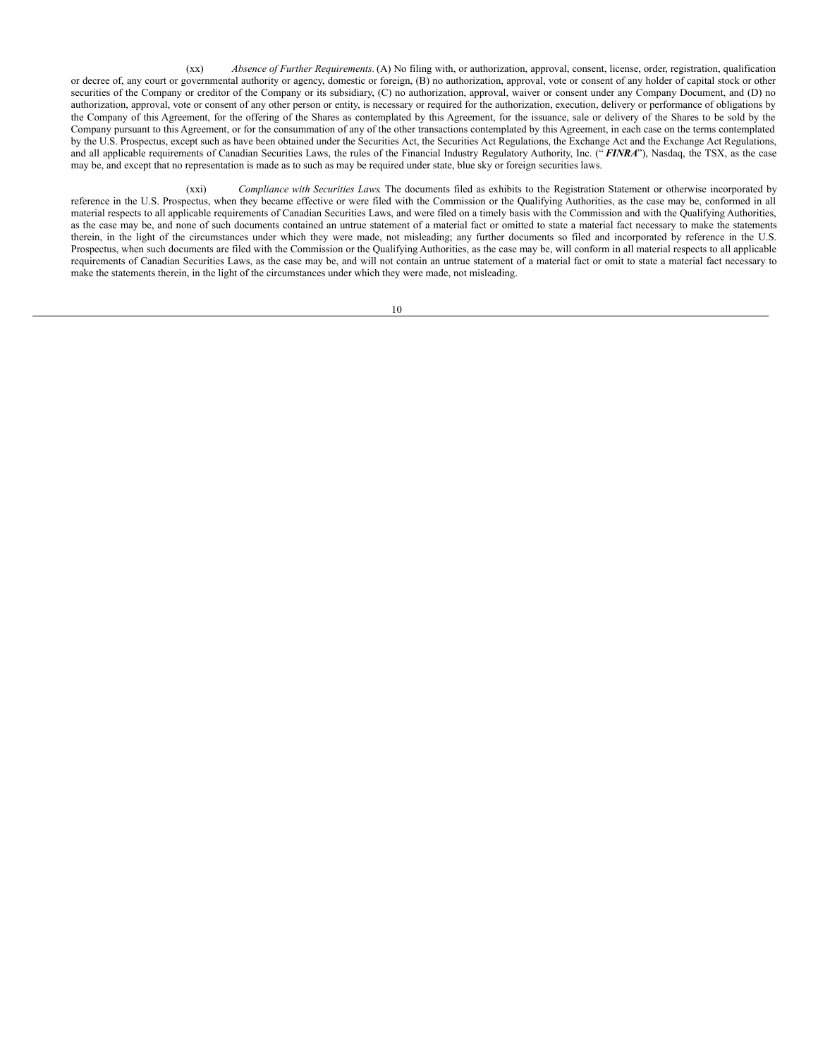(xx) *Absence of Further Requirements.* (A) No filing with, or authorization, approval, consent, license, order, registration, qualification or decree of, any court or governmental authority or agency, domestic or foreign, (B) no authorization, approval, vote or consent of any holder of capital stock or other securities of the Company or creditor of the Company or its subsidiary, (C) no authorization, approval, waiver or consent under any Company Document, and (D) no authorization, approval, vote or consent of any other person or entity, is necessary or required for the authorization, execution, delivery or performance of obligations by the Company of this Agreement, for the offering of the Shares as contemplated by this Agreement, for the issuance, sale or delivery of the Shares to be sold by the Company pursuant to this Agreement, or for the consummation of any of the other transactions contemplated by this Agreement, in each case on the terms contemplated by the U.S. Prospectus, except such as have been obtained under the Securities Act, the Securities Act Regulations, the Exchange Act and the Exchange Act Regulations, and all applicable requirements of Canadian Securities Laws, the rules of the Financial Industry Regulatory Authority, Inc. ("*FINRA*"), Nasdaq, the TSX, as the case may be, and except that no representation is made as to such as may be required under state, blue sky or foreign securities laws.

(xxi) *Compliance with Securities Laws*. The documents filed as exhibits to the Registration Statement or otherwise incorporated by reference in the U.S. Prospectus, when they became effective or were filed with the Commission or the Qualifying Authorities, as the case may be, conformed in all material respects to all applicable requirements of Canadian Securities Laws, and were filed on a timely basis with the Commission and with the Qualifying Authorities, as the case may be, and none of such documents contained an untrue statement of a material fact or omitted to state a material fact necessary to make the statements therein, in the light of the circumstances under which they were made, not misleading; any further documents so filed and incorporated by reference in the U.S. Prospectus, when such documents are filed with the Commission or the Qualifying Authorities, as the case may be, will conform in all material respects to all applicable requirements of Canadian Securities Laws, as the case may be, and will not contain an untrue statement of a material fact or omit to state a material fact necessary to make the statements therein, in the light of the circumstances under which they were made, not misleading.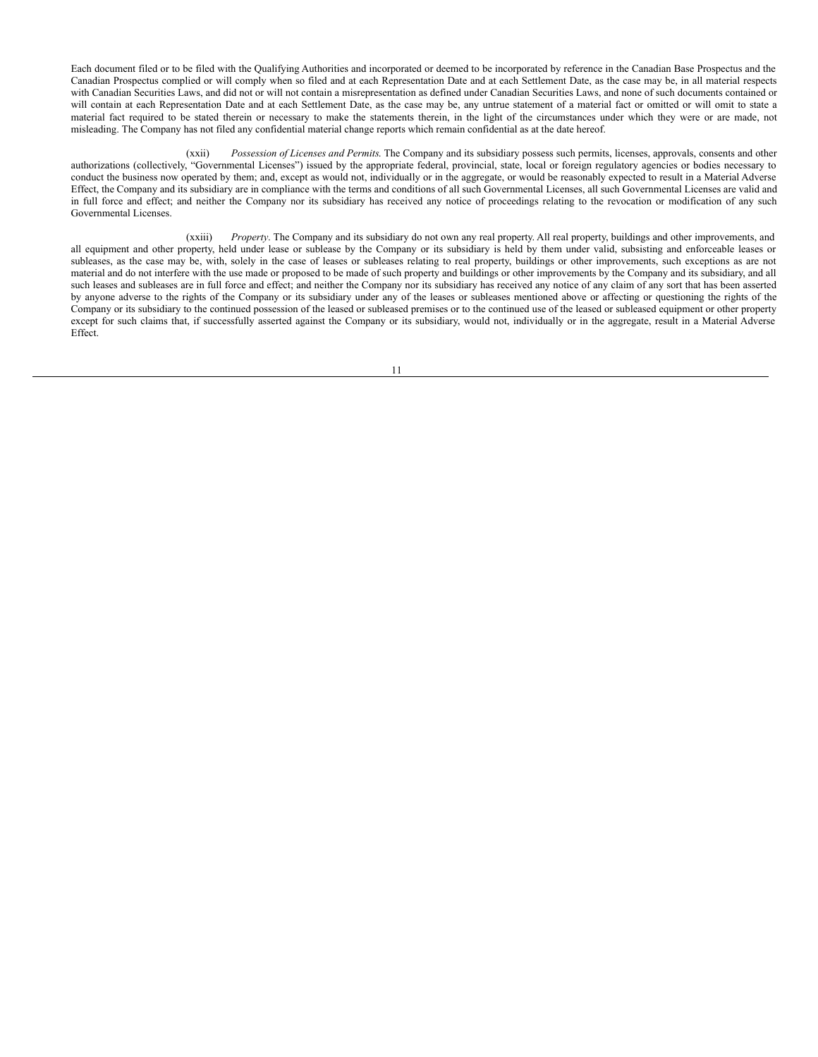Each document filed or to be filed with the Qualifying Authorities and incorporated or deemed to be incorporated by reference in the Canadian Base Prospectus and the Canadian Prospectus complied or will comply when so filed and at each Representation Date and at each Settlement Date, as the case may be, in all material respects with Canadian Securities Laws, and did not or will not contain a misrepresentation as defined under Canadian Securities Laws, and none of such documents contained or will contain at each Representation Date and at each Settlement Date, as the case may be, any untrue statement of a material fact or omitted or will omit to state a material fact required to be stated therein or necessary to make the statements therein, in the light of the circumstances under which they were or are made, not misleading. The Company has not filed any confidential material change reports which remain confidential as at the date hereof.

(xxii) *Possession of Licenses and Permits*. The Company and its subsidiary possess such permits, licenses, approvals, consents and other authorizations (collectively, "Governmental Licenses") issued by the appropriate federal, provincial, state, local or foreign regulatory agencies or bodies necessary to conduct the business now operated by them; and, except as would not, individually or in the aggregate, or would be reasonably expected to result in a Material Adverse Effect, the Company and its subsidiary are in compliance with the terms and conditions of all such Governmental Licenses, all such Governmental Licenses are valid and in full force and effect; and neither the Company nor its subsidiary has received any notice of proceedings relating to the revocation or modification of any such Governmental Licenses.

(xxiii) *Property*. The Company and its subsidiary do not own any real property. All real property, buildings and other improvements, and all equipment and other property, held under lease or sublease by the Company or its subsidiary is held by them under valid, subsisting and enforceable leases or subleases, as the case may be, with, solely in the case of leases or subleases relating to real property, buildings or other improvements, such exceptions as are not material and do not interfere with the use made or proposed to be made of such property and buildings or other improvements by the Company and its subsidiary, and all such leases and subleases are in full force and effect; and neither the Company nor its subsidiary has received any notice of any claim of any sort that has been asserted by anyone adverse to the rights of the Company or its subsidiary under any of the leases or subleases mentioned above or affecting or questioning the rights of the Company or its subsidiary to the continued possession of the leased or subleased premises or to the continued use of the leased or subleased equipment or other property except for such claims that, if successfully asserted against the Company or its subsidiary, would not, individually or in the aggregate, result in a Material Adverse Effect.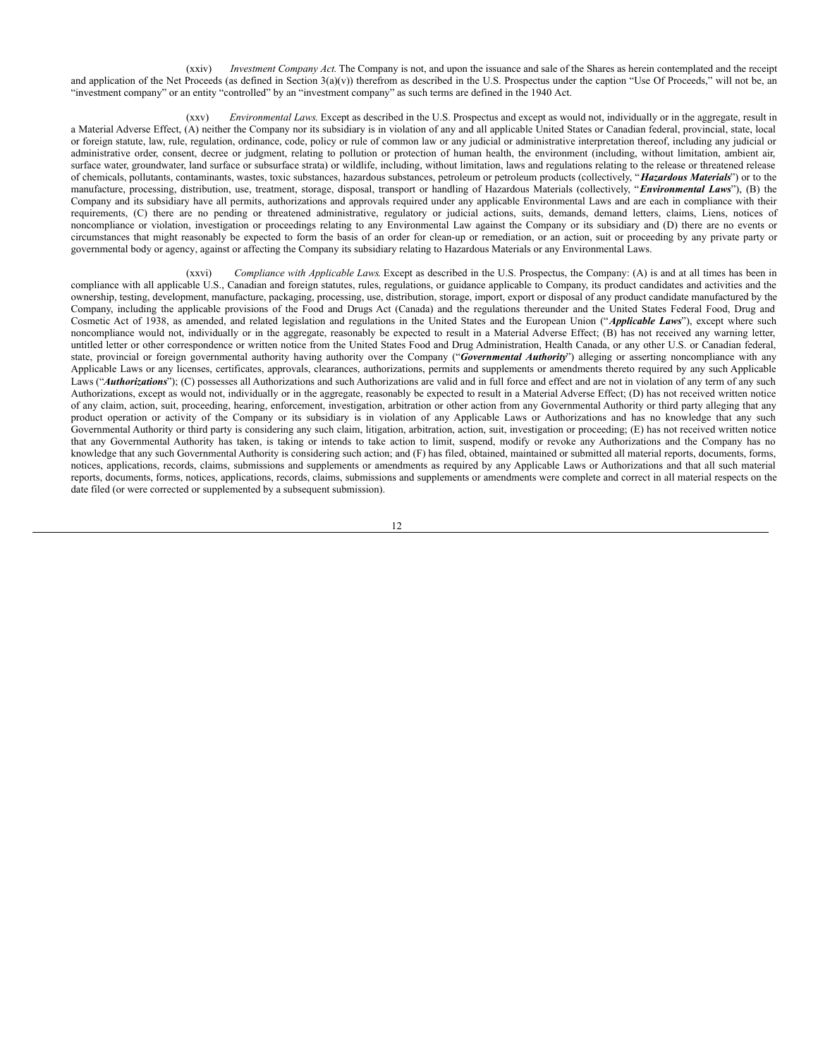(xxiv) *Investment Company Act*. The Company is not, and upon the issuance and sale of the Shares as herein contemplated and the receipt and application of the Net Proceeds (as defined in Section  $3(a)(v)$ ) therefrom as described in the U.S. Prospectus under the caption "Use Of Proceeds," will not be, an "investment company" or an entity "controlled" by an "investment company" as such terms are defined in the 1940 Act.

(xxv) *Environmental Laws*. Except as described in the U.S. Prospectus and except as would not, individually or in the aggregate, result in a Material Adverse Effect, (A) neither the Company nor its subsidiary is in violation of any and all applicable United States or Canadian federal, provincial, state, local or foreign statute, law, rule, regulation, ordinance, code, policy or rule of common law or any judicial or administrative interpretation thereof, including any judicial or administrative order, consent, decree or judgment, relating to pollution or protection of human health, the environment (including, without limitation, ambient air, surface water, groundwater, land surface or subsurface strata) or wildlife, including, without limitation, laws and regulations relating to the release or threatened release of chemicals, pollutants, contaminants, wastes, toxic substances, hazardous substances, petroleum or petroleum products (collectively, "*Hazardous Materials*") or to the manufacture, processing, distribution, use, treatment, storage, disposal, transport or handling of Hazardous Materials (collectively, "*Environmental Laws*"), (B) the Company and its subsidiary have all permits, authorizations and approvals required under any applicable Environmental Laws and are each in compliance with their requirements, (C) there are no pending or threatened administrative, regulatory or judicial actions, suits, demands, demand letters, claims, Liens, notices of noncompliance or violation, investigation or proceedings relating to any Environmental Law against the Company or its subsidiary and (D) there are no events or circumstances that might reasonably be expected to form the basis of an order for clean-up or remediation, or an action, suit or proceeding by any private party or governmental body or agency, against or affecting the Company its subsidiary relating to Hazardous Materials or any Environmental Laws.

(xxvi) *Compliance with Applicable Laws*. Except as described in the U.S. Prospectus, the Company: (A) is and at all times has been in compliance with all applicable U.S., Canadian and foreign statutes, rules, regulations, or guidance applicable to Company, its product candidates and activities and the ownership, testing, development, manufacture, packaging, processing, use, distribution, storage, import, export or disposal of any product candidate manufactured by the Company, including the applicable provisions of the Food and Drugs Act (Canada) and the regulations thereunder and the United States Federal Food, Drug and Cosmetic Act of 1938, as amended, and related legislation and regulations in the United States and the European Union ("*Applicable Laws*"), except where such noncompliance would not, individually or in the aggregate, reasonably be expected to result in a Material Adverse Effect; (B) has not received any warning letter, untitled letter or other correspondence or written notice from the United States Food and Drug Administration, Health Canada, or any other U.S. or Canadian federal, state, provincial or foreign governmental authority having authority over the Company ("*Governmental Authority*") alleging or asserting noncompliance with any Applicable Laws or any licenses, certificates, approvals, clearances, authorizations, permits and supplements or amendments thereto required by any such Applicable Laws ("Authorizations"); (C) possesses all Authorizations and such Authorizations are valid and in full force and effect and are not in violation of any term of any such Authorizations, except as would not, individually or in the aggregate, reasonably be expected to result in a Material Adverse Effect; (D) has not received written notice of any claim, action, suit, proceeding, hearing, enforcement, investigation, arbitration or other action from any Governmental Authority or third party alleging that any product operation or activity of the Company or its subsidiary is in violation of any Applicable Laws or Authorizations and has no knowledge that any such Governmental Authority or third party is considering any such claim, litigation, arbitration, action, suit, investigation or proceeding; (E) has not received written notice that any Governmental Authority has taken, is taking or intends to take action to limit, suspend, modify or revoke any Authorizations and the Company has no knowledge that any such Governmental Authority is considering such action; and (F) has filed, obtained, maintained or submitted all material reports, documents, forms, notices, applications, records, claims, submissions and supplements or amendments as required by any Applicable Laws or Authorizations and that all such material reports, documents, forms, notices, applications, records, claims, submissions and supplements or amendments were complete and correct in all material respects on the date filed (or were corrected or supplemented by a subsequent submission).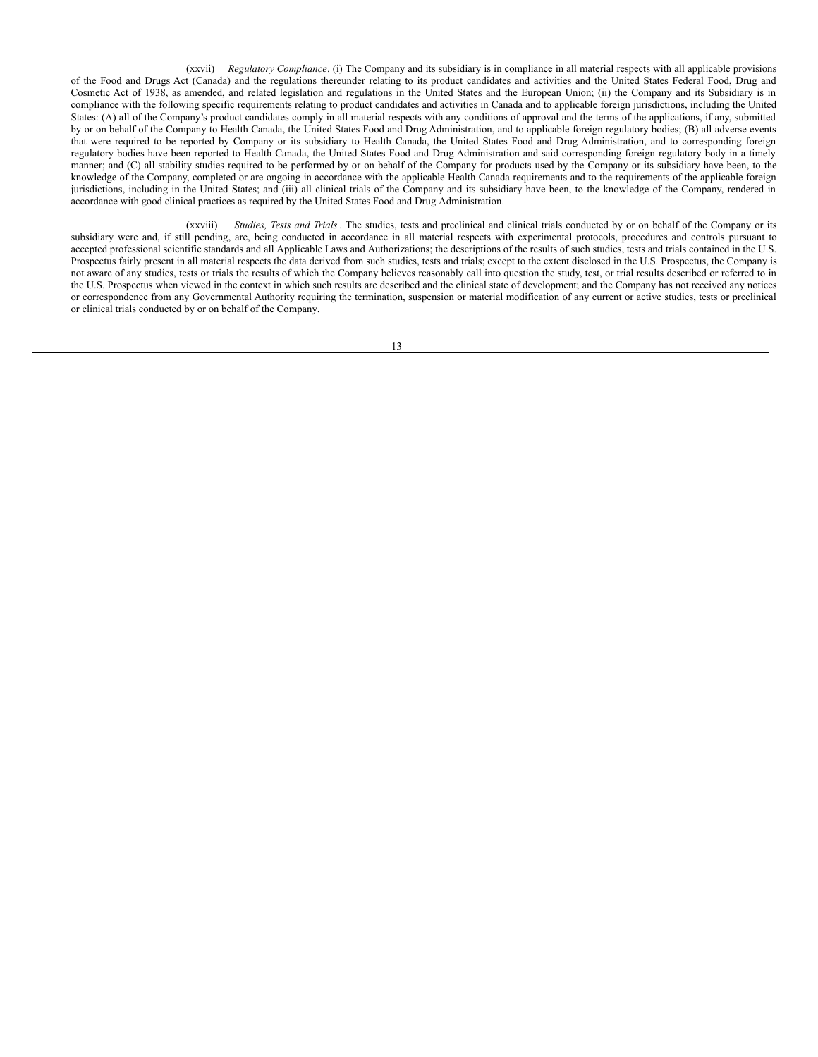(xxvii) *Regulatory Compliance*. (i) The Company and its subsidiary is in compliance in all material respects with all applicable provisions of the Food and Drugs Act (Canada) and the regulations thereunder relating to its product candidates and activities and the United States Federal Food, Drug and Cosmetic Act of 1938, as amended, and related legislation and regulations in the United States and the European Union; (ii) the Company and its Subsidiary is in compliance with the following specific requirements relating to product candidates and activities in Canada and to applicable foreign jurisdictions, including the United States: (A) all of the Company's product candidates comply in all material respects with any conditions of approval and the terms of the applications, if any, submitted by or on behalf of the Company to Health Canada, the United States Food and Drug Administration, and to applicable foreign regulatory bodies; (B) all adverse events that were required to be reported by Company or its subsidiary to Health Canada, the United States Food and Drug Administration, and to corresponding foreign regulatory bodies have been reported to Health Canada, the United States Food and Drug Administration and said corresponding foreign regulatory body in a timely manner; and (C) all stability studies required to be performed by or on behalf of the Company for products used by the Company or its subsidiary have been, to the knowledge of the Company, completed or are ongoing in accordance with the applicable Health Canada requirements and to the requirements of the applicable foreign jurisdictions, including in the United States; and (iii) all clinical trials of the Company and its subsidiary have been, to the knowledge of the Company, rendered in accordance with good clinical practices as required by the United States Food and Drug Administration.

(xxviii) *Studies, Tests and Trials*. The studies, tests and preclinical and clinical trials conducted by or on behalf of the Company or its subsidiary were and, if still pending, are, being conducted in accordance in all material respects with experimental protocols, procedures and controls pursuant to accepted professional scientific standards and all Applicable Laws and Authorizations; the descriptions of the results of such studies, tests and trials contained in the U.S. Prospectus fairly present in all material respects the data derived from such studies, tests and trials; except to the extent disclosed in the U.S. Prospectus, the Company is not aware of any studies, tests or trials the results of which the Company believes reasonably call into question the study, test, or trial results described or referred to in the U.S. Prospectus when viewed in the context in which such results are described and the clinical state of development; and the Company has not received any notices or correspondence from any Governmental Authority requiring the termination, suspension or material modification of any current or active studies, tests or preclinical or clinical trials conducted by or on behalf of the Company.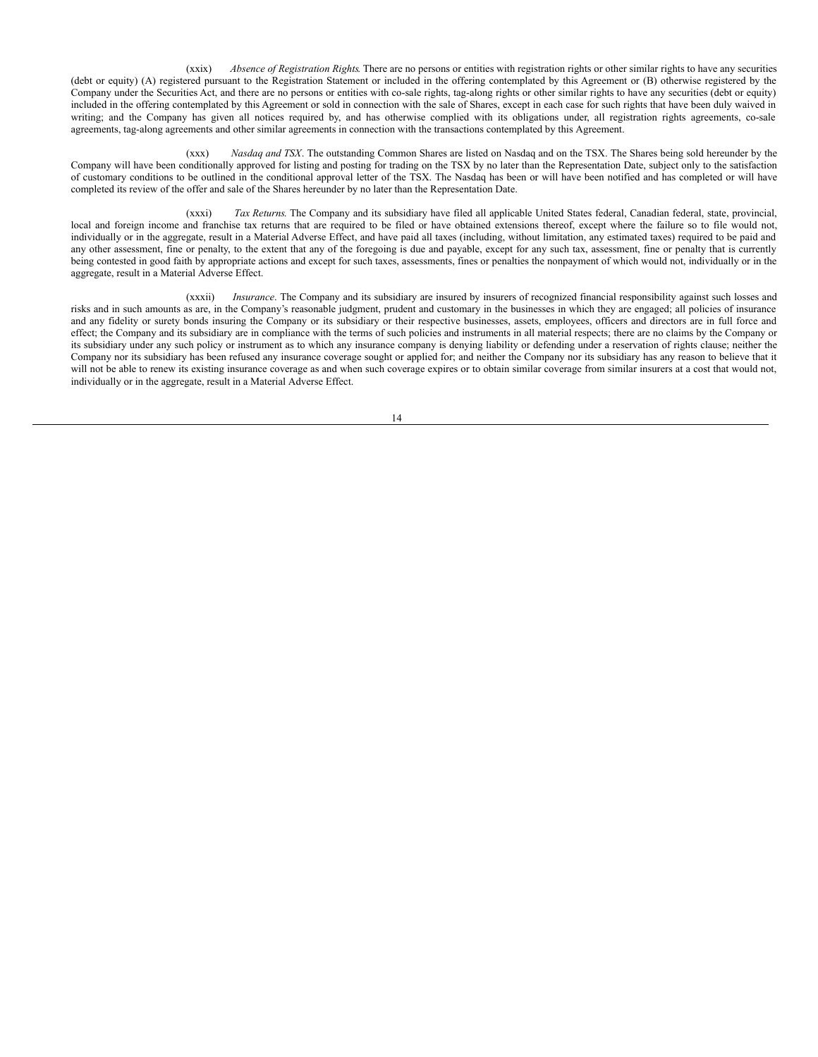(xxix) *Absence of Registration Rights*. There are no persons or entities with registration rights or other similar rights to have any securities (debt or equity) (A) registered pursuant to the Registration Statement or included in the offering contemplated by this Agreement or (B) otherwise registered by the Company under the Securities Act, and there are no persons or entities with co-sale rights, tag-along rights or other similar rights to have any securities (debt or equity) included in the offering contemplated by this Agreement or sold in connection with the sale of Shares, except in each case for such rights that have been duly waived in writing; and the Company has given all notices required by, and has otherwise complied with its obligations under, all registration rights agreements, co-sale agreements, tag-along agreements and other similar agreements in connection with the transactions contemplated by this Agreement.

(xxx) *Nasdaq and TSX*. The outstanding Common Shares are listed on Nasdaq and on the TSX. The Shares being sold hereunder by the Company will have been conditionally approved for listing and posting for trading on the TSX by no later than the Representation Date, subject only to the satisfaction of customary conditions to be outlined in the conditional approval letter of the TSX. The Nasdaq has been or will have been notified and has completed or will have completed its review of the offer and sale of the Shares hereunder by no later than the Representation Date.

(xxxi) *Tax Returns*. The Company and its subsidiary have filed all applicable United States federal, Canadian federal, state, provincial, local and foreign income and franchise tax returns that are required to be filed or have obtained extensions thereof, except where the failure so to file would not, individually or in the aggregate, result in a Material Adverse Effect, and have paid all taxes (including, without limitation, any estimated taxes) required to be paid and any other assessment, fine or penalty, to the extent that any of the foregoing is due and payable, except for any such tax, assessment, fine or penalty that is currently being contested in good faith by appropriate actions and except for such taxes, assessments, fines or penalties the nonpayment of which would not, individually or in the aggregate, result in a Material Adverse Effect.

(xxxii) *Insurance*. The Company and its subsidiary are insured by insurers of recognized financial responsibility against such losses and risks and in such amounts as are, in the Company's reasonable judgment, prudent and customary in the businesses in which they are engaged; all policies of insurance and any fidelity or surety bonds insuring the Company or its subsidiary or their respective businesses, assets, employees, officers and directors are in full force and effect; the Company and its subsidiary are in compliance with the terms of such policies and instruments in all material respects; there are no claims by the Company or its subsidiary under any such policy or instrument as to which any insurance company is denying liability or defending under a reservation of rights clause; neither the Company nor its subsidiary has been refused any insurance coverage sought or applied for; and neither the Company nor its subsidiary has any reason to believe that it will not be able to renew its existing insurance coverage as and when such coverage expires or to obtain similar coverage from similar insurers at a cost that would not, individually or in the aggregate, result in a Material Adverse Effect.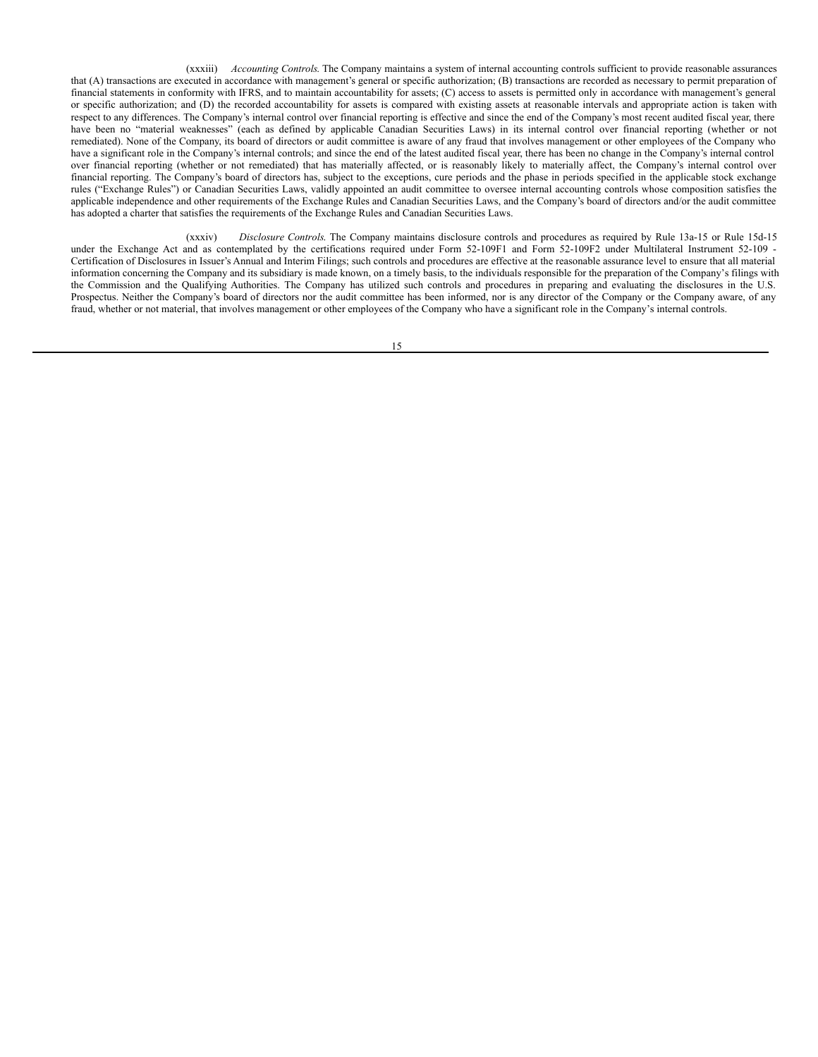(xxxiii) *Accounting Controls*. The Company maintains a system of internal accounting controls sufficient to provide reasonable assurances that (A) transactions are executed in accordance with management's general or specific authorization; (B) transactions are recorded as necessary to permit preparation of financial statements in conformity with IFRS, and to maintain accountability for assets; (C) access to assets is permitted only in accordance with management's general or specific authorization; and (D) the recorded accountability for assets is compared with existing assets at reasonable intervals and appropriate action is taken with respect to any differences. The Company's internal control over financial reporting is effective and since the end of the Company's most recent audited fiscal year, there have been no "material weaknesses" (each as defined by applicable Canadian Securities Laws) in its internal control over financial reporting (whether or not remediated). None of the Company, its board of directors or audit committee is aware of any fraud that involves management or other employees of the Company who have a significant role in the Company's internal controls; and since the end of the latest audited fiscal year, there has been no change in the Company's internal control over financial reporting (whether or not remediated) that has materially affected, or is reasonably likely to materially affect, the Company's internal control over financial reporting. The Company's board of directors has, subject to the exceptions, cure periods and the phase in periods specified in the applicable stock exchange rules ("Exchange Rules") or Canadian Securities Laws, validly appointed an audit committee to oversee internal accounting controls whose composition satisfies the applicable independence and other requirements of the Exchange Rules and Canadian Securities Laws, and the Company's board of directors and/or the audit committee has adopted a charter that satisfies the requirements of the Exchange Rules and Canadian Securities Laws.

(xxxiv) *Disclosure Controls*. The Company maintains disclosure controls and procedures as required by Rule 13a-15 or Rule 15d-15 under the Exchange Act and as contemplated by the certifications required under Form 52-109F1 and Form 52-109F2 under Multilateral Instrument 52-109 -Certification of Disclosures in Issuer's Annual and Interim Filings; such controls and procedures are effective at the reasonable assurance level to ensure that all material information concerning the Company and its subsidiary is made known, on a timely basis, to the individuals responsible for the preparation of the Company's filings with the Commission and the Qualifying Authorities. The Company has utilized such controls and procedures in preparing and evaluating the disclosures in the U.S. Prospectus. Neither the Company's board of directors nor the audit committee has been informed, nor is any director of the Company or the Company aware, of any fraud, whether or not material, that involves management or other employees of the Company who have a significant role in the Company's internal controls.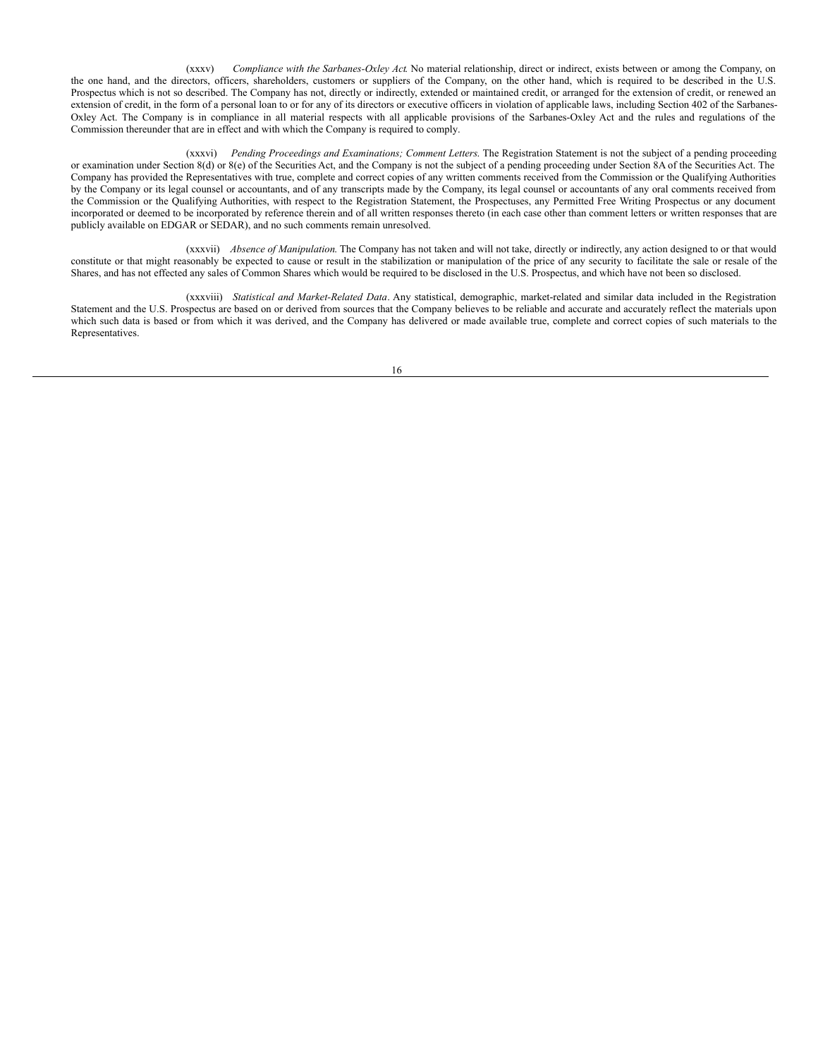(xxxv) *Compliance with the Sarbanes-Oxley Act*. No material relationship, direct or indirect, exists between or among the Company, on the one hand, and the directors, officers, shareholders, customers or suppliers of the Company, on the other hand, which is required to be described in the U.S. Prospectus which is not so described. The Company has not, directly or indirectly, extended or maintained credit, or arranged for the extension of credit, or renewed an extension of credit, in the form of a personal loan to or for any of its directors or executive officers in violation of applicable laws, including Section 402 of the Sarbanes-Oxley Act. The Company is in compliance in all material respects with all applicable provisions of the Sarbanes-Oxley Act and the rules and regulations of the Commission thereunder that are in effect and with which the Company is required to comply.

(xxxvi) *Pending Proceedings and Examinations; Comment Letters*. The Registration Statement is not the subject of a pending proceeding or examination under Section 8(d) or 8(e) of the Securities Act, and the Company is not the subject of a pending proceeding under Section 8A of the Securities Act. The Company has provided the Representatives with true, complete and correct copies of any written comments received from the Commission or the Qualifying Authorities by the Company or its legal counsel or accountants, and of any transcripts made by the Company, its legal counsel or accountants of any oral comments received from the Commission or the Qualifying Authorities, with respect to the Registration Statement, the Prospectuses, any Permitted Free Writing Prospectus or any document incorporated or deemed to be incorporated by reference therein and of all written responses thereto (in each case other than comment letters or written responses that are publicly available on EDGAR or SEDAR), and no such comments remain unresolved.

(xxxvii) *Absence of Manipulation*. The Company has not taken and will not take, directly or indirectly, any action designed to or that would constitute or that might reasonably be expected to cause or result in the stabilization or manipulation of the price of any security to facilitate the sale or resale of the Shares, and has not effected any sales of Common Shares which would be required to be disclosed in the U.S. Prospectus, and which have not been so disclosed.

(xxxviii) *Statistical and Market-Related Data*. Any statistical, demographic, market-related and similar data included in the Registration Statement and the U.S. Prospectus are based on or derived from sources that the Company believes to be reliable and accurate and accurately reflect the materials upon which such data is based or from which it was derived, and the Company has delivered or made available true, complete and correct copies of such materials to the Representatives.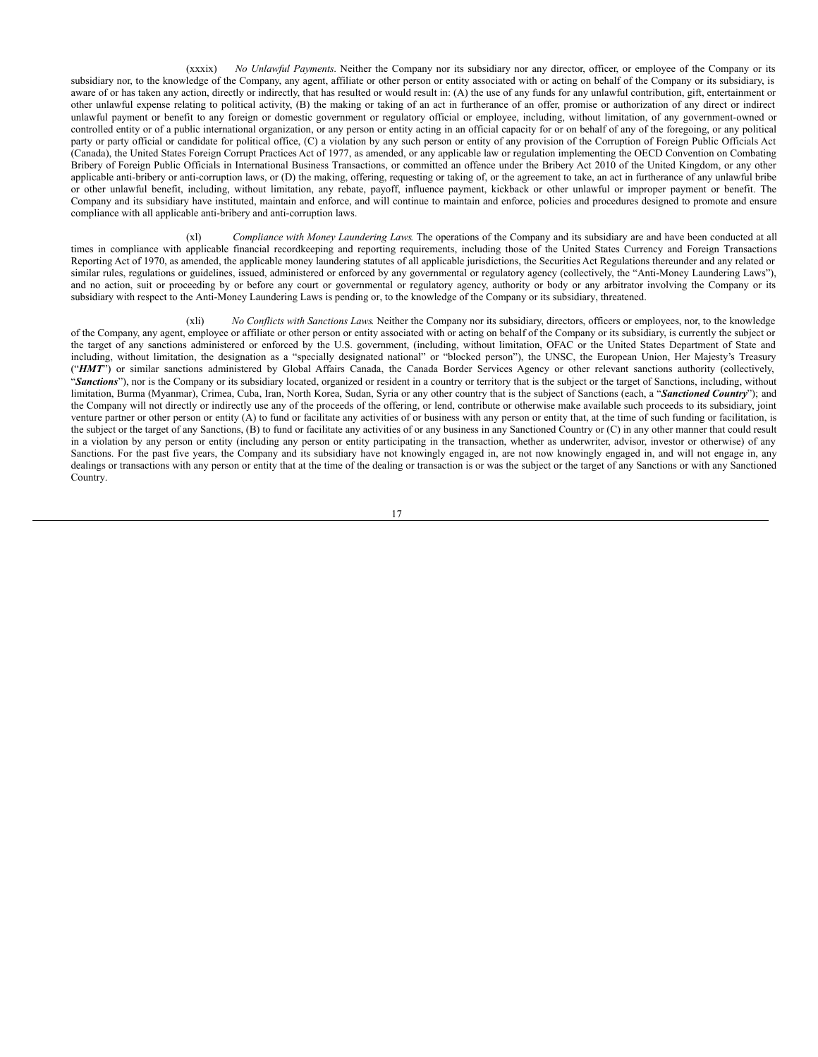(xxxix) *No Unlawful Payments*. Neither the Company nor its subsidiary nor any director, officer, or employee of the Company or its subsidiary nor, to the knowledge of the Company, any agent, affiliate or other person or entity associated with or acting on behalf of the Company or its subsidiary, is aware of or has taken any action, directly or indirectly, that has resulted or would result in: (A) the use of any funds for any unlawful contribution, gift, entertainment or other unlawful expense relating to political activity, (B) the making or taking of an act in furtherance of an offer, promise or authorization of any direct or indirect unlawful payment or benefit to any foreign or domestic government or regulatory official or employee, including, without limitation, of any government-owned or controlled entity or of a public international organization, or any person or entity acting in an official capacity for or on behalf of any of the foregoing, or any political party or party official or candidate for political office, (C) a violation by any such person or entity of any provision of the Corruption of Foreign Public Officials Act (Canada), the United States Foreign Corrupt Practices Act of 1977, as amended, or any applicable law or regulation implementing the OECD Convention on Combating Bribery of Foreign Public Officials in International Business Transactions, or committed an offence under the Bribery Act 2010 of the United Kingdom, or any other applicable anti-bribery or anti-corruption laws, or (D) the making, offering, requesting or taking of, or the agreement to take, an act in furtherance of any unlawful bribe or other unlawful benefit, including, without limitation, any rebate, payoff, influence payment, kickback or other unlawful or improper payment or benefit. The Company and its subsidiary have instituted, maintain and enforce, and will continue to maintain and enforce, policies and procedures designed to promote and ensure compliance with all applicable anti-bribery and anti-corruption laws.

(xl) *Compliance with Money Laundering Laws*. The operations of the Company and its subsidiary are and have been conducted at all times in compliance with applicable financial recordkeeping and reporting requirements, including those of the United States Currency and Foreign Transactions Reporting Act of 1970, as amended, the applicable money laundering statutes of all applicable jurisdictions, the Securities Act Regulations thereunder and any related or similar rules, regulations or guidelines, issued, administered or enforced by any governmental or regulatory agency (collectively, the "Anti-Money Laundering Laws"), and no action, suit or proceeding by or before any court or governmental or regulatory agency, authority or body or any arbitrator involving the Company or its subsidiary with respect to the Anti-Money Laundering Laws is pending or, to the knowledge of the Company or its subsidiary, threatened.

(xli) *No Conflicts with Sanctions Laws*. Neither the Company nor its subsidiary, directors, officers or employees, nor, to the knowledge of the Company, any agent, employee or affiliate or other person or entity associated with or acting on behalf of the Company or its subsidiary, is currently the subject or the target of any sanctions administered or enforced by the U.S. government, (including, without limitation, OFAC or the United States Department of State and including, without limitation, the designation as a "specially designated national" or "blocked person"), the UNSC, the European Union, Her Majesty's Treasury ("HMT") or similar sanctions administered by Global Affairs Canada, the Canada Border Services Agency or other relevant sanctions authority (collectively, "*Sanctions*"), nor is the Company or its subsidiary located, organized or resident in a country or territory that is the subject or the target of Sanctions, including, without limitation, Burma (Myanmar), Crimea, Cuba, Iran, North Korea, Sudan, Syria or any other country that is the subject of Sanctions (each, a "*Sanctioned Country*"); and the Company will not directly or indirectly use any of the proceeds of the offering, or lend, contribute or otherwise make available such proceeds to its subsidiary, joint venture partner or other person or entity (A) to fund or facilitate any activities of or business with any person or entity that, at the time of such funding or facilitation, is the subject or the target of any Sanctions, (B) to fund or facilitate any activities of or any business in any Sanctioned Country or (C) in any other manner that could result in a violation by any person or entity (including any person or entity participating in the transaction, whether as underwriter, advisor, investor or otherwise) of any Sanctions. For the past five years, the Company and its subsidiary have not knowingly engaged in, are not now knowingly engaged in, and will not engage in, any dealings or transactions with any person or entity that at the time of the dealing or transaction is or was the subject or the target of any Sanctions or with any Sanctioned Country.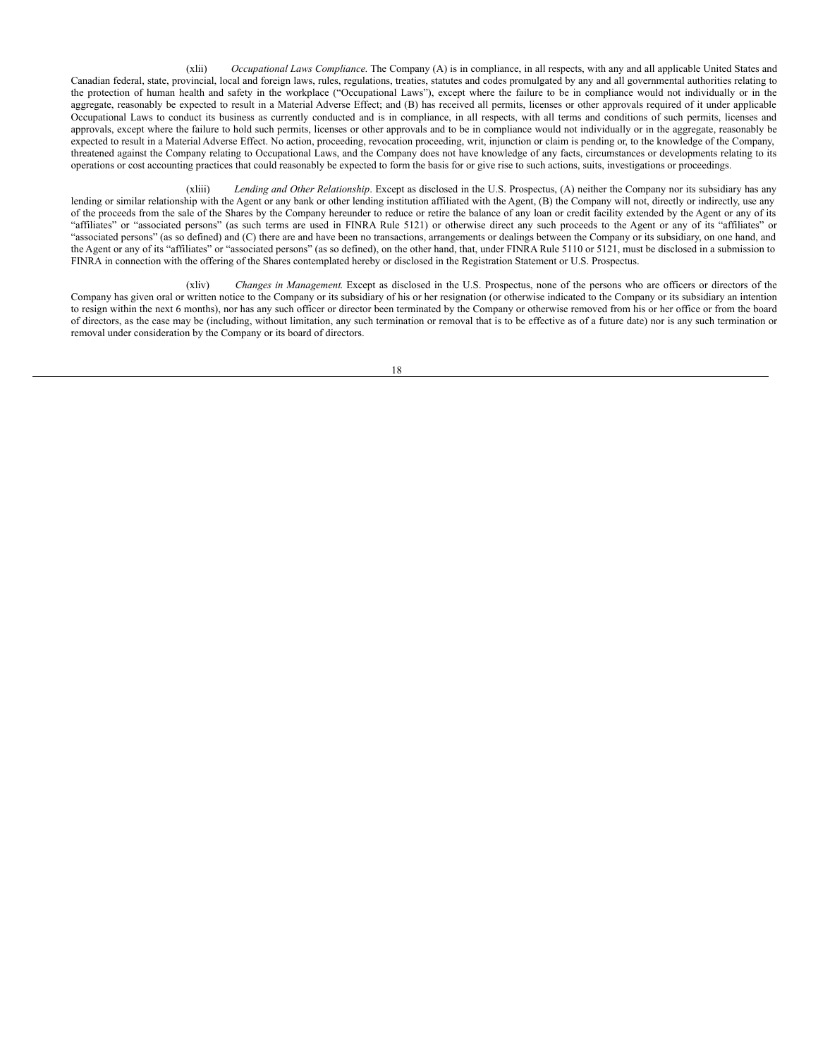(xlii) *Occupational Laws Compliance*. The Company (A) is in compliance, in all respects, with any and all applicable United States and Canadian federal, state, provincial, local and foreign laws, rules, regulations, treaties, statutes and codes promulgated by any and all governmental authorities relating to the protection of human health and safety in the workplace ("Occupational Laws"), except where the failure to be in compliance would not individually or in the aggregate, reasonably be expected to result in a Material Adverse Effect; and (B) has received all permits, licenses or other approvals required of it under applicable Occupational Laws to conduct its business as currently conducted and is in compliance, in all respects, with all terms and conditions of such permits, licenses and approvals, except where the failure to hold such permits, licenses or other approvals and to be in compliance would not individually or in the aggregate, reasonably be expected to result in a Material Adverse Effect. No action, proceeding, revocation proceeding, writ, injunction or claim is pending or, to the knowledge of the Company, threatened against the Company relating to Occupational Laws, and the Company does not have knowledge of any facts, circumstances or developments relating to its operations or cost accounting practices that could reasonably be expected to form the basis for or give rise to such actions, suits, investigations or proceedings.

(xliii) *Lending and Other Relationship*. Except as disclosed in the U.S. Prospectus, (A) neither the Company nor its subsidiary has any lending or similar relationship with the Agent or any bank or other lending institution affiliated with the Agent, (B) the Company will not, directly or indirectly, use any of the proceeds from the sale of the Shares by the Company hereunder to reduce or retire the balance of any loan or credit facility extended by the Agent or any of its "affiliates" or "associated persons" (as such terms are used in FINRA Rule 5121) or otherwise direct any such proceeds to the Agent or any of its "affiliates" or "associated persons" (as so defined) and (C) there are and have been no transactions, arrangements or dealings between the Company or its subsidiary, on one hand, and the Agent or any of its "affiliates" or "associated persons" (as so defined), on the other hand, that, under FINRA Rule 5110 or 5121, must be disclosed in a submission to FINRA in connection with the offering of the Shares contemplated hereby or disclosed in the Registration Statement or U.S. Prospectus.

(xliv) *Changes in Management*. Except as disclosed in the U.S. Prospectus, none of the persons who are officers or directors of the Company has given oral or written notice to the Company or its subsidiary of his or her resignation (or otherwise indicated to the Company or its subsidiary an intention to resign within the next 6 months), nor has any such officer or director been terminated by the Company or otherwise removed from his or her office or from the board of directors, as the case may be (including, without limitation, any such termination or removal that is to be effective as of a future date) nor is any such termination or removal under consideration by the Company or its board of directors.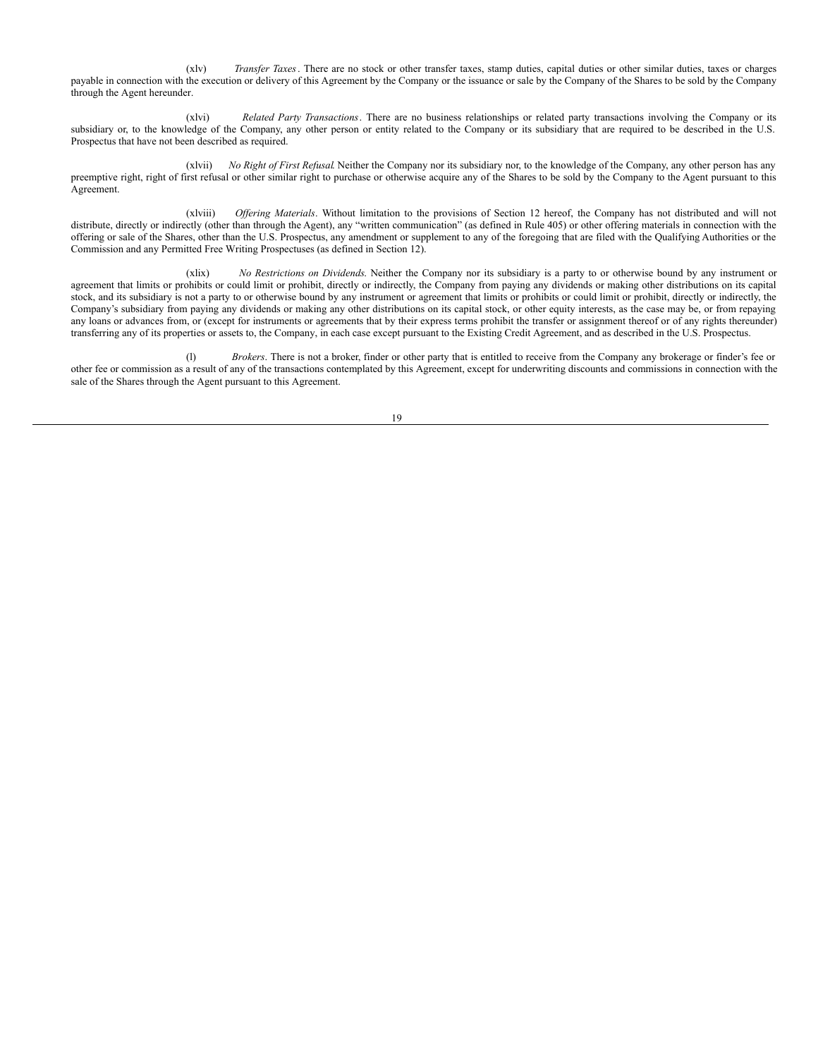(xlv) *Transfer Taxes*. There are no stock or other transfer taxes, stamp duties, capital duties or other similar duties, taxes or charges payable in connection with the execution or delivery of this Agreement by the Company or the issuance or sale by the Company of the Shares to be sold by the Company through the Agent hereunder.

(xlvi) *Related Party Transactions*. There are no business relationships or related party transactions involving the Company or its subsidiary or, to the knowledge of the Company, any other person or entity related to the Company or its subsidiary that are required to be described in the U.S. Prospectus that have not been described as required.

(xlvii) *No Right of First Refusal*. Neither the Company nor its subsidiary nor, to the knowledge of the Company, any other person has any preemptive right, right of first refusal or other similar right to purchase or otherwise acquire any of the Shares to be sold by the Company to the Agent pursuant to this Agreement.

(xlviii) *Of ering Materials*. Without limitation to the provisions of Section 12 hereof, the Company has not distributed and will not distribute, directly or indirectly (other than through the Agent), any "written communication" (as defined in Rule 405) or other offering materials in connection with the offering or sale of the Shares, other than the U.S. Prospectus, any amendment or supplement to any of the foregoing that are filed with the Qualifying Authorities or the Commission and any Permitted Free Writing Prospectuses (as defined in Section 12).

(xlix) *No Restrictions on Dividends*. Neither the Company nor its subsidiary is a party to or otherwise bound by any instrument or agreement that limits or prohibits or could limit or prohibit, directly or indirectly, the Company from paying any dividends or making other distributions on its capital stock, and its subsidiary is not a party to or otherwise bound by any instrument or agreement that limits or prohibits or could limit or prohibit, directly or indirectly, the Company's subsidiary from paying any dividends or making any other distributions on its capital stock, or other equity interests, as the case may be, or from repaying any loans or advances from, or (except for instruments or agreements that by their express terms prohibit the transfer or assignment thereof or of any rights thereunder) transferring any of its properties or assets to, the Company, in each case except pursuant to the Existing Credit Agreement, and as described in the U.S. Prospectus.

(l) *Brokers*. There is not a broker, finder or other party that is entitled to receive from the Company any brokerage or finder's fee or other fee or commission as a result of any of the transactions contemplated by this Agreement, except for underwriting discounts and commissions in connection with the sale of the Shares through the Agent pursuant to this Agreement.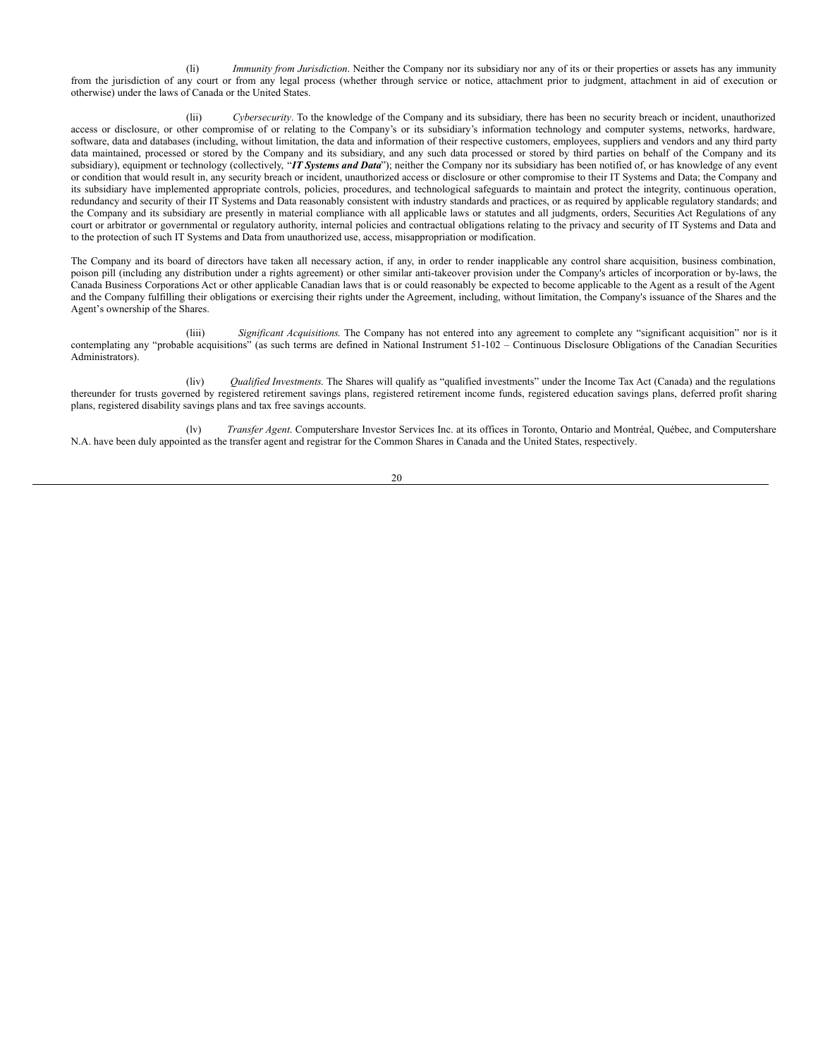(li) *Immunity from Jurisdiction*. Neither the Company nor its subsidiary nor any of its or their properties or assets has any immunity from the jurisdiction of any court or from any legal process (whether through service or notice, attachment prior to judgment, attachment in aid of execution or otherwise) under the laws of Canada or the United States.

(lii) *Cybersecurity*. To the knowledge of the Company and its subsidiary, there has been no security breach or incident, unauthorized access or disclosure, or other compromise of or relating to the Company's or its subsidiary's information technology and computer systems, networks, hardware, software, data and databases (including, without limitation, the data and information of their respective customers, employees, suppliers and vendors and any third party data maintained, processed or stored by the Company and its subsidiary, and any such data processed or stored by third parties on behalf of the Company and its subsidiary), equipment or technology (collectively, "*IT Systems and Data*"); neither the Company nor its subsidiary has been notified of, or has knowledge of any event or condition that would result in, any security breach or incident, unauthorized access or disclosure or other compromise to their IT Systems and Data; the Company and its subsidiary have implemented appropriate controls, policies, procedures, and technological safeguards to maintain and protect the integrity, continuous operation, redundancy and security of their IT Systems and Data reasonably consistent with industry standards and practices, or as required by applicable regulatory standards; and the Company and its subsidiary are presently in material compliance with all applicable laws or statutes and all judgments, orders, Securities Act Regulations of any court or arbitrator or governmental or regulatory authority, internal policies and contractual obligations relating to the privacy and security of IT Systems and Data and to the protection of such IT Systems and Data from unauthorized use, access, misappropriation or modification.

The Company and its board of directors have taken all necessary action, if any, in order to render inapplicable any control share acquisition, business combination, poison pill (including any distribution under a rights agreement) or other similar anti-takeover provision under the Company's articles of incorporation or by-laws, the Canada Business Corporations Act or other applicable Canadian laws that is or could reasonably be expected to become applicable to the Agent as a result of the Agent and the Company fulfilling their obligations or exercising their rights under the Agreement, including, without limitation, the Company's issuance of the Shares and the Agent's ownership of the Shares.

(liii) *Significant Acquisitions*. The Company has not entered into any agreement to complete any "significant acquisition" nor is it contemplating any "probable acquisitions" (as such terms are defined in National Instrument 51-102 – Continuous Disclosure Obligations of the Canadian Securities Administrators).

(liv) *Qualified Investments*. The Shares will qualify as "qualified investments" under the Income Tax Act (Canada) and the regulations thereunder for trusts governed by registered retirement savings plans, registered retirement income funds, registered education savings plans, deferred profit sharing plans, registered disability savings plans and tax free savings accounts.

(lv) *Transfer Agent*. Computershare Investor Services Inc. at its offices in Toronto, Ontario and Montréal, Québec, and Computershare N.A. have been duly appointed as the transfer agent and registrar for the Common Shares in Canada and the United States, respectively.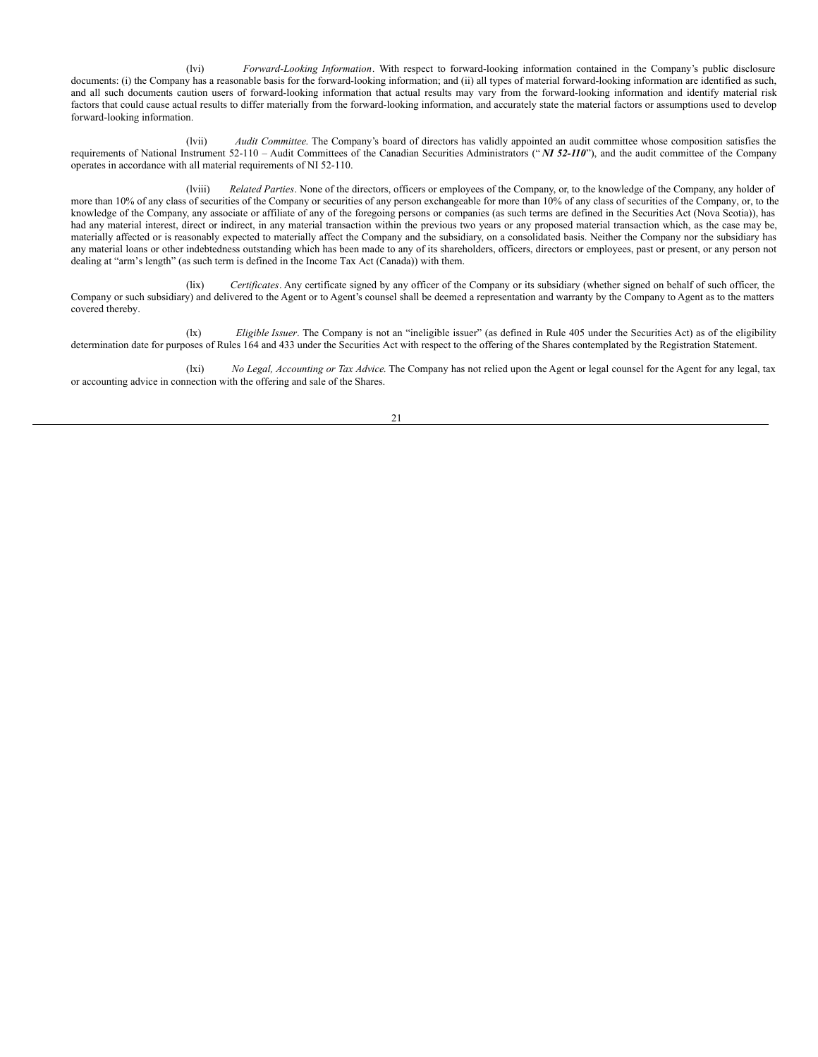(lvi) *Forward-Looking Information*. With respect to forward-looking information contained in the Company's public disclosure documents: (i) the Company has a reasonable basis for the forward-looking information; and (ii) all types of material forward-looking information are identified as such, and all such documents caution users of forward-looking information that actual results may vary from the forward-looking information and identify material risk factors that could cause actual results to differ materially from the forward-looking information, and accurately state the material factors or assumptions used to develop forward-looking information.

(lvii) *Audit Committee*. The Company's board of directors has validly appointed an audit committee whose composition satisfies the requirements of National Instrument 52-110 – Audit Committees of the Canadian Securities Administrators (" *NI 52-110*"), and the audit committee of the Company operates in accordance with all material requirements of NI 52-110.

(lviii) *Related Parties*. None of the directors, officers or employees of the Company, or, to the knowledge of the Company, any holder of more than 10% of any class of securities of the Company or securities of any person exchangeable for more than 10% of any class of securities of the Company, or, to the knowledge of the Company, any associate or affiliate of any of the foregoing persons or companies (as such terms are defined in the Securities Act (Nova Scotia)), has had any material interest, direct or indirect, in any material transaction within the previous two years or any proposed material transaction which, as the case may be, materially affected or is reasonably expected to materially affect the Company and the subsidiary, on a consolidated basis. Neither the Company nor the subsidiary has any material loans or other indebtedness outstanding which has been made to any of its shareholders, officers, directors or employees, past or present, or any person not dealing at "arm's length" (as such term is defined in the Income Tax Act (Canada)) with them.

(lix) *Certificates*. Any certificate signed by any officer of the Company or its subsidiary (whether signed on behalf of such officer, the Company or such subsidiary) and delivered to the Agent or to Agent's counsel shall be deemed a representation and warranty by the Company to Agent as to the matters covered thereby.

(lx) *Eligible Issuer*. The Company is not an "ineligible issuer" (as defined in Rule 405 under the Securities Act) as of the eligibility determination date for purposes of Rules 164 and 433 under the Securities Act with respect to the offering of the Shares contemplated by the Registration Statement.

(lxi) *No Legal, Accounting or Tax Advice*. The Company has not relied upon the Agent or legal counsel for the Agent for any legal, tax or accounting advice in connection with the offering and sale of the Shares.

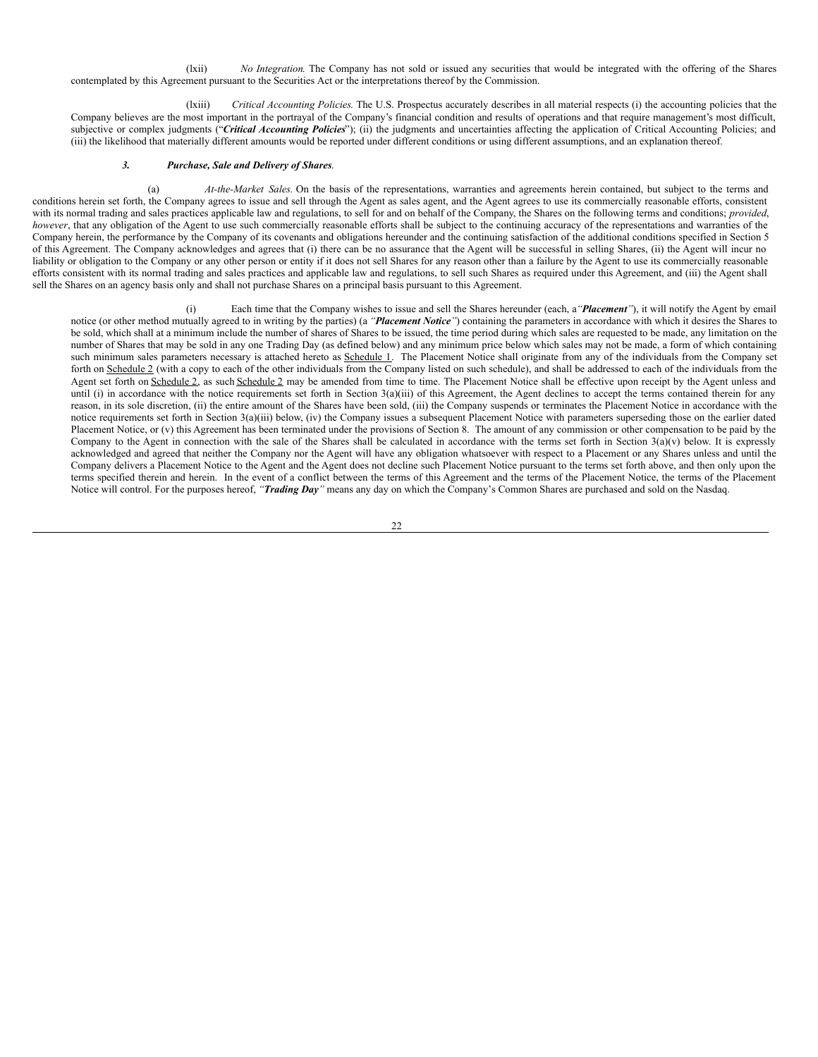<span id="page-27-0"></span>(lxii) *No Integration*. The Company has not sold or issued any securities that would be integrated with the offering of the Shares contemplated by this Agreement pursuant to the Securities Act or the interpretations thereof by the Commission.

(lxiii) *Critical Accounting Policies*. The U.S. Prospectus accurately describes in all material respects (i) the accounting policies that the Company believes are the most important in the portrayal of the Company's financial condition and results of operations and that require management's most difficult, subjective or complex judgments ("*Critical Accounting Policies*"); (ii) the judgments and uncertainties affecting the application of Critical Accounting Policies; and (iii) the likelihood that materially different amounts would be reported under different conditions or using different assumptions, and an explanation thereof.

#### *3. Purchase, Sale and Delivery of Shares*.

(a) *At-the-Market Sales.* On the basis of the representations, warranties and agreements herein contained, but subject to the terms and conditions herein set forth, the Company agrees to issue and sell through the Agent as sales agent, and the Agent agrees to use its commercially reasonable efforts, consistent with its normal trading and sales practices applicable law and regulations, to sell for and on behalf of the Company, the Shares on the following terms and conditions; *provided*, *however*, that any obligation of the Agent to use such commercially reasonable efforts shall be subject to the continuing accuracy of the representations and warranties of the Company herein, the performance by the Company of its covenants and obligations hereunder and the continuing satisfaction of the additional conditions specified in Section 5 of this Agreement. The Company acknowledges and agrees that (i) there can be no assurance that the Agent will be successful in selling Shares, (ii) the Agent will incur no liability or obligation to the Company or any other person or entity if it does not sell Shares for any reason other than a failure by the Agent to use its commercially reasonable efforts consistent with its normal trading and sales practices and applicable law and regulations, to sell such Shares as required under this Agreement, and (iii) the Agent shall sell the Shares on an agency basis only and shall not purchase Shares on a principal basis pursuant to this Agreement.

(i) Each time that the Company wishes to issue and sell the Shares hereunder (each, a*"Placement"*), it will notify the Agent by email notice (or other method mutually agreed to in writing by the parties) (a *"Placement Notice"*) containing the parameters in accordance with which it desires the Shares to be sold, which shall at a minimum include the number of shares of Shares to be issued, the time period during which sales are requested to be made, any limitation on the number of Shares that may be sold in any one Trading Day (as defined below) and any minimum price below which sales may not be made, a form of which containing such minimum sales parameters necessary is attached hereto as Schedule 1. The Placement Notice shall originate from any of the individuals from the Company set forth on Schedule 2 (with a copy to each of the other individuals from the Company listed on such schedule), and shall be addressed to each of the individuals from the Agent set forth on Schedule 2, as such Schedule 2 may be amended from time to time. The Placement Notice shall be effective upon receipt by the Agent unless and until (i) in accordance with the notice requirements set forth in Section 3(a)(iii) of this Agreement, the Agent declines to accept the terms contained therein for any reason, in its sole discretion, (ii) the entire amount of the Shares have been sold, (iii) the Company suspends or terminates the Placement Notice in accordance with the notice requirements set forth in Section 3(a)(iii) below, (iv) the Company issues a subsequent Placement Notice with parameters superseding those on the earlier dated Placement Notice, or (v) this Agreement has been terminated under the provisions of Section 8. The amount of any commission or other compensation to be paid by the Company to the Agent in connection with the sale of the Shares shall be calculated in accordance with the terms set forth in Section  $3(a)(v)$  below. It is expressly acknowledged and agreed that neither the Company nor the Agent will have any obligation whatsoever with respect to a Placement or any Shares unless and until the Company delivers a Placement Notice to the Agent and the Agent does not decline such Placement Notice pursuant to the terms set forth above, and then only upon the terms specified therein and herein. In the event of a conflict between the terms of this Agreement and the terms of the Placement Notice, the terms of the Placement Notice will control. For the purposes hereof, *"Trading Day"* means any day on which the Company's Common Shares are purchased and sold on the Nasdaq.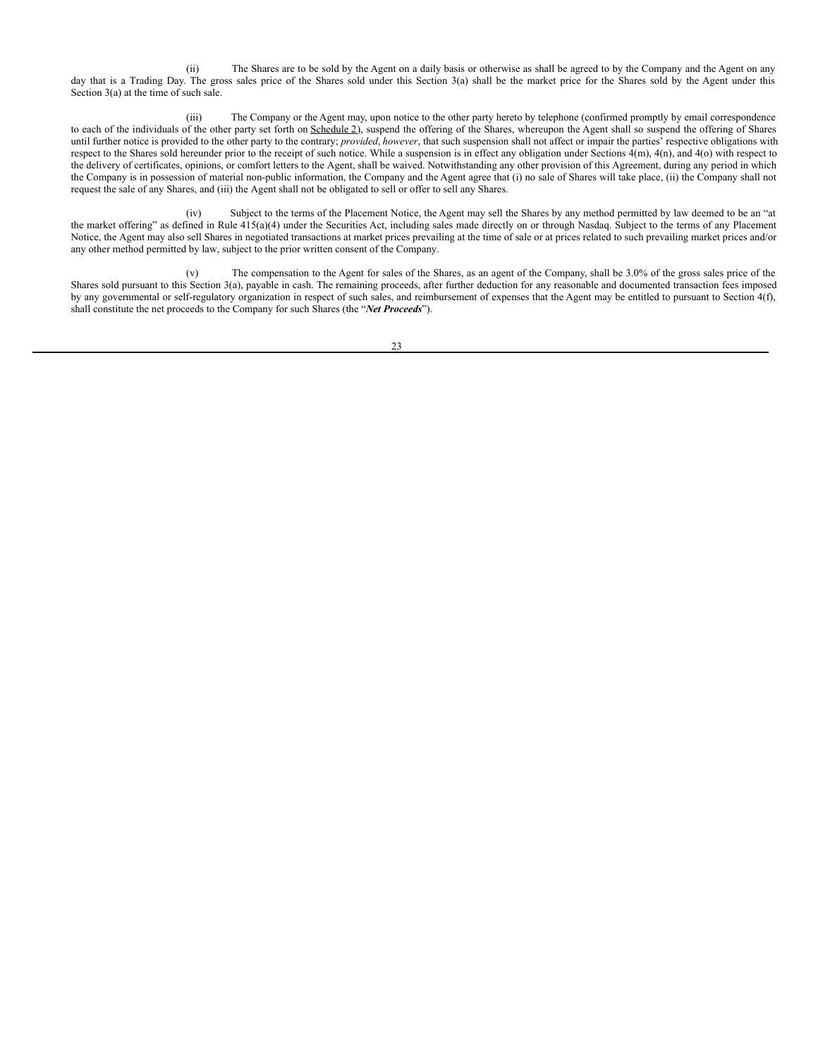(ii) The Shares are to be sold by the Agent on a daily basis or otherwise as shall be agreed to by the Company and the Agent on any day that is a Trading Day. The gross sales price of the Shares sold under this Section 3(a) shall be the market price for the Shares sold by the Agent under this Section 3(a) at the time of such sale.

(iii) The Company or the Agent may, upon notice to the other party hereto by telephone (confirmed promptly by email correspondence to each of the individuals of the other party set forth on Schedule 2), suspend the offering of the Shares, whereupon the Agent shall so suspend the offering of Shares until further notice is provided to the other party to the contrary; *provided*, *however*, that such suspension shall not affect or impair the parties' respective obligations with respect to the Shares sold hereunder prior to the receipt of such notice. While a suspension is in effect any obligation under Sections  $4(m)$ ,  $4(n)$ , and  $4(o)$  with respect to the delivery of certificates, opinions, or comfort letters to the Agent, shall be waived. Notwithstanding any other provision of this Agreement, during any period in which the Company is in possession of material non-public information, the Company and the Agent agree that (i) no sale of Shares will take place, (ii) the Company shall not request the sale of any Shares, and (iii) the Agent shall not be obligated to sell or offer to sell any Shares.

(iv) Subject to the terms of the Placement Notice, the Agent may sell the Shares by any method permitted by law deemed to be an "at the market offering" as defined in Rule 415(a)(4) under the Securities Act, including sales made directly on or through Nasdaq. Subject to the terms of any Placement Notice, the Agent may also sell Shares in negotiated transactions at market prices prevailing at the time of sale or at prices related to such prevailing market prices and/or any other method permitted by law, subject to the prior written consent of the Company.

(v) The compensation to the Agent for sales of the Shares, as an agent of the Company, shall be 3.0% of the gross sales price of the Shares sold pursuant to this Section 3(a), payable in cash. The remaining proceeds, after further deduction for any reasonable and documented transaction fees imposed by any governmental or self-regulatory organization in respect of such sales, and reimbursement of expenses that the Agent may be entitled to pursuant to Section 4(f), shall constitute the net proceeds to the Company for such Shares (the "*Net Proceeds*").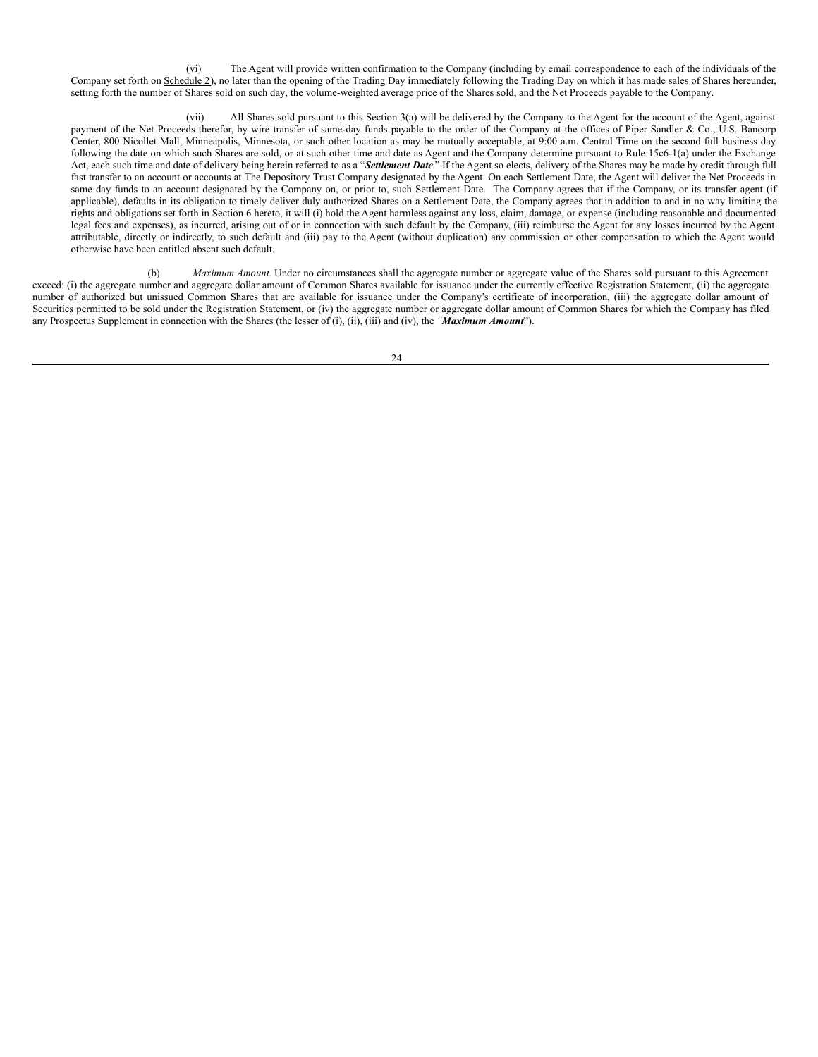(vi) The Agent will provide written confirmation to the Company (including by email correspondence to each of the individuals of the Company set forth on Schedule 2), no later than the opening of the Trading Day immediately following the Trading Day on which it has made sales of Shares hereunder, setting forth the number of Shares sold on such day, the volume-weighted average price of the Shares sold, and the Net Proceeds payable to the Company.

(vii) All Shares sold pursuant to this Section 3(a) will be delivered by the Company to the Agent for the account of the Agent, against payment of the Net Proceeds therefor, by wire transfer of same-day funds payable to the order of the Company at the offices of Piper Sandler & Co., U.S. Bancorp Center, 800 Nicollet Mall, Minneapolis, Minnesota, or such other location as may be mutually acceptable, at 9:00 a.m. Central Time on the second full business day following the date on which such Shares are sold, or at such other time and date as Agent and the Company determine pursuant to Rule 15c6-1(a) under the Exchange Act, each such time and date of delivery being herein referred to as a "*Settlement Date*." If the Agent so elects, delivery of the Shares may be made by credit through full fast transfer to an account or accounts at The Depository Trust Company designated by the Agent. On each Settlement Date, the Agent will deliver the Net Proceeds in same day funds to an account designated by the Company on, or prior to, such Settlement Date. The Company agrees that if the Company, or its transfer agent (if applicable), defaults in its obligation to timely deliver duly authorized Shares on a Settlement Date, the Company agrees that in addition to and in no way limiting the  $\hat{\mathbf{r}}$  rights and obligations set forth in Section 6 hereto, it will (i) hold the Agent harmless against any loss, claim, damage, or expense (including reasonable and documented legal fees and expenses), as incurred, arising out of or in connection with such default by the Company, (iii) reimburse the Agent for any losses incurred by the Agent attributable, directly or indirectly, to such default and (iii) pay to the Agent (without duplication) any commission or other compensation to which the Agent would otherwise have been entitled absent such default.

(b) *Maximum Amount*. Under no circumstances shall the aggregate number or aggregate value of the Shares sold pursuant to this Agreement exceed: (i) the aggregate number and aggregate dollar amount of Common Shares available for issuance under the currently effective Registration Statement, (ii) the aggregate number of authorized but unissued Common Shares that are available for issuance under the Company's certificate of incorporation, (iii) the aggregate dollar amount of Securities permitted to be sold under the Registration Statement, or (iv) the aggregate number or aggregate dollar amount of Common Shares for which the Company has filed any Prospectus Supplement in connection with the Shares (the lesser of (i), (ii), (iii) and (iv), the *"Maximum Amount*").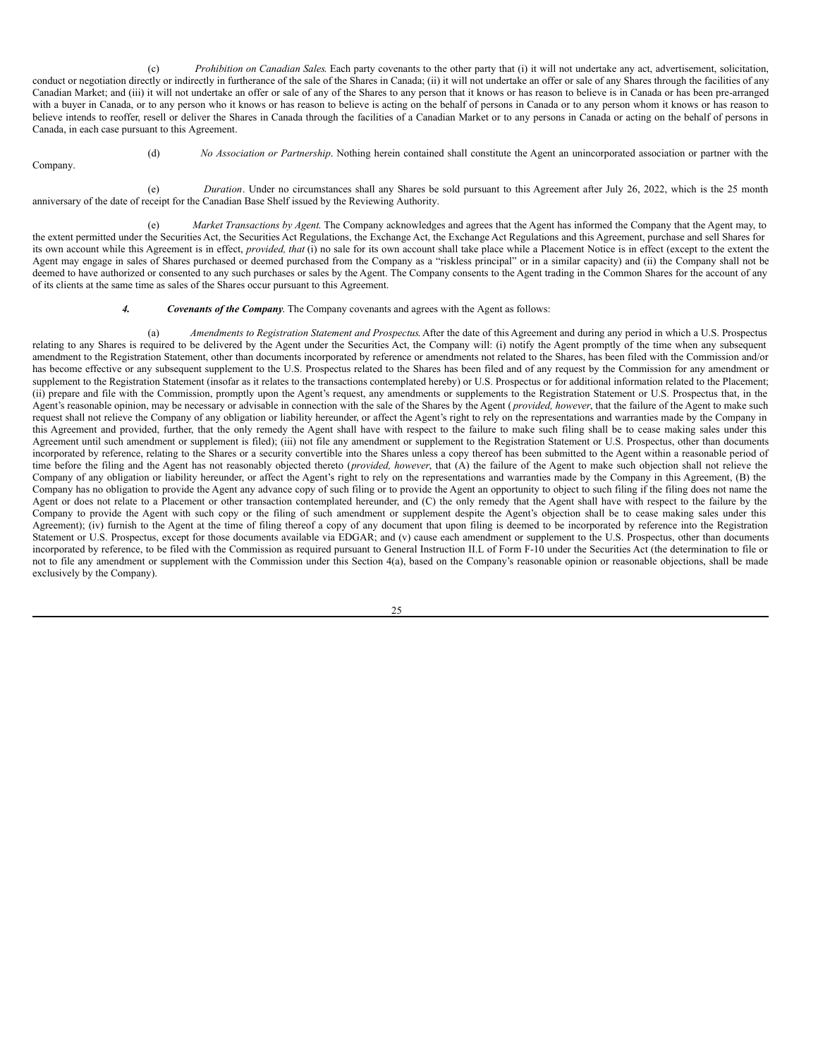(c) *Prohibition on Canadian Sales*. Each party covenants to the other party that (i) it will not undertake any act, advertisement, solicitation, conduct or negotiation directly or indirectly in furtherance of the sale of the Shares in Canada; (ii) it will not undertake an offer or sale of any Shares through the facilities of any Canadian Market; and (iii) it will not undertake an offer or sale of any of the Shares to any person that it knows or has reason to believe is in Canada or has been pre-arranged with a buyer in Canada, or to any person who it knows or has reason to believe is acting on the behalf of persons in Canada or to any person whom it knows or has reason to believe intends to reoffer, resell or deliver the Shares in Canada through the facilities of a Canadian Market or to any persons in Canada or acting on the behalf of persons in Canada, in each case pursuant to this Agreement.

Company.

(d) *No Association or Partnership*. Nothing herein contained shall constitute the Agent an unincorporated association or partner with the

(e) *Duration*. Under no circumstances shall any Shares be sold pursuant to this Agreement after July 26, 2022, which is the 25 month

(e) *Market Transactions by Agent*. The Company acknowledges and agrees that the Agent has informed the Company that the Agent may, to the extent permitted under the Securities Act, the Securities Act Regulations, the Exchange Act, the Exchange Act Regulations and this Agreement, purchase and sell Shares for its own account while this Agreement is in effect, *provided, that* (i) no sale for its own account shall take place while a Placement Notice is in effect (except to the extent the Agent may engage in sales of Shares purchased or deemed purchased from the Company as a "riskless principal" or in a similar capacity) and (ii) the Company shall not be deemed to have authorized or consented to any such purchases or sales by the Agent. The Company consents to the Agent trading in the Common Shares for the account of any

#### *4. Covenants of the Company*. The Company covenants and agrees with the Agent as follows:

anniversary of the date of receipt for the Canadian Base Shelf issued by the Reviewing Authority.

of its clients at the same time as sales of the Shares occur pursuant to this Agreement.

(a) *Amendments to Registration Statement and Prospectus*. After the date of this Agreement and during any period in which a U.S. Prospectus relating to any Shares is required to be delivered by the Agent under the Securities Act, the Company will: (i) notify the Agent promptly of the time when any subsequent amendment to the Registration Statement, other than documents incorporated by reference or amendments not related to the Shares, has been filed with the Commission and/or has become effective or any subsequent supplement to the U.S. Prospectus related to the Shares has been filed and of any request by the Commission for any amendment or supplement to the Registration Statement (insofar as it relates to the transactions contemplated hereby) or U.S. Prospectus or for additional information related to the Placement; (ii) prepare and file with the Commission, promptly upon the Agent's request, any amendments or supplements to the Registration Statement or U.S. Prospectus that, in the Agent's reasonable opinion, may be necessary or advisable in connection with the sale of the Shares by the Agent ( *provided, however*, that the failure of the Agent to make such request shall not relieve the Company of any obligation or liability hereunder, or affect the Agent's right to rely on the representations and warranties made by the Company in this Agreement and provided, further, that the only remedy the Agent shall have with respect to the failure to make such filing shall be to cease making sales under this Agreement until such amendment or supplement is filed); (iii) not file any amendment or supplement to the Registration Statement or U.S. Prospectus, other than documents incorporated by reference, relating to the Shares or a security convertible into the Shares unless a copy thereof has been submitted to the Agent within a reasonable period of time before the filing and the Agent has not reasonably objected thereto (*provided, however*, that (A) the failure of the Agent to make such objection shall not relieve the Company of any obligation or liability hereunder, or affect the Agent's right to rely on the representations and warranties made by the Company in this Agreement, (B) the Company has no obligation to provide the Agent any advance copy of such filing or to provide the Agent an opportunity to object to such filing if the filing does not name the Agent or does not relate to a Placement or other transaction contemplated hereunder, and (C) the only remedy that the Agent shall have with respect to the failure by the Company to provide the Agent with such copy or the filing of such amendment or supplement despite the Agent's objection shall be to cease making sales under this Agreement); (iv) furnish to the Agent at the time of filing thereof a copy of any document that upon filing is deemed to be incorporated by reference into the Registration Statement or U.S. Prospectus, except for those documents available via EDGAR; and (v) cause each amendment or supplement to the U.S. Prospectus, other than documents incorporated by reference, to be filed with the Commission as required pursuant to General Instruction II.L of Form F-10 under the Securities Act (the determination to file or not to file any amendment or supplement with the Commission under this Section 4(a), based on the Company's reasonable opinion or reasonable objections, shall be made exclusively by the Company).

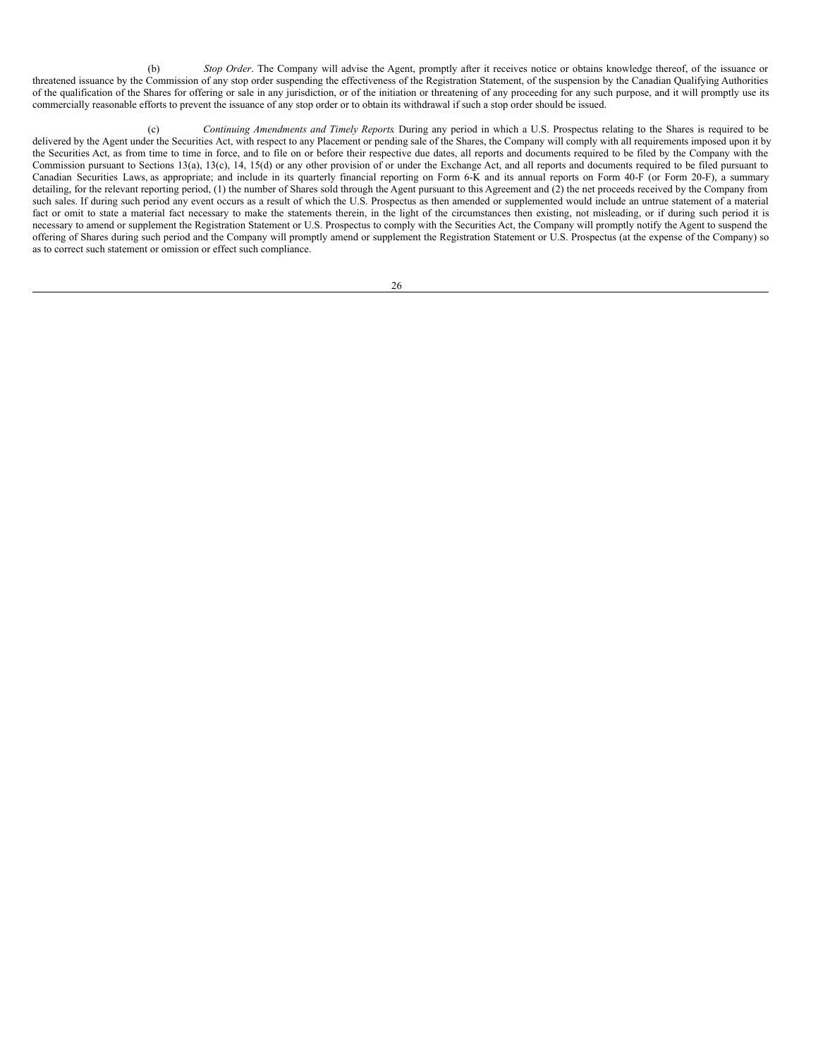(b) *Stop Order*. The Company will advise the Agent, promptly after it receives notice or obtains knowledge thereof, of the issuance or threatened issuance by the Commission of any stop order suspending the effectiveness of the Registration Statement, of the suspension by the Canadian Qualifying Authorities of the qualification of the Shares for offering or sale in any jurisdiction, or of the initiation or threatening of any proceeding for any such purpose, and it will promptly use its commercially reasonable efforts to prevent the issuance of any stop order or to obtain its withdrawal if such a stop order should be issued.

(c) *Continuing Amendments and Timely Reports*. During any period in which a U.S. Prospectus relating to the Shares is required to be delivered by the Agent under the Securities Act, with respect to any Placement or pending sale of the Shares, the Company will comply with all requirements imposed upon it by the Securities Act, as from time to time in force, and to file on or before their respective due dates, all reports and documents required to be filed by the Company with the Commission pursuant to Sections 13(a), 13(c), 14, 15(d) or any other provision of or under the Exchange Act, and all reports and documents required to be filed pursuant to Canadian Securities Laws, as appropriate; and include in its quarterly financial reporting on Form 6-K and its annual reports on Form 40-F (or Form 20-F), a summary detailing, for the relevant reporting period, (1) the number of Shares sold through the Agent pursuant to this Agreement and (2) the net proceeds received by the Company from such sales. If during such period any event occurs as a result of which the U.S. Prospectus as then amended or supplemented would include an untrue statement of a material fact or omit to state a material fact necessary to make the statements therein, in the light of the circumstances then existing, not misleading, or if during such period it is necessary to amend or supplement the Registration Statement or U.S. Prospectus to comply with the Securities Act, the Company will promptly notify the Agent to suspend the offering of Shares during such period and the Company will promptly amend or supplement the Registration Statement or U.S. Prospectus (at the expense of the Company) so as to correct such statement or omission or effect such compliance.

| ×<br>ł |                  |
|--------|------------------|
| I      | I<br>I<br>×<br>٧ |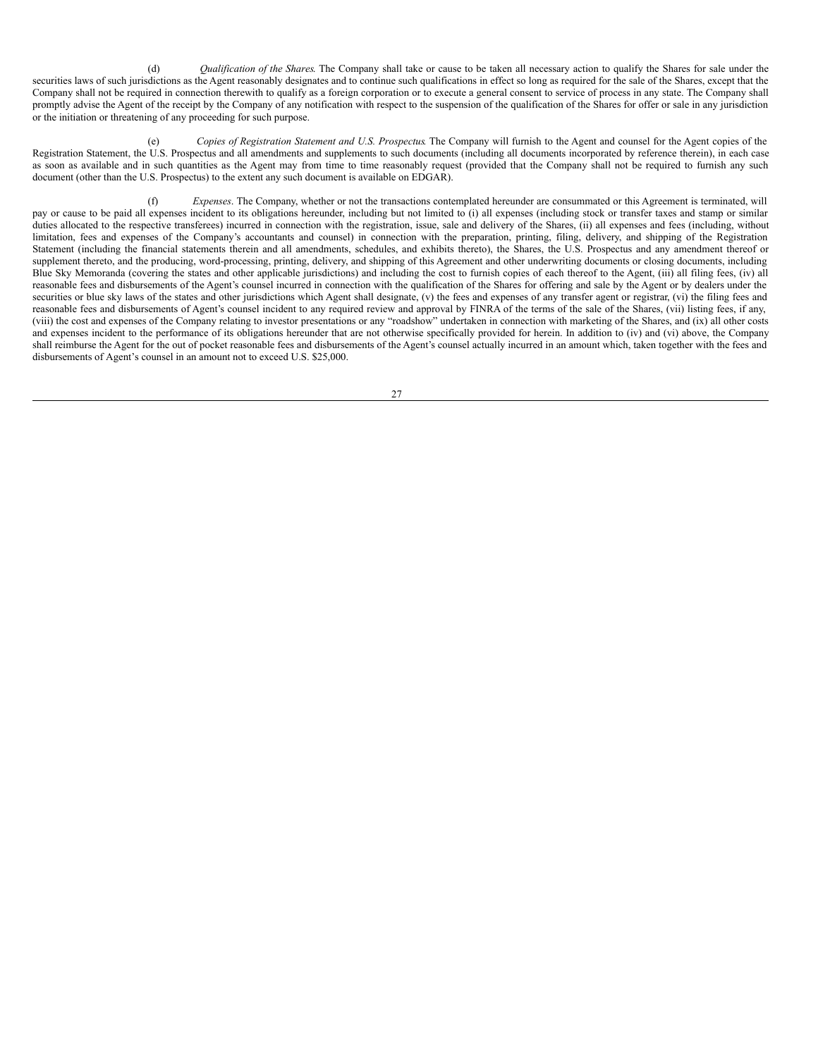(d) *Qualification of the Shares*. The Company shall take or cause to be taken all necessary action to qualify the Shares for sale under the securities laws of such jurisdictions as the Agent reasonably designates and to continue such qualifications in effect so long as required for the sale of the Shares, except that the Company shall not be required in connection therewith to qualify as a foreign corporation or to execute a general consent to service of process in any state. The Company shall promptly advise the Agent of the receipt by the Company of any notification with respect to the suspension of the qualification of the Shares for offer or sale in any jurisdiction or the initiation or threatening of any proceeding for such purpose.

(e) *Copies of Registration Statement and U.S. Prospectus*. The Company will furnish to the Agent and counsel for the Agent copies of the Registration Statement, the U.S. Prospectus and all amendments and supplements to such documents (including all documents incorporated by reference therein), in each case as soon as available and in such quantities as the Agent may from time to time reasonably request (provided that the Company shall not be required to furnish any such document (other than the U.S. Prospectus) to the extent any such document is available on EDGAR).

(f) *Expenses*. The Company, whether or not the transactions contemplated hereunder are consummated or this Agreement is terminated, will pay or cause to be paid all expenses incident to its obligations hereunder, including but not limited to (i) all expenses (including stock or transfer taxes and stamp or similar duties allocated to the respective transferees) incurred in connection with the registration, issue, sale and delivery of the Shares, (ii) all expenses and fees (including, without limitation, fees and expenses of the Company's accountants and counsel) in connection with the preparation, printing, filing, delivery, and shipping of the Registration Statement (including the financial statements therein and all amendments, schedules, and exhibits thereto), the Shares, the U.S. Prospectus and any amendment thereof or supplement thereto, and the producing, word-processing, printing, delivery, and shipping of this Agreement and other underwriting documents or closing documents, including Blue Sky Memoranda (covering the states and other applicable jurisdictions) and including the cost to furnish copies of each thereof to the Agent, (iii) all filing fees, (iv) all reasonable fees and disbursements of the Agent's counsel incurred in connection with the qualification of the Shares for offering and sale by the Agent or by dealers under the securities or blue sky laws of the states and other jurisdictions which Agent shall designate, (v) the fees and expenses of any transfer agent or registrar, (vi) the filing fees and reasonable fees and disbursements of Agent's counsel incident to any required review and approval by FINRA of the terms of the sale of the Shares, (vii) listing fees, if any, (viii) the cost and expenses of the Company relating to investor presentations or any "roadshow" undertaken in connection with marketing of the Shares, and (ix) all other costs and expenses incident to the performance of its obligations hereunder that are not otherwise specifically provided for herein. In addition to (iv) and (vi) above, the Company shall reimburse the Agent for the out of pocket reasonable fees and disbursements of the Agent's counsel actually incurred in an amount which, taken together with the fees and disbursements of Agent's counsel in an amount not to exceed U.S. \$25,000.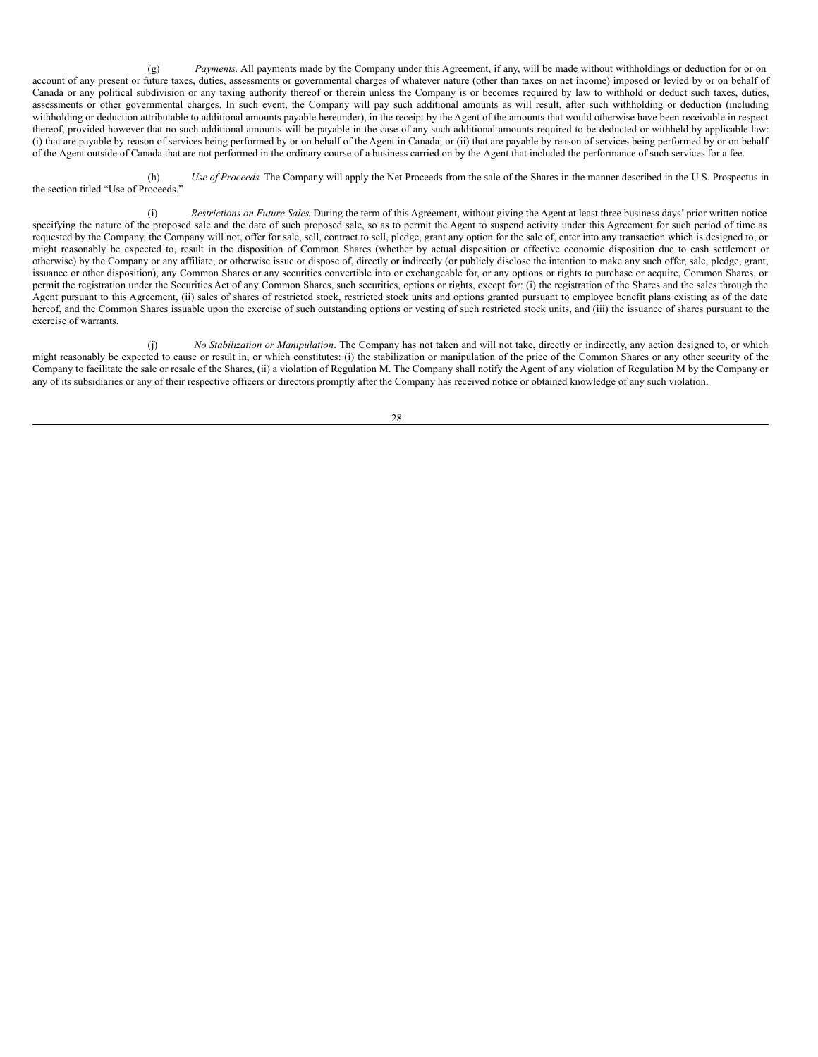(g) *Payments.* All payments made by the Company under this Agreement, if any, will be made without withholdings or deduction for or on account of any present or future taxes, duties, assessments or governmental charges of whatever nature (other than taxes on net income) imposed or levied by or on behalf of Canada or any political subdivision or any taxing authority thereof or therein unless the Company is or becomes required by law to withhold or deduct such taxes, duties, assessments or other governmental charges. In such event, the Company will pay such additional amounts as will result, after such withholding or deduction (including withholding or deduction attributable to additional amounts payable hereunder), in the receipt by the Agent of the amounts that would otherwise have been receivable in respect thereof, provided however that no such additional amounts will be payable in the case of any such additional amounts required to be deducted or withheld by applicable law: (i) that are payable by reason of services being performed by or on behalf of the Agent in Canada; or (ii) that are payable by reason of services being performed by or on behalf of the Agent outside of Canada that are not performed in the ordinary course of a business carried on by the Agent that included the performance of such services for a fee.

(h) *Use of Proceeds*. The Company will apply the Net Proceeds from the sale of the Shares in the manner described in the U.S. Prospectus in the section titled "Use of Proceeds."

(i) *Restrictions on Future Sales*. During the term of this Agreement, without giving the Agent at least three business days' prior written notice specifying the nature of the proposed sale and the date of such proposed sale, so as to permit the Agent to suspend activity under this Agreement for such period of time as requested by the Company, the Company will not, offer for sale, sell, contract to sell, pledge, grant any option for the sale of, enter into any transaction which is designed to, or might reasonably be expected to, result in the disposition of Common Shares (whether by actual disposition or effective economic disposition due to cash settlement or otherwise) by the Company or any affiliate, or otherwise issue or dispose of, directly or indirectly (or publicly disclose the intention to make any such offer, sale, pledge, grant, issuance or other disposition), any Common Shares or any securities convertible into or exchangeable for, or any options or rights to purchase or acquire, Common Shares, or permit the registration under the Securities Act of any Common Shares, such securities, options or rights, except for: (i) the registration of the Shares and the sales through the Agent pursuant to this Agreement, (ii) sales of shares of restricted stock, restricted stock units and options granted pursuant to employee benefit plans existing as of the date hereof, and the Common Shares issuable upon the exercise of such outstanding options or vesting of such restricted stock units, and (iii) the issuance of shares pursuant to the exercise of warrants.

(j) *No Stabilization or Manipulation*. The Company has not taken and will not take, directly or indirectly, any action designed to, or which might reasonably be expected to cause or result in, or which constitutes: (i) the stabilization or manipulation of the price of the Common Shares or any other security of the Company to facilitate the sale or resale of the Shares, (ii) a violation of Regulation M. The Company shall notify the Agent of any violation of Regulation M by the Company or any of its subsidiaries or any of their respective officers or directors promptly after the Company has received notice or obtained knowledge of any such violation.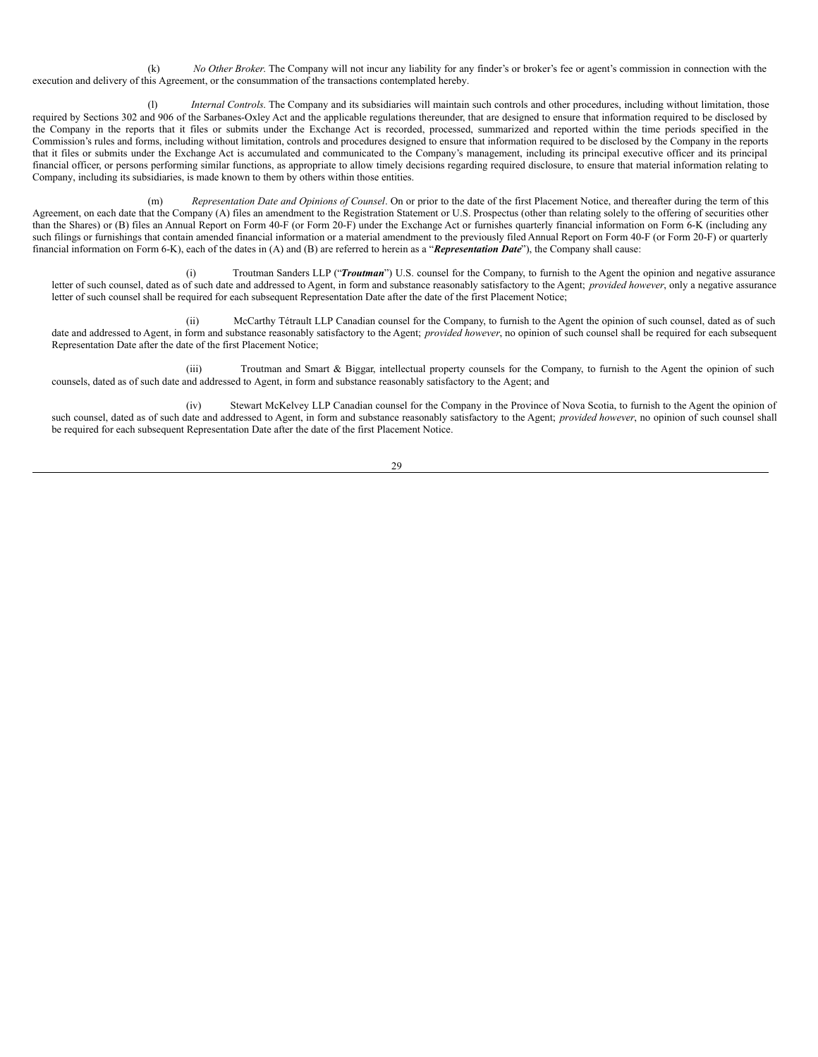(k) *No Other Broker*. The Company will not incur any liability for any finder's or broker's fee or agent's commission in connection with the execution and delivery of this Agreement, or the consummation of the transactions contemplated hereby.

(l) *Internal Controls*. The Company and its subsidiaries will maintain such controls and other procedures, including without limitation, those required by Sections 302 and 906 of the Sarbanes-Oxley Act and the applicable regulations thereunder, that are designed to ensure that information required to be disclosed by the Company in the reports that it files or submits under the Exchange Act is recorded, processed, summarized and reported within the time periods specified in the Commission's rules and forms, including without limitation, controls and procedures designed to ensure that information required to be disclosed by the Company in the reports that it files or submits under the Exchange Act is accumulated and communicated to the Company's management, including its principal executive officer and its principal financial officer, or persons performing similar functions, as appropriate to allow timely decisions regarding required disclosure, to ensure that material information relating to Company, including its subsidiaries, is made known to them by others within those entities.

(m) *Representation Date and Opinions of Counsel*. On or prior to the date of the first Placement Notice, and thereafter during the term of this Agreement, on each date that the Company (A) files an amendment to the Registration Statement or U.S. Prospectus (other than relating solely to the offering of securities other than the Shares) or (B) files an Annual Report on Form 40-F (or Form 20-F) under the Exchange Act or furnishes quarterly financial information on Form 6-K (including any such filings or furnishings that contain amended financial information or a material amendment to the previously filed Annual Report on Form 40-F (or Form 20-F) or quarterly financial information on Form 6-K), each of the dates in (A) and (B) are referred to herein as a "*Representation Date*"), the Company shall cause:

(i) Troutman Sanders LLP ("*Troutman*") U.S. counsel for the Company, to furnish to the Agent the opinion and negative assurance letter of such counsel, dated as of such date and addressed to Agent, in form and substance reasonably satisfactory to the Agent; *provided however*, only a negative assurance letter of such counsel shall be required for each subsequent Representation Date after the date of the first Placement Notice;

(ii) McCarthy Tétrault LLP Canadian counsel for the Company, to furnish to the Agent the opinion of such counsel, dated as of such date and addressed to Agent, in form and substance reasonably satisfactory to the Agent; *provided however*, no opinion of such counsel shall be required for each subsequent Representation Date after the date of the first Placement Notice;

(iii) Troutman and Smart & Biggar, intellectual property counsels for the Company, to furnish to the Agent the opinion of such counsels, dated as of such date and addressed to Agent, in form and substance reasonably satisfactory to the Agent; and

(iv) Stewart McKelvey LLP Canadian counsel for the Company in the Province of Nova Scotia, to furnish to the Agent the opinion of such counsel, dated as of such date and addressed to Agent, in form and substance reasonably satisfactory to the Agent; *provided however*, no opinion of such counsel shall be required for each subsequent Representation Date after the date of the first Placement Notice.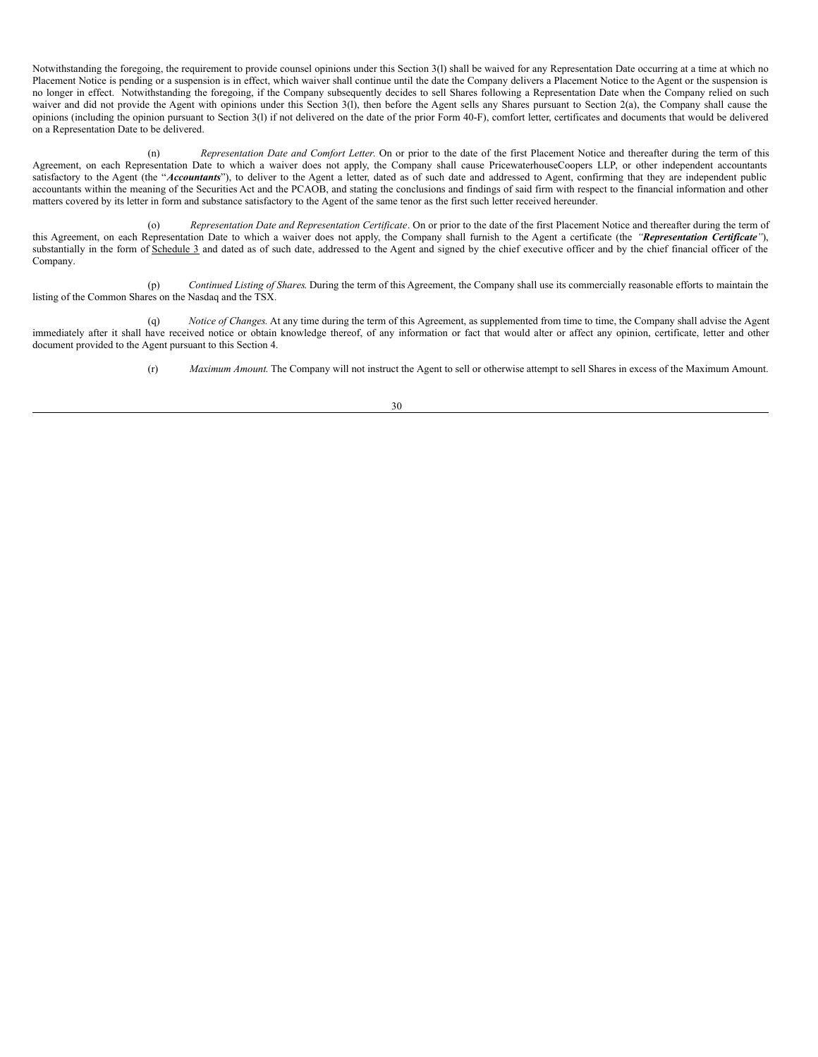Notwithstanding the foregoing, the requirement to provide counsel opinions under this Section 3(l) shall be waived for any Representation Date occurring at a time at which no Placement Notice is pending or a suspension is in effect, which waiver shall continue until the date the Company delivers a Placement Notice to the Agent or the suspension is no longer in effect. Notwithstanding the foregoing, if the Company subsequently decides to sell Shares following a Representation Date when the Company relied on such waiver and did not provide the Agent with opinions under this Section 3(1), then before the Agent sells any Shares pursuant to Section 2(a), the Company shall cause the opinions (including the opinion pursuant to Section 3(l) if not delivered on the date of the prior Form 40-F), comfort letter, certificates and documents that would be delivered on a Representation Date to be delivered.

(n) *Representation Date and Comfort Letter*. On or prior to the date of the first Placement Notice and thereafter during the term of this Agreement, on each Representation Date to which a waiver does not apply, the Company shall cause PricewaterhouseCoopers LLP, or other independent accountants satisfactory to the Agent (the "*Accountants*"), to deliver to the Agent a letter, dated as of such date and addressed to Agent, confirming that they are independent public accountants within the meaning of the Securities Act and the PCAOB, and stating the conclusions and findings of said firm with respect to the financial information and other matters covered by its letter in form and substance satisfactory to the Agent of the same tenor as the first such letter received hereunder.

(o) *Representation Date and Representation Certificate*. On or prior to the date of the first Placement Notice and thereafter during the term of this Agreement, on each Representation Date to which a waiver does not apply, the Company shall furnish to the Agent a certificate (the *"Representation Certificate"*), substantially in the form of Schedule 3 and dated as of such date, addressed to the Agent and signed by the chief executive officer and by the chief financial officer of the Company.

(p) *Continued Listing of Shares*. During the term of this Agreement, the Company shall use its commercially reasonable efforts to maintain the listing of the Common Shares on the Nasdaq and the TSX.

(q) *Notice of Changes*. At any time during the term of this Agreement, as supplemented from time to time, the Company shall advise the Agent immediately after it shall have received notice or obtain knowledge thereof, of any information or fact that would alter or affect any opinion, certificate, letter and other document provided to the Agent pursuant to this Section 4.

(r) *Maximum Amount*. The Company will not instruct the Agent to sell or otherwise attempt to sell Shares in excess of the Maximum Amount.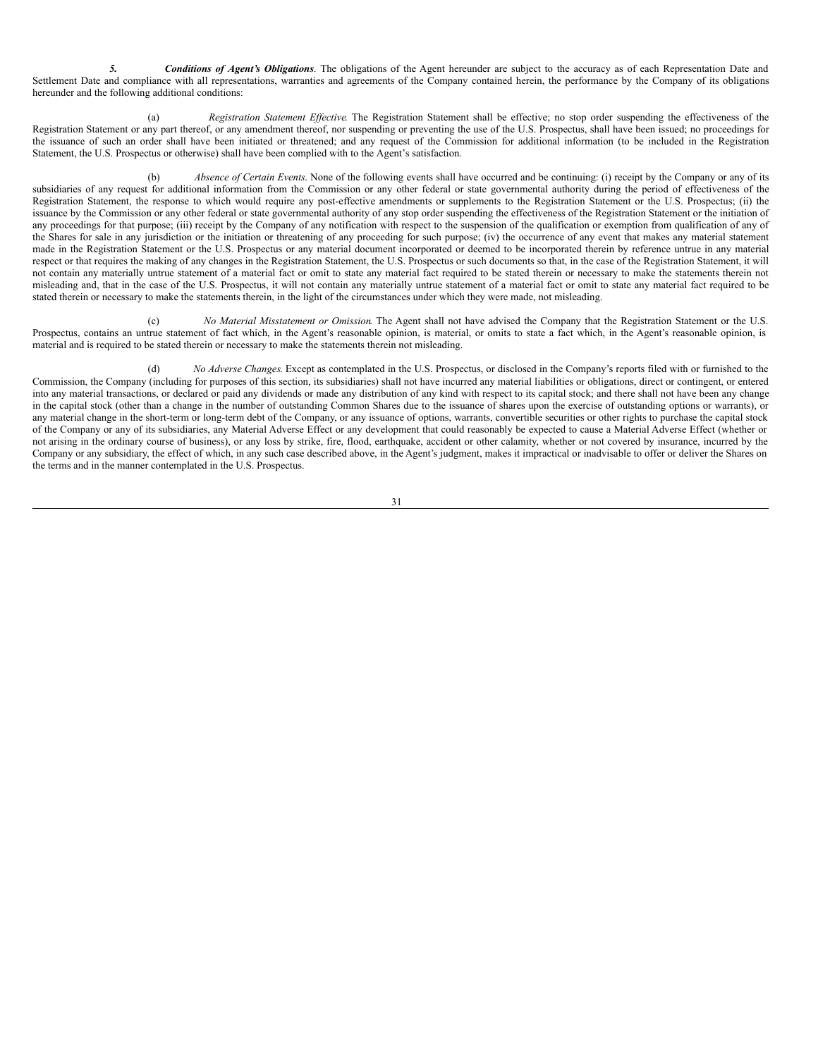*5. Conditions of Agent's Obligations*. The obligations of the Agent hereunder are subject to the accuracy as of each Representation Date and Settlement Date and compliance with all representations, warranties and agreements of the Company contained herein, the performance by the Company of its obligations hereunder and the following additional conditions:

(a) *Registration Statement Effective*. The Registration Statement shall be effective; no stop order suspending the effectiveness of the Registration Statement or any part thereof, or any amendment thereof, nor suspending or preventing the use of the U.S. Prospectus, shall have been issued; no proceedings for the issuance of such an order shall have been initiated or threatened; and any request of the Commission for additional information (to be included in the Registration Statement, the U.S. Prospectus or otherwise) shall have been complied with to the Agent's satisfaction.

(b) *Absence of Certain Events*. None of the following events shall have occurred and be continuing: (i) receipt by the Company or any of its subsidiaries of any request for additional information from the Commission or any other federal or state governmental authority during the period of effectiveness of the Registration Statement, the response to which would require any post-effective amendments or supplements to the Registration Statement or the U.S. Prospectus; (ii) the issuance by the Commission or any other federal or state governmental authority of any stop order suspending the effectiveness of the Registration Statement or the initiation of any proceedings for that purpose; (iii) receipt by the Company of any notification with respect to the suspension of the qualification or exemption from qualification of any of the Shares for sale in any jurisdiction or the initiation or threatening of any proceeding for such purpose; (iv) the occurrence of any event that makes any material statement made in the Registration Statement or the U.S. Prospectus or any material document incorporated or deemed to be incorporated therein by reference untrue in any material respect or that requires the making of any changes in the Registration Statement, the U.S. Prospectus or such documents so that, in the case of the Registration Statement, it will not contain any materially untrue statement of a material fact or omit to state any material fact required to be stated therein or necessary to make the statements therein not misleading and, that in the case of the U.S. Prospectus, it will not contain any materially untrue statement of a material fact or omit to state any material fact required to be stated therein or necessary to make the statements therein, in the light of the circumstances under which they were made, not misleading.

(c) *No Material Misstatement or Omission*. The Agent shall not have advised the Company that the Registration Statement or the U.S. Prospectus, contains an untrue statement of fact which, in the Agent's reasonable opinion, is material, or omits to state a fact which, in the Agent's reasonable opinion, is material and is required to be stated therein or necessary to make the statements therein not misleading.

(d) *No Adverse Changes*. Except as contemplated in the U.S. Prospectus, or disclosed in the Company's reports filed with or furnished to the Commission, the Company (including for purposes of this section, its subsidiaries) shall not have incurred any material liabilities or obligations, direct or contingent, or entered into any material transactions, or declared or paid any dividends or made any distribution of any kind with respect to its capital stock; and there shall not have been any change in the capital stock (other than a change in the number of outstanding Common Shares due to the issuance of shares upon the exercise of outstanding options or warrants), or any material change in the short-term or long-term debt of the Company, or any issuance of options, warrants, convertible securities or other rights to purchase the capital stock of the Company or any of its subsidiaries, any Material Adverse Effect or any development that could reasonably be expected to cause a Material Adverse Effect (whether or not arising in the ordinary course of business), or any loss by strike, fire, flood, earthquake, accident or other calamity, whether or not covered by insurance, incurred by the Company or any subsidiary, the effect of which, in any such case described above, in the Agent's judgment, makes it impractical or inadvisable to offer or deliver the Shares on the terms and in the manner contemplated in the U.S. Prospectus.

$$
3\,1
$$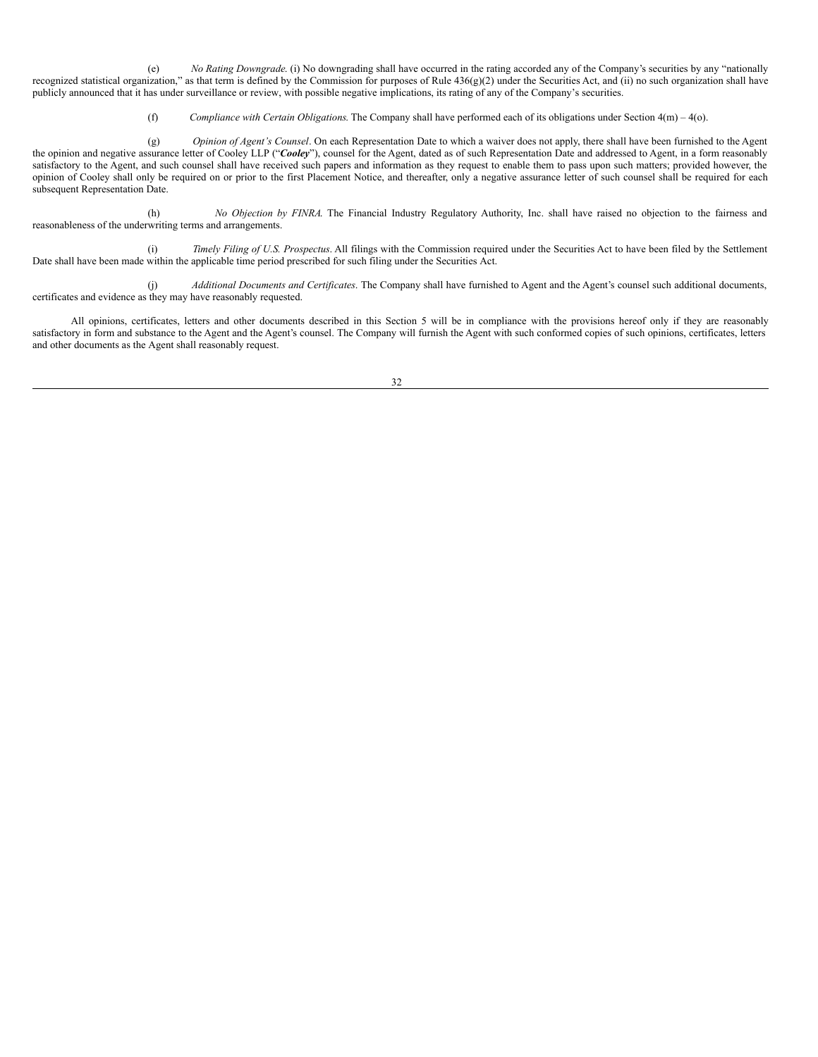(e) *No Rating Downgrade*. (i) No downgrading shall have occurred in the rating accorded any of the Company's securities by any "nationally recognized statistical organization," as that term is defined by the Commission for purposes of Rule 436(g)(2) under the Securities Act, and (ii) no such organization shall have publicly announced that it has under surveillance or review, with possible negative implications, its rating of any of the Company's securities.

(f) *Compliance with Certain Obligations*. The Company shall have performed each of its obligations under Section 4(m) – 4(o).

(g) *Opinion of Agent's Counsel*. On each Representation Date to which a waiver does not apply, there shall have been furnished to the Agent the opinion and negative assurance letter of Cooley LLP ("*Cooley*"), counsel for the Agent, dated as of such Representation Date and addressed to Agent, in a form reasonably satisfactory to the Agent, and such counsel shall have received such papers and information as they request to enable them to pass upon such matters; provided however, the opinion of Cooley shall only be required on or prior to the first Placement Notice, and thereafter, only a negative assurance letter of such counsel shall be required for each subsequent Representation Date.

(h) *No Objection by FINRA*. The Financial Industry Regulatory Authority, Inc. shall have raised no objection to the fairness and reasonableness of the underwriting terms and arrangements.

(i) *Timely Filing of U.S. Prospectus*. All filings with the Commission required under the Securities Act to have been filed by the Settlement Date shall have been made within the applicable time period prescribed for such filing under the Securities Act.

(j) *Additional Documents and Certificates*. The Company shall have furnished to Agent and the Agent's counsel such additional documents, certificates and evidence as they may have reasonably requested.

All opinions, certificates, letters and other documents described in this Section 5 will be in compliance with the provisions hereof only if they are reasonably satisfactory in form and substance to the Agent and the Agent's counsel. The Company will furnish the Agent with such conformed copies of such opinions, certificates, letters and other documents as the Agent shall reasonably request.

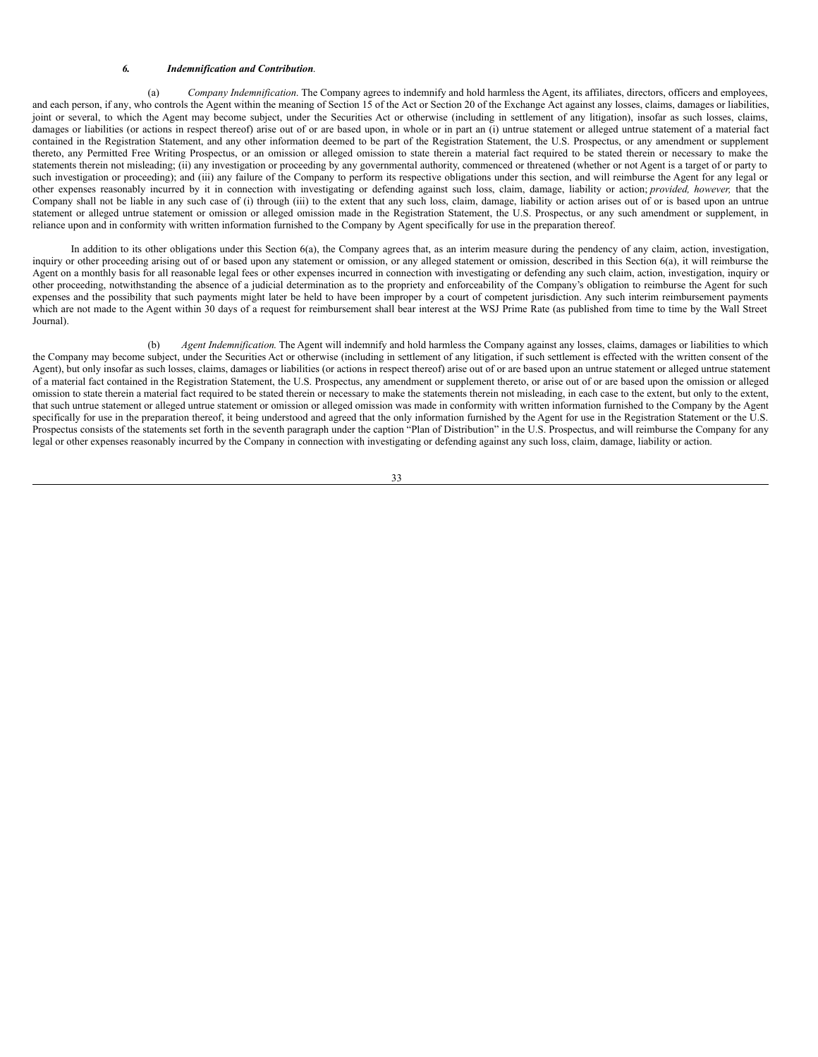#### *6. Indemnification and Contribution*.

(a) *Company Indemnification*. The Company agrees to indemnify and hold harmless the Agent, its affiliates, directors, officers and employees, and each person, if any, who controls the Agent within the meaning of Section 15 of the Act or Section 20 of the Exchange Act against any losses, claims, damages or liabilities, joint or several, to which the Agent may become subject, under the Securities Act or otherwise (including in settlement of any litigation), insofar as such losses, claims, damages or liabilities (or actions in respect thereof) arise out of or are based upon, in whole or in part an (i) untrue statement or alleged untrue statement of a material fact contained in the Registration Statement, and any other information deemed to be part of the Registration Statement, the U.S. Prospectus, or any amendment or supplement thereto, any Permitted Free Writing Prospectus, or an omission or alleged omission to state therein a material fact required to be stated therein or necessary to make the statements therein not misleading; (ii) any investigation or proceeding by any governmental authority, commenced or threatened (whether or not Agent is a target of or party to such investigation or proceeding); and (iii) any failure of the Company to perform its respective obligations under this section, and will reimburse the Agent for any legal or other expenses reasonably incurred by it in connection with investigating or defending against such loss, claim, damage, liability or action; *provided, however,* that the Company shall not be liable in any such case of (i) through (iii) to the extent that any such loss, claim, damage, liability or action arises out of or is based upon an untrue statement or alleged untrue statement or omission or alleged omission made in the Registration Statement, the U.S. Prospectus, or any such amendment or supplement, in reliance upon and in conformity with written information furnished to the Company by Agent specifically for use in the preparation thereof.

In addition to its other obligations under this Section 6(a), the Company agrees that, as an interim measure during the pendency of any claim, action, investigation, inquiry or other proceeding arising out of or based upon any statement or omission, or any alleged statement or omission, described in this Section 6(a), it will reimburse the Agent on a monthly basis for all reasonable legal fees or other expenses incurred in connection with investigating or defending any such claim, action, investigation, inquiry or other proceeding, notwithstanding the absence of a judicial determination as to the propriety and enforceability of the Company's obligation to reimburse the Agent for such expenses and the possibility that such payments might later be held to have been improper by a court of competent jurisdiction. Any such interim reimbursement payments which are not made to the Agent within 30 days of a request for reimbursement shall bear interest at the WSJ Prime Rate (as published from time to time by the Wall Street Journal).

(b) *Agent Indemnification*. The Agent will indemnify and hold harmless the Company against any losses, claims, damages or liabilities to which the Company may become subject, under the Securities Act or otherwise (including in settlement of any litigation, if such settlement is effected with the written consent of the Agent), but only insofar as such losses, claims, damages or liabilities (or actions in respect thereof) arise out of or are based upon an untrue statement or alleged untrue statement of a material fact contained in the Registration Statement, the U.S. Prospectus, any amendment or supplement thereto, or arise out of or are based upon the omission or alleged omission to state therein a material fact required to be stated therein or necessary to make the statements therein not misleading, in each case to the extent, but only to the extent, that such untrue statement or alleged untrue statement or omission or alleged omission was made in conformity with written information furnished to the Company by the Agent specifically for use in the preparation thereof, it being understood and agreed that the only information furnished by the Agent for use in the Registration Statement or the U.S. Prospectus consists of the statements set forth in the seventh paragraph under the caption "Plan of Distribution" in the U.S. Prospectus, and will reimburse the Company for any legal or other expenses reasonably incurred by the Company in connection with investigating or defending against any such loss, claim, damage, liability or action.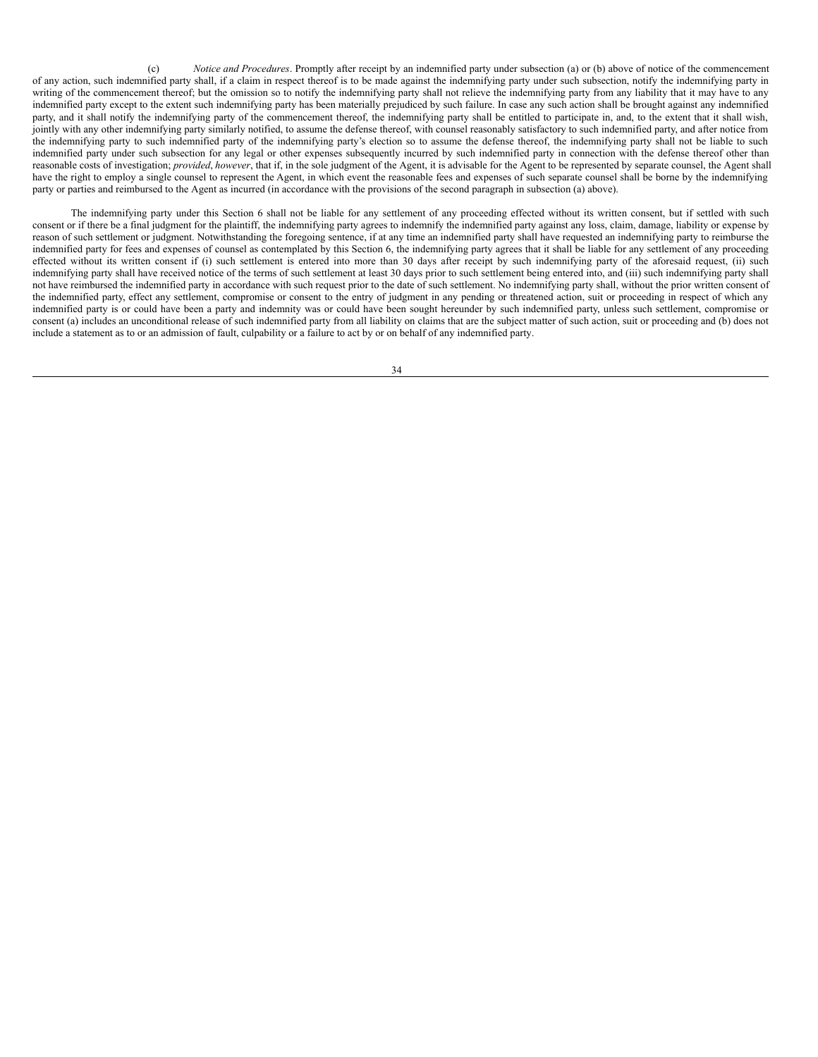(c) *Notice and Procedures*. Promptly after receipt by an indemnified party under subsection (a) or (b) above of notice of the commencement of any action, such indemnified party shall, if a claim in respect thereof is to be made against the indemnifying party under such subsection, notify the indemnifying party in writing of the commencement thereof; but the omission so to notify the indemnifying party shall not relieve the indemnifying party from any liability that it may have to any indemnified party except to the extent such indemnifying party has been materially prejudiced by such failure. In case any such action shall be brought against any indemnified party, and it shall notify the indemnifying party of the commencement thereof, the indemnifying party shall be entitled to participate in, and, to the extent that it shall wish, jointly with any other indemnifying party similarly notified, to assume the defense thereof, with counsel reasonably satisfactory to such indemnified party, and after notice from the indemnifying party to such indemnified party of the indemnifying party's election so to assume the defense thereof, the indemnifying party shall not be liable to such indemnified party under such subsection for any legal or other expenses subsequently incurred by such indemnified party in connection with the defense thereof other than reasonable costs of investigation; *provided*, *however*, that if, in the sole judgment of the Agent, it is advisable for the Agent to be represented by separate counsel, the Agent shall have the right to employ a single counsel to represent the Agent, in which event the reasonable fees and expenses of such separate counsel shall be borne by the indemnifying party or parties and reimbursed to the Agent as incurred (in accordance with the provisions of the second paragraph in subsection (a) above).

The indemnifying party under this Section 6 shall not be liable for any settlement of any proceeding effected without its written consent, but if settled with such consent or if there be a final judgment for the plaintiff, the indemnifying party agrees to indemnify the indemnified party against any loss, claim, damage, liability or expense by reason of such settlement or judgment. Notwithstanding the foregoing sentence, if at any time an indemnified party shall have requested an indemnifying party to reimburse the indemnified party for fees and expenses of counsel as contemplated by this Section 6, the indemnifying party agrees that it shall be liable for any settlement of any proceeding effected without its written consent if (i) such settlement is entered into more than 30 days after receipt by such indemnifying party of the aforesaid request, (ii) such indemnifying party shall have received notice of the terms of such settlement at least 30 days prior to such settlement being entered into, and (iii) such indemnifying party shall not have reimbursed the indemnified party in accordance with such request prior to the date of such settlement. No indemnifying party shall, without the prior written consent of the indemnified party, effect any settlement, compromise or consent to the entry of judgment in any pending or threatened action, suit or proceeding in respect of which any indemnified party is or could have been a party and indemnity was or could have been sought hereunder by such indemnified party, unless such settlement, compromise or consent (a) includes an unconditional release of such indemnified party from all liability on claims that are the subject matter of such action, suit or proceeding and (b) does not include a statement as to or an admission of fault, culpability or a failure to act by or on behalf of any indemnified party.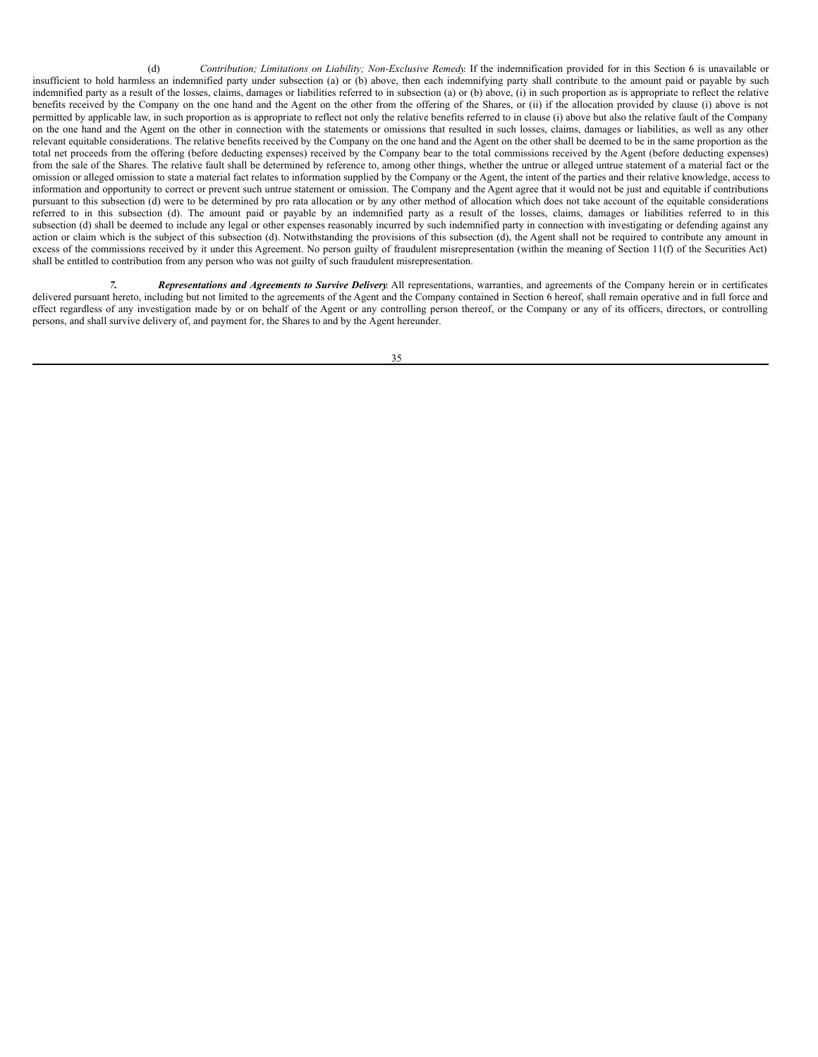(d) *Contribution; Limitations on Liability; Non-Exclusive Remedy*. If the indemnification provided for in this Section 6 is unavailable or insufficient to hold harmless an indemnified party under subsection (a) or (b) above, then each indemnifying party shall contribute to the amount paid or payable by such indemnified party as a result of the losses, claims, damages or liabilities referred to in subsection (a) or (b) above, (i) in such proportion as is appropriate to reflect the relative benefits received by the Company on the one hand and the Agent on the other from the offering of the Shares, or (ii) if the allocation provided by clause (i) above is not permitted by applicable law, in such proportion as is appropriate to reflect not only the relative benefits referred to in clause (i) above but also the relative fault of the Company on the one hand and the Agent on the other in connection with the statements or omissions that resulted in such losses, claims, damages or liabilities, as well as any other relevant equitable considerations. The relative benefits received by the Company on the one hand and the Agent on the other shall be deemed to be in the same proportion as the total net proceeds from the offering (before deducting expenses) received by the Company bear to the total commissions received by the Agent (before deducting expenses) from the sale of the Shares. The relative fault shall be determined by reference to, among other things, whether the untrue or alleged untrue statement of a material fact or the omission or alleged omission to state a material fact relates to information supplied by the Company or the Agent, the intent of the parties and their relative knowledge, access to information and opportunity to correct or prevent such untrue statement or omission. The Company and the Agent agree that it would not be just and equitable if contributions pursuant to this subsection (d) were to be determined by pro rata allocation or by any other method of allocation which does not take account of the equitable considerations referred to in this subsection (d). The amount paid or payable by an indemnified party as a result of the losses, claims, damages or liabilities referred to in this subsection (d) shall be deemed to include any legal or other expenses reasonably incurred by such indemnified party in connection with investigating or defending against any action or claim which is the subject of this subsection (d). Notwithstanding the provisions of this subsection (d), the Agent shall not be required to contribute any amount in excess of the commissions received by it under this Agreement. No person guilty of fraudulent misrepresentation (within the meaning of Section 11(f) of the Securities Act) shall be entitled to contribution from any person who was not guilty of such fraudulent misrepresentation.

*7. Representations and Agreements to Survive Delivery*. All representations, warranties, and agreements of the Company herein or in certificates delivered pursuant hereto, including but not limited to the agreements of the Agent and the Company contained in Section 6 hereof, shall remain operative and in full force and effect regardless of any investigation made by or on behalf of the Agent or any controlling person thereof, or the Company or any of its officers, directors, or controlling persons, and shall survive delivery of, and payment for, the Shares to and by the Agent hereunder.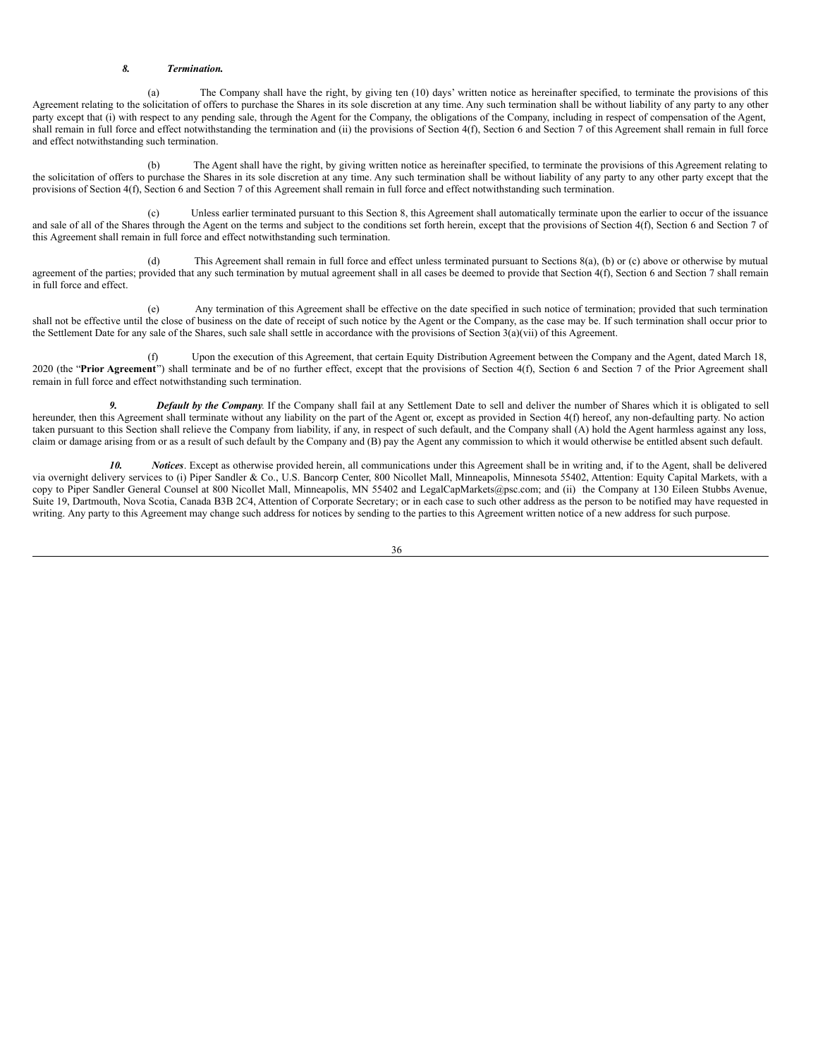#### *8. Termination.*

(a) The Company shall have the right, by giving ten (10) days' written notice as hereinafter specified, to terminate the provisions of this Agreement relating to the solicitation of offers to purchase the Shares in its sole discretion at any time. Any such termination shall be without liability of any party to any other party except that (i) with respect to any pending sale, through the Agent for the Company, the obligations of the Company, including in respect of compensation of the Agent, shall remain in full force and effect notwithstanding the termination and (ii) the provisions of Section 4(f), Section 6 and Section 7 of this Agreement shall remain in full force and effect notwithstanding such termination.

(b) The Agent shall have the right, by giving written notice as hereinafter specified, to terminate the provisions of this Agreement relating to the solicitation of offers to purchase the Shares in its sole discretion at any time. Any such termination shall be without liability of any party to any other party except that the provisions of Section 4(f), Section 6 and Section 7 of this Agreement shall remain in full force and effect notwithstanding such termination.

(c) Unless earlier terminated pursuant to this Section 8, this Agreement shall automatically terminate upon the earlier to occur of the issuance and sale of all of the Shares through the Agent on the terms and subject to the conditions set forth herein, except that the provisions of Section 4(f), Section 6 and Section 7 of this Agreement shall remain in full force and effect notwithstanding such termination.

(d) This Agreement shall remain in full force and effect unless terminated pursuant to Sections 8(a), (b) or (c) above or otherwise by mutual agreement of the parties; provided that any such termination by mutual agreement shall in all cases be deemed to provide that Section 4(f), Section 6 and Section 7 shall remain in full force and effect.

(e) Any termination of this Agreement shall be effective on the date specified in such notice of termination; provided that such termination shall not be effective until the close of business on the date of receipt of such notice by the Agent or the Company, as the case may be. If such termination shall occur prior to the Settlement Date for any sale of the Shares, such sale shall settle in accordance with the provisions of Section 3(a)(vii) of this Agreement.

(f) Upon the execution of this Agreement, that certain Equity Distribution Agreement between the Company and the Agent, dated March 18, 2020 (the "**Prior Agreement**") shall terminate and be of no further effect, except that the provisions of Section 4(f), Section 6 and Section 7 of the Prior Agreement shall remain in full force and effect notwithstanding such termination.

*9. Default by the Company*. If the Company shall fail at any Settlement Date to sell and deliver the number of Shares which it is obligated to sell hereunder, then this Agreement shall terminate without any liability on the part of the Agent or, except as provided in Section 4(f) hereof, any non-defaulting party. No action taken pursuant to this Section shall relieve the Company from liability, if any, in respect of such default, and the Company shall (A) hold the Agent harmless against any loss, claim or damage arising from or as a result of such default by the Company and (B) pay the Agent any commission to which it would otherwise be entitled absent such default.

*10. Notices*. Except as otherwise provided herein, all communications under this Agreement shall be in writing and, if to the Agent, shall be delivered via overnight delivery services to (i) Piper Sandler & Co., U.S. Bancorp Center, 800 Nicollet Mall, Minneapolis, Minnesota 55402, Attention: Equity Capital Markets, with a copy to Piper Sandler General Counsel at 800 Nicollet Mall, Minneapolis, MN 55402 and LegalCapMarkets@psc.com; and (ii) the Company at 130 Eileen Stubbs Avenue, Suite 19, Dartmouth, Nova Scotia, Canada B3B 2C4, Attention of Corporate Secretary; or in each case to such other address as the person to be notified may have requested in writing. Any party to this Agreement may change such address for notices by sending to the parties to this Agreement written notice of a new address for such purpose.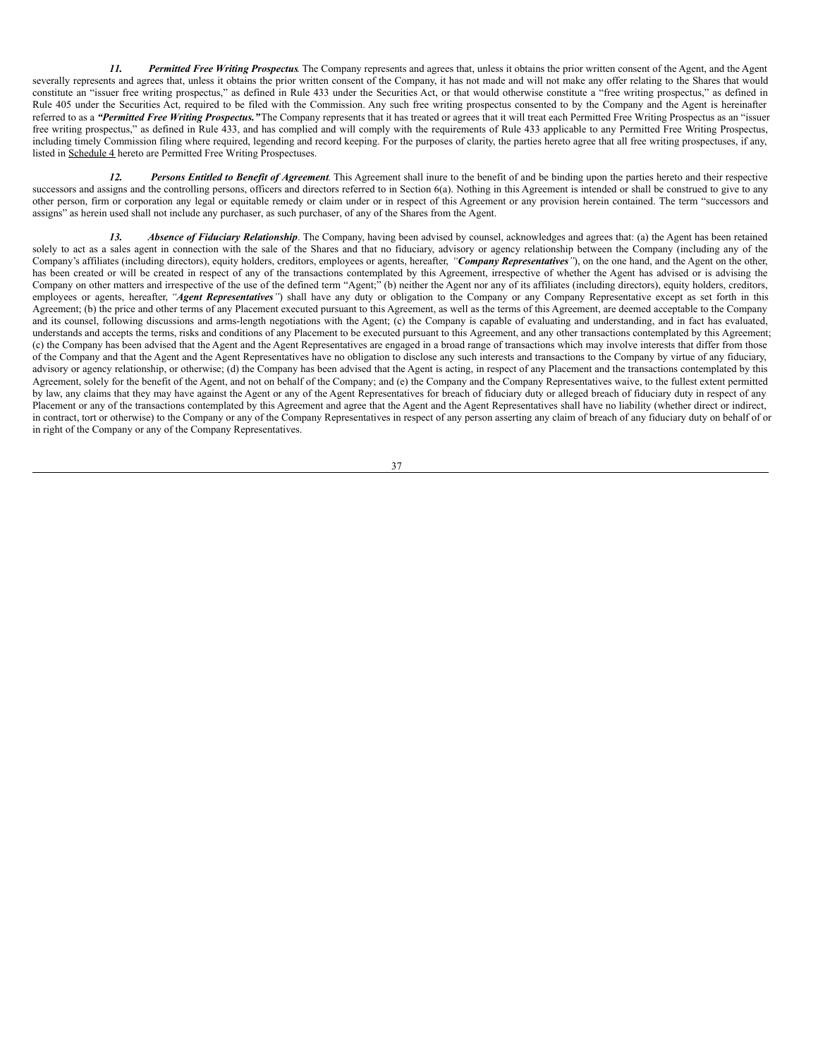*11. Permitted Free Writing Prospectus*. The Company represents and agrees that, unless it obtains the prior written consent of the Agent, and the Agent severally represents and agrees that, unless it obtains the prior written consent of the Company, it has not made and will not make any offer relating to the Shares that would constitute an "issuer free writing prospectus," as defined in Rule 433 under the Securities Act, or that would otherwise constitute a "free writing prospectus," as defined in Rule 405 under the Securities Act, required to be filed with the Commission. Any such free writing prospectus consented to by the Company and the Agent is hereinafter referred to as a *"Permitted Free Writing Prospectus."*The Company represents that it has treated or agrees that it will treat each Permitted Free Writing Prospectus as an "issuer free writing prospectus," as defined in Rule 433, and has complied and will comply with the requirements of Rule 433 applicable to any Permitted Free Writing Prospectus, including timely Commission filing where required, legending and record keeping. For the purposes of clarity, the parties hereto agree that all free writing prospectuses, if any, listed in Schedule 4 hereto are Permitted Free Writing Prospectuses.

*12. Persons Entitled to Benefit of Agreement*. This Agreement shall inure to the benefit of and be binding upon the parties hereto and their respective successors and assigns and the controlling persons, officers and directors referred to in Section 6(a). Nothing in this Agreement is intended or shall be construed to give to any other person, firm or corporation any legal or equitable remedy or claim under or in respect of this Agreement or any provision herein contained. The term "successors and assigns" as herein used shall not include any purchaser, as such purchaser, of any of the Shares from the Agent.

*13. Absence of Fiduciary Relationship*. The Company, having been advised by counsel, acknowledges and agrees that: (a) the Agent has been retained solely to act as a sales agent in connection with the sale of the Shares and that no fiduciary, advisory or agency relationship between the Company (including any of the Company's affiliates (including directors), equity holders, creditors, employees or agents, hereafter, *"Company Representatives"*), on the one hand, and the Agent on the other, has been created or will be created in respect of any of the transactions contemplated by this Agreement, irrespective of whether the Agent has advised or is advising the Company on other matters and irrespective of the use of the defined term "Agent;" (b) neither the Agent nor any of its affiliates (including directors), equity holders, creditors, employees or agents, hereafter, *"Agent Representatives"*) shall have any duty or obligation to the Company or any Company Representative except as set forth in this Agreement; (b) the price and other terms of any Placement executed pursuant to this Agreement, as well as the terms of this Agreement, are deemed acceptable to the Company and its counsel, following discussions and arms-length negotiations with the Agent; (c) the Company is capable of evaluating and understanding, and in fact has evaluated, understands and accepts the terms, risks and conditions of any Placement to be executed pursuant to this Agreement, and any other transactions contemplated by this Agreement; (c) the Company has been advised that the Agent and the Agent Representatives are engaged in a broad range of transactions which may involve interests that differ from those of the Company and that the Agent and the Agent Representatives have no obligation to disclose any such interests and transactions to the Company by virtue of any fiduciary, advisory or agency relationship, or otherwise; (d) the Company has been advised that the Agent is acting, in respect of any Placement and the transactions contemplated by this Agreement, solely for the benefit of the Agent, and not on behalf of the Company; and (e) the Company and the Company Representatives waive, to the fullest extent permitted by law, any claims that they may have against the Agent or any of the Agent Representatives for breach of fiduciary duty or alleged breach of fiduciary duty in respect of any Placement or any of the transactions contemplated by this Agreement and agree that the Agent and the Agent Representatives shall have no liability (whether direct or indirect, in contract, tort or otherwise) to the Company or any of the Company Representatives in respect of any person asserting any claim of breach of any fiduciary duty on behalf of or in right of the Company or any of the Company Representatives.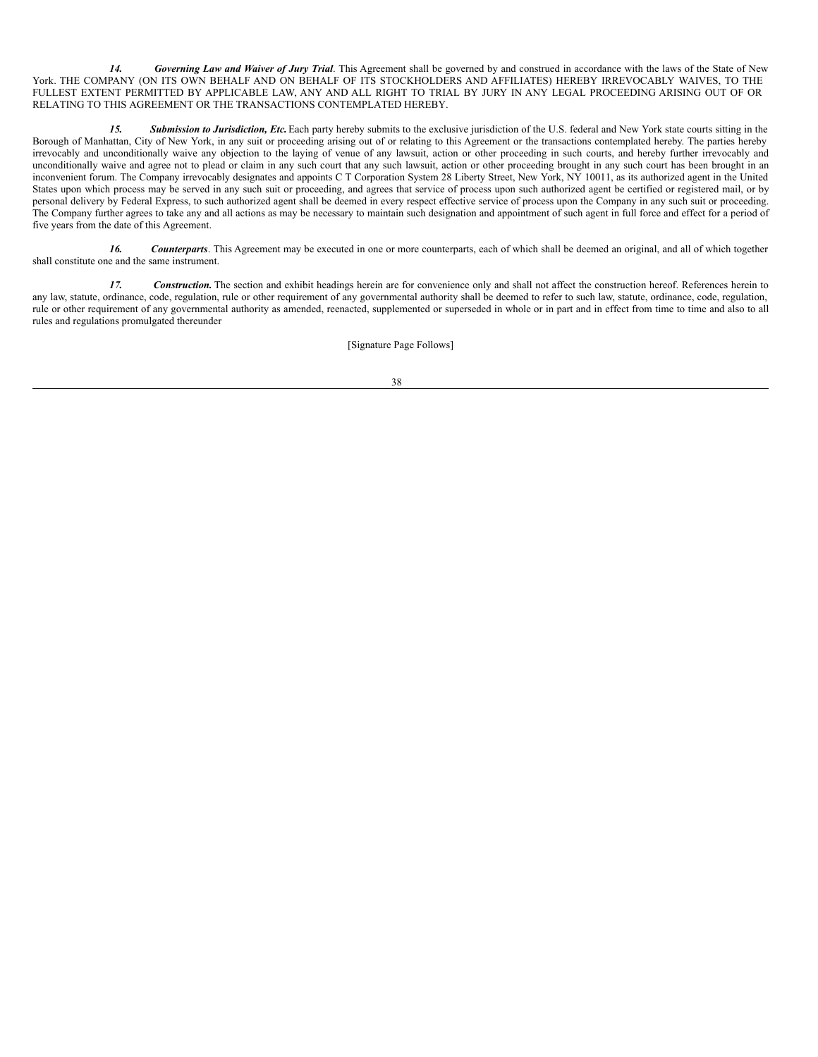*14. Governing Law and Waiver of Jury Trial*. This Agreement shall be governed by and construed in accordance with the laws of the State of New York. THE COMPANY (ON ITS OWN BEHALF AND ON BEHALF OF ITS STOCKHOLDERS AND AFFILIATES) HEREBY IRREVOCABLY WAIVES, TO THE FULLEST EXTENT PERMITTED BY APPLICABLE LAW, ANY AND ALL RIGHT TO TRIAL BY JURY IN ANY LEGAL PROCEEDING ARISING OUT OF OR RELATING TO THIS AGREEMENT OR THE TRANSACTIONS CONTEMPLATED HEREBY.

*15. Submission to Jurisdiction, Etc.*Each party hereby submits to the exclusive jurisdiction of the U.S. federal and New York state courts sitting in the Borough of Manhattan, City of New York, in any suit or proceeding arising out of or relating to this Agreement or the transactions contemplated hereby. The parties hereby irrevocably and unconditionally waive any objection to the laying of venue of any lawsuit, action or other proceeding in such courts, and hereby further irrevocably and unconditionally waive and agree not to plead or claim in any such court that any such lawsuit, action or other proceeding brought in any such court has been brought in an inconvenient forum. The Company irrevocably designates and appoints C T Corporation System 28 Liberty Street, New York, NY 10011, as its authorized agent in the United States upon which process may be served in any such suit or proceeding, and agrees that service of process upon such authorized agent be certified or registered mail, or by personal delivery by Federal Express, to such authorized agent shall be deemed in every respect effective service of process upon the Company in any such suit or proceeding. The Company further agrees to take any and all actions as may be necessary to maintain such designation and appointment of such agent in full force and effect for a period of five years from the date of this Agreement.

*16. Counterparts*. This Agreement may be executed in one or more counterparts, each of which shall be deemed an original, and all of which together shall constitute one and the same instrument.

*17. Construction.* The section and exhibit headings herein are for convenience only and shall not affect the construction hereof. References herein to any law, statute, ordinance, code, regulation, rule or other requirement of any governmental authority shall be deemed to refer to such law, statute, ordinance, code, regulation, rule or other requirement of any governmental authority as amended, reenacted, supplemented or superseded in whole or in part and in effect from time to time and also to all rules and regulations promulgated thereunder

[Signature Page Follows]

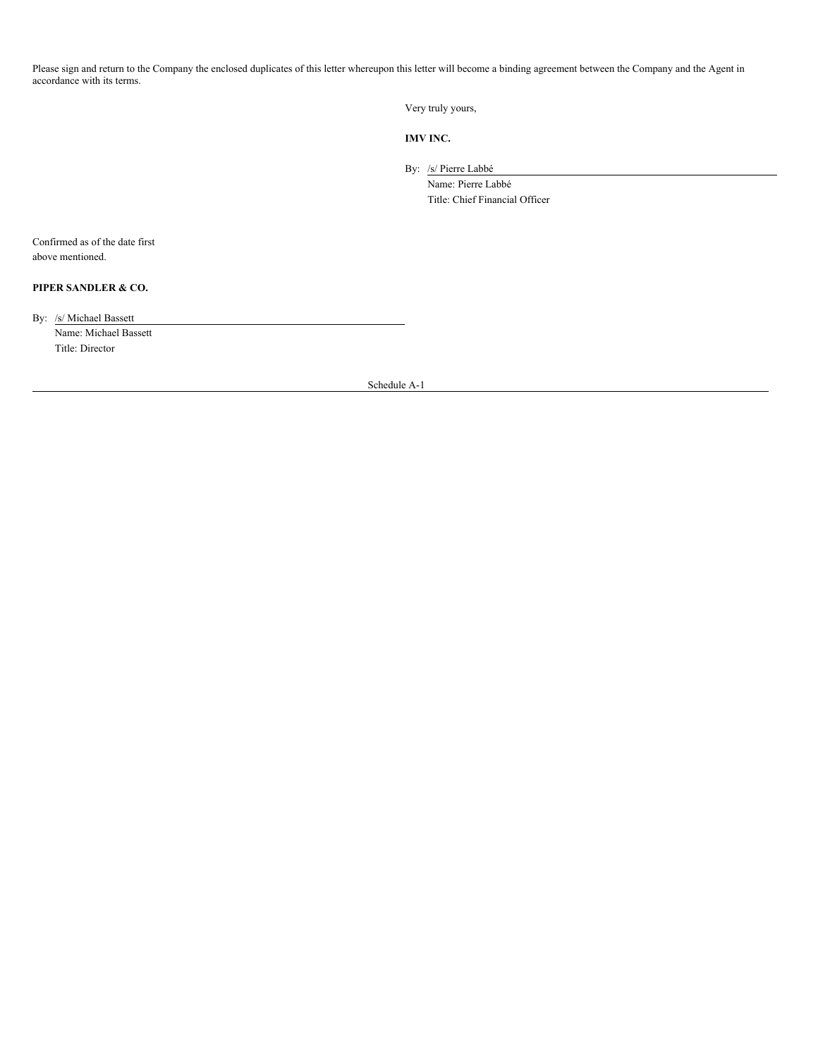Please sign and return to the Company the enclosed duplicates of this letter whereupon this letter will become a binding agreement between the Company and the Agent in accordance with its terms.

Very truly yours,

**IMV INC.**

By: /s/ Pierre Labbé

Name: Pierre Labbé Title: Chief Financial Officer

Confirmed as of the date first above mentioned.

# **PIPER SANDLER & CO.**

By: /s/ Michael Bassett

Name: Michael Bassett Title: Director

Schedule A-1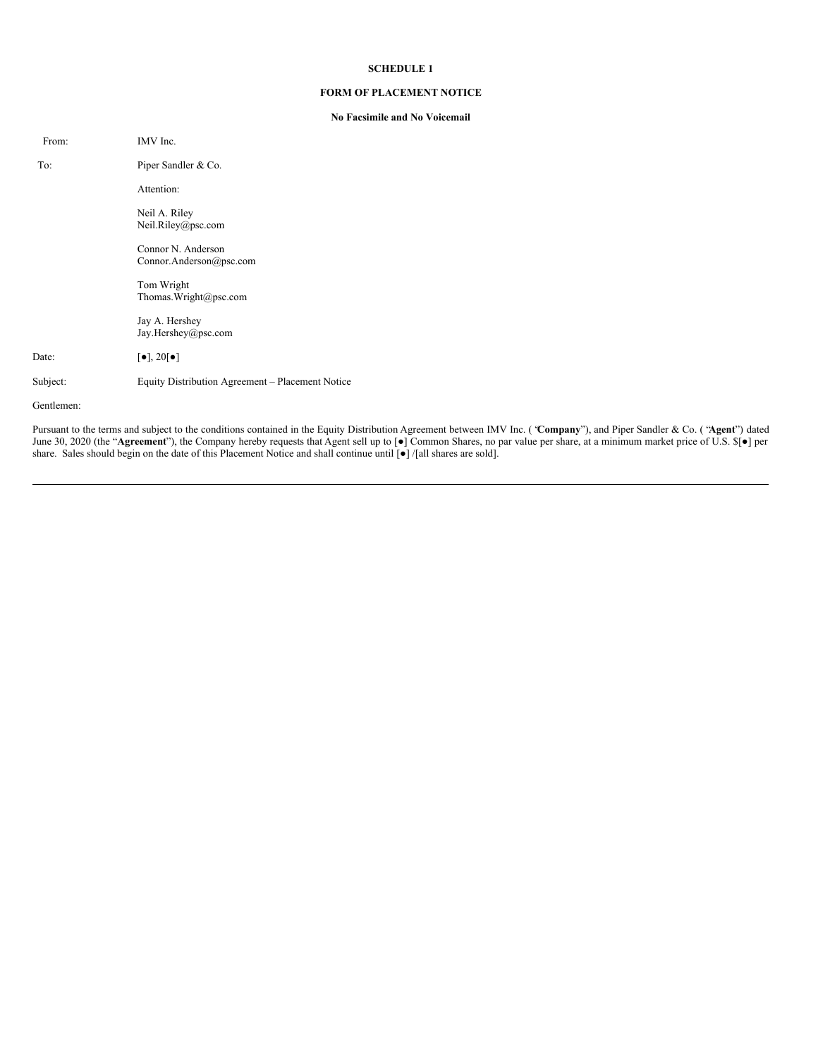#### **FORM OF PLACEMENT NOTICE**

#### **No Facsimile and No Voicemail**

| From:      | IMV Inc.                                         |
|------------|--------------------------------------------------|
| To:        | Piper Sandler & Co.                              |
|            | Attention:                                       |
|            | Neil A. Riley<br>Neil.Riley@psc.com              |
|            | Connor N. Anderson<br>Connor.Anderson@psc.com    |
|            | Tom Wright<br>Thomas. Wright@psc.com             |
|            | Jay A. Hershey<br>Jay.Hershey@psc.com            |
| Date:      | $\left[\bullet\right], 20\left[\bullet\right]$   |
| Subject:   | Equity Distribution Agreement – Placement Notice |
| Gentlemen: |                                                  |

Pursuant to the terms and subject to the conditions contained in the Equity Distribution Agreement between IMV Inc. ( "**Company**"), and Piper Sandler & Co. ( "**Agent**") dated June 30, 2020 (the "**Agreement**"), the Company hereby requests that Agent sell up to [●] Common Shares, no par value per share, at a minimum market price of U.S. \$[●] per share. Sales should begin on the date of this Placement Notice and shall continue until [●] /[all shares are sold].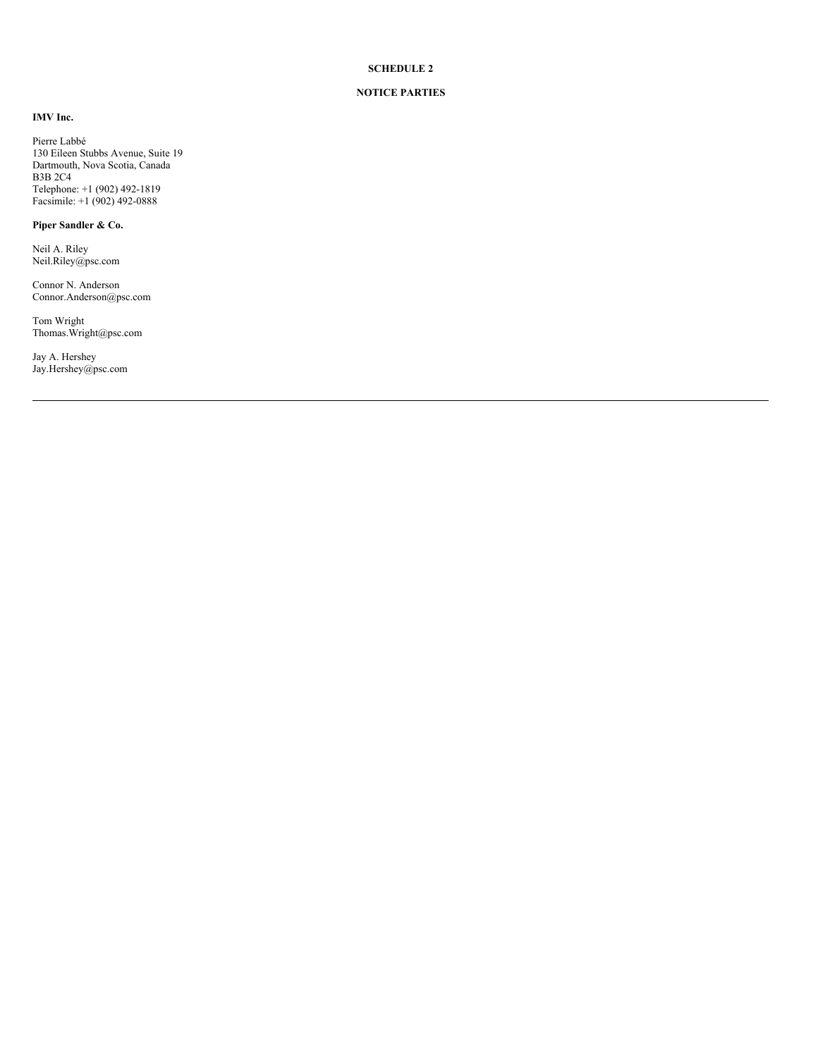#### **NOTICE PARTIES**

**IMV Inc.**

Pierre Labbé 130 Eileen Stubbs Avenue, Suite 19 Dartmouth, Nova Scotia, Canada B3B 2C4 Telephone: +1 (902) 492-1819 Facsimile: +1 (902) 492-0888

# **Piper Sandler & Co.**

Neil A. Riley Neil.Riley@psc.com

Connor N. Anderson Connor.Anderson@psc.com

Tom Wright Thomas.Wright@psc.com

Jay A. Hershey Jay.Hershey@psc.com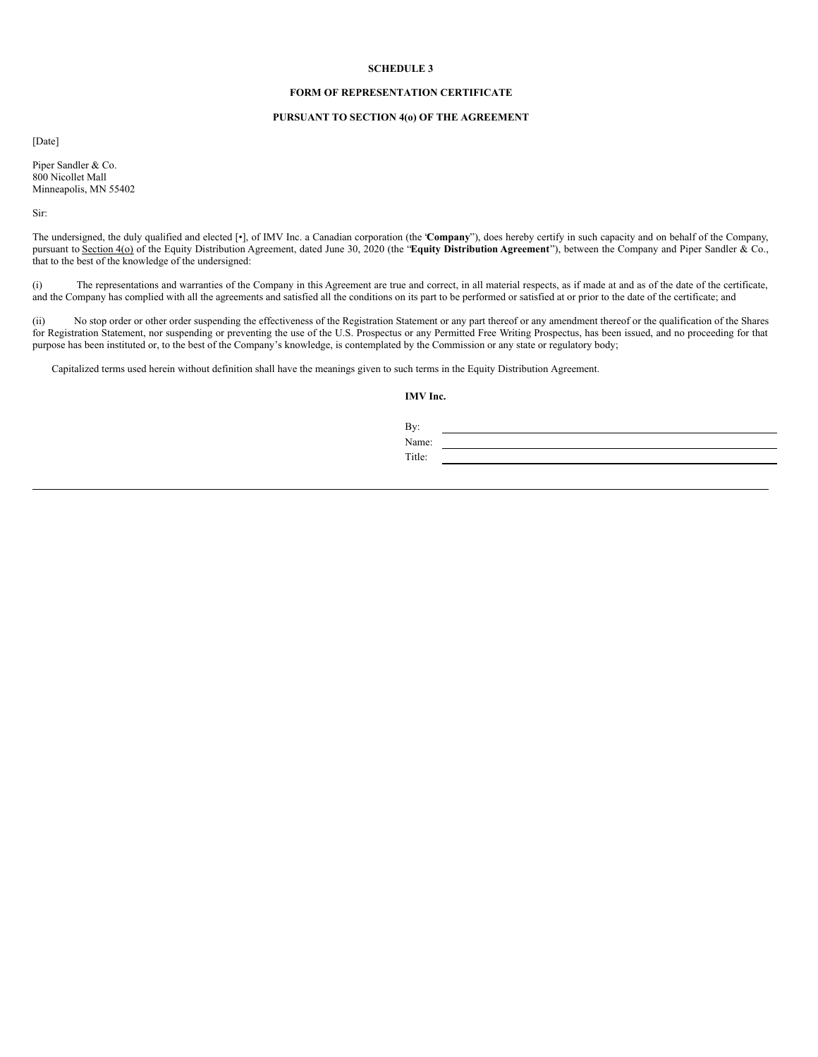#### **FORM OF REPRESENTATION CERTIFICATE**

#### **PURSUANT TO SECTION 4(o) OF THE AGREEMENT**

[Date]

Piper Sandler & Co. 800 Nicollet Mall Minneapolis, MN 55402

Sir:

The undersigned, the duly qualified and elected [•], of IMV Inc. a Canadian corporation (the "**Company**"), does hereby certify in such capacity and on behalf of the Company, pursuant to Section 4(o) of the Equity Distribution Agreement, dated June 30, 2020 (the "**Equity Distribution Agreement**"), between the Company and Piper Sandler & Co., that to the best of the knowledge of the undersigned:

(i) The representations and warranties of the Company in this Agreement are true and correct, in all material respects, as if made at and as of the date of the certificate, and the Company has complied with all the agreements and satisfied all the conditions on its part to be performed or satisfied at or prior to the date of the certificate; and

(ii) No stop order or other order suspending the effectiveness of the Registration Statement or any part thereof or any amendment thereof or the qualification of the Shares for Registration Statement, nor suspending or preventing the use of the U.S. Prospectus or any Permitted Free Writing Prospectus, has been issued, and no proceeding for that purpose has been instituted or, to the best of the Company's knowledge, is contemplated by the Commission or any state or regulatory body;

Capitalized terms used herein without definition shall have the meanings given to such terms in the Equity Distribution Agreement.

**IMV Inc.**

Name:

Title:

By: